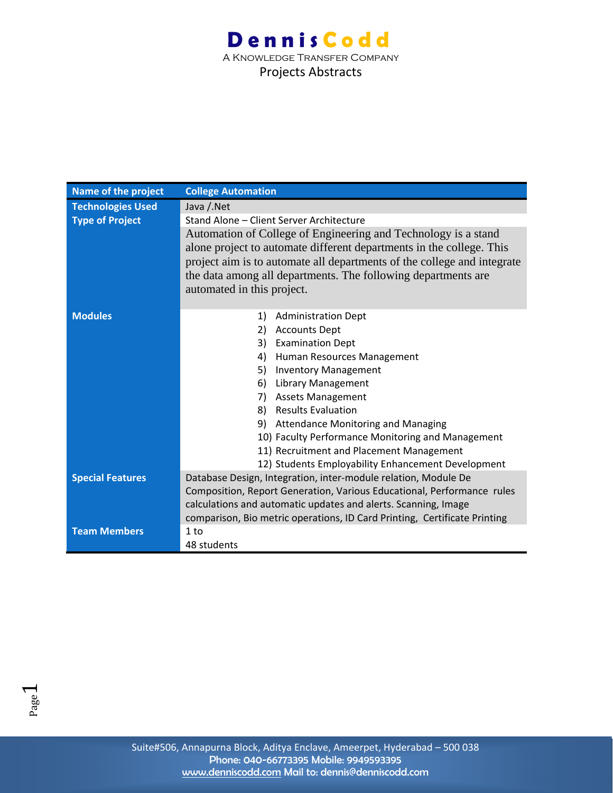| Name of the project      | <b>College Automation</b>                                                                                                                                                                                                                                                                                        |
|--------------------------|------------------------------------------------------------------------------------------------------------------------------------------------------------------------------------------------------------------------------------------------------------------------------------------------------------------|
| <b>Technologies Used</b> | Java / Net                                                                                                                                                                                                                                                                                                       |
| <b>Type of Project</b>   | Stand Alone - Client Server Architecture                                                                                                                                                                                                                                                                         |
|                          | Automation of College of Engineering and Technology is a stand<br>alone project to automate different departments in the college. This<br>project aim is to automate all departments of the college and integrate<br>the data among all departments. The following departments are<br>automated in this project. |
| <b>Modules</b>           | <b>Administration Dept</b><br>1)                                                                                                                                                                                                                                                                                 |
|                          | <b>Accounts Dept</b><br>2)                                                                                                                                                                                                                                                                                       |
|                          | <b>Examination Dept</b><br>3)                                                                                                                                                                                                                                                                                    |
|                          | Human Resources Management<br>4)                                                                                                                                                                                                                                                                                 |
|                          | 5)<br><b>Inventory Management</b>                                                                                                                                                                                                                                                                                |
|                          | <b>Library Management</b><br>6)                                                                                                                                                                                                                                                                                  |
|                          | 7) Assets Management                                                                                                                                                                                                                                                                                             |
|                          | 8) Results Evaluation                                                                                                                                                                                                                                                                                            |
|                          | 9) Attendance Monitoring and Managing                                                                                                                                                                                                                                                                            |
|                          | 10) Faculty Performance Monitoring and Management                                                                                                                                                                                                                                                                |
|                          | 11) Recruitment and Placement Management                                                                                                                                                                                                                                                                         |
|                          | 12) Students Employability Enhancement Development                                                                                                                                                                                                                                                               |
| <b>Special Features</b>  | Database Design, Integration, inter-module relation, Module De<br>Composition, Report Generation, Various Educational, Performance rules                                                                                                                                                                         |
|                          | calculations and automatic updates and alerts. Scanning, Image                                                                                                                                                                                                                                                   |
|                          | comparison, Bio metric operations, ID Card Printing, Certificate Printing                                                                                                                                                                                                                                        |
| <b>Team Members</b>      | 1 to                                                                                                                                                                                                                                                                                                             |
|                          |                                                                                                                                                                                                                                                                                                                  |
|                          | 48 students                                                                                                                                                                                                                                                                                                      |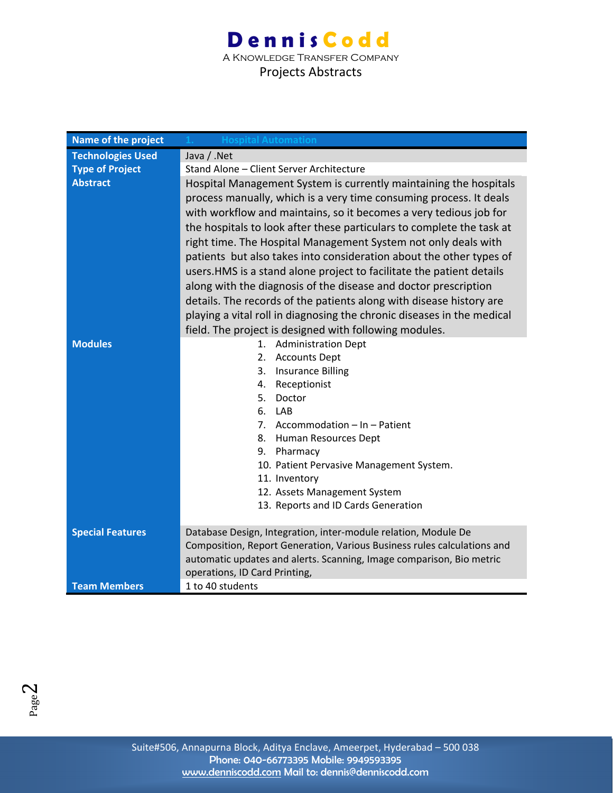A Knowledge Transfer Company Projects Abstracts

| Name of the project      | <b>Hospital Automation</b>                                                                                                                                                                                                                                                                                                                                                                                                                                                                                                                                                                                                                                                                                                  |
|--------------------------|-----------------------------------------------------------------------------------------------------------------------------------------------------------------------------------------------------------------------------------------------------------------------------------------------------------------------------------------------------------------------------------------------------------------------------------------------------------------------------------------------------------------------------------------------------------------------------------------------------------------------------------------------------------------------------------------------------------------------------|
| <b>Technologies Used</b> | Java / .Net                                                                                                                                                                                                                                                                                                                                                                                                                                                                                                                                                                                                                                                                                                                 |
| <b>Type of Project</b>   | Stand Alone - Client Server Architecture                                                                                                                                                                                                                                                                                                                                                                                                                                                                                                                                                                                                                                                                                    |
| <b>Abstract</b>          | Hospital Management System is currently maintaining the hospitals<br>process manually, which is a very time consuming process. It deals<br>with workflow and maintains, so it becomes a very tedious job for<br>the hospitals to look after these particulars to complete the task at<br>right time. The Hospital Management System not only deals with<br>patients but also takes into consideration about the other types of<br>users. HMS is a stand alone project to facilitate the patient details<br>along with the diagnosis of the disease and doctor prescription<br>details. The records of the patients along with disease history are<br>playing a vital roll in diagnosing the chronic diseases in the medical |
|                          | field. The project is designed with following modules.                                                                                                                                                                                                                                                                                                                                                                                                                                                                                                                                                                                                                                                                      |
| <b>Modules</b>           | <b>Administration Dept</b><br>1.<br>2. Accounts Dept<br>3. Insurance Billing<br>4. Receptionist<br>5.<br>Doctor<br>6. LAB<br>7. Accommodation - In - Patient<br>8. Human Resources Dept<br>9. Pharmacy<br>10. Patient Pervasive Management System.<br>11. Inventory<br>12. Assets Management System<br>13. Reports and ID Cards Generation                                                                                                                                                                                                                                                                                                                                                                                  |
| <b>Special Features</b>  | Database Design, Integration, inter-module relation, Module De<br>Composition, Report Generation, Various Business rules calculations and<br>automatic updates and alerts. Scanning, Image comparison, Bio metric<br>operations, ID Card Printing,                                                                                                                                                                                                                                                                                                                                                                                                                                                                          |
| <b>Team Members</b>      | 1 to 40 students                                                                                                                                                                                                                                                                                                                                                                                                                                                                                                                                                                                                                                                                                                            |

 $Page<sub>2</sub>$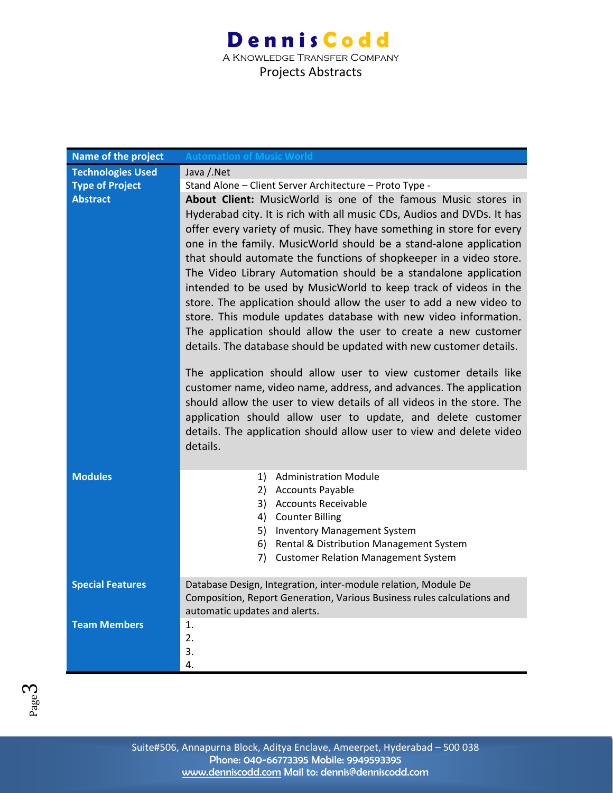| Name of the project      | <b>Automation of Music World</b>                                                                                                                                                                                                                                                                                                                                                                                                                                                                                                                                                                                                                                                                                                                                                                                                                                                                                                                                                                                                                                                                                                                       |
|--------------------------|--------------------------------------------------------------------------------------------------------------------------------------------------------------------------------------------------------------------------------------------------------------------------------------------------------------------------------------------------------------------------------------------------------------------------------------------------------------------------------------------------------------------------------------------------------------------------------------------------------------------------------------------------------------------------------------------------------------------------------------------------------------------------------------------------------------------------------------------------------------------------------------------------------------------------------------------------------------------------------------------------------------------------------------------------------------------------------------------------------------------------------------------------------|
| <b>Technologies Used</b> | Java / Net                                                                                                                                                                                                                                                                                                                                                                                                                                                                                                                                                                                                                                                                                                                                                                                                                                                                                                                                                                                                                                                                                                                                             |
| <b>Type of Project</b>   | Stand Alone - Client Server Architecture - Proto Type -                                                                                                                                                                                                                                                                                                                                                                                                                                                                                                                                                                                                                                                                                                                                                                                                                                                                                                                                                                                                                                                                                                |
| <b>Abstract</b>          | About Client: MusicWorld is one of the famous Music stores in<br>Hyderabad city. It is rich with all music CDs, Audios and DVDs. It has<br>offer every variety of music. They have something in store for every<br>one in the family. MusicWorld should be a stand-alone application<br>that should automate the functions of shopkeeper in a video store.<br>The Video Library Automation should be a standalone application<br>intended to be used by MusicWorld to keep track of videos in the<br>store. The application should allow the user to add a new video to<br>store. This module updates database with new video information.<br>The application should allow the user to create a new customer<br>details. The database should be updated with new customer details.<br>The application should allow user to view customer details like<br>customer name, video name, address, and advances. The application<br>should allow the user to view details of all videos in the store. The<br>application should allow user to update, and delete customer<br>details. The application should allow user to view and delete video<br>details. |
| <b>Modules</b>           | 1) Administration Module<br>2) Accounts Payable<br>3) Accounts Receivable<br>4) Counter Billing<br>5) Inventory Management System<br>6) Rental & Distribution Management System<br>7) Customer Relation Management System                                                                                                                                                                                                                                                                                                                                                                                                                                                                                                                                                                                                                                                                                                                                                                                                                                                                                                                              |
| <b>Special Features</b>  | Database Design, Integration, inter-module relation, Module De<br>Composition, Report Generation, Various Business rules calculations and<br>automatic updates and alerts.                                                                                                                                                                                                                                                                                                                                                                                                                                                                                                                                                                                                                                                                                                                                                                                                                                                                                                                                                                             |
| <b>Team Members</b>      | 1.<br>2.<br>3.<br>4.                                                                                                                                                                                                                                                                                                                                                                                                                                                                                                                                                                                                                                                                                                                                                                                                                                                                                                                                                                                                                                                                                                                                   |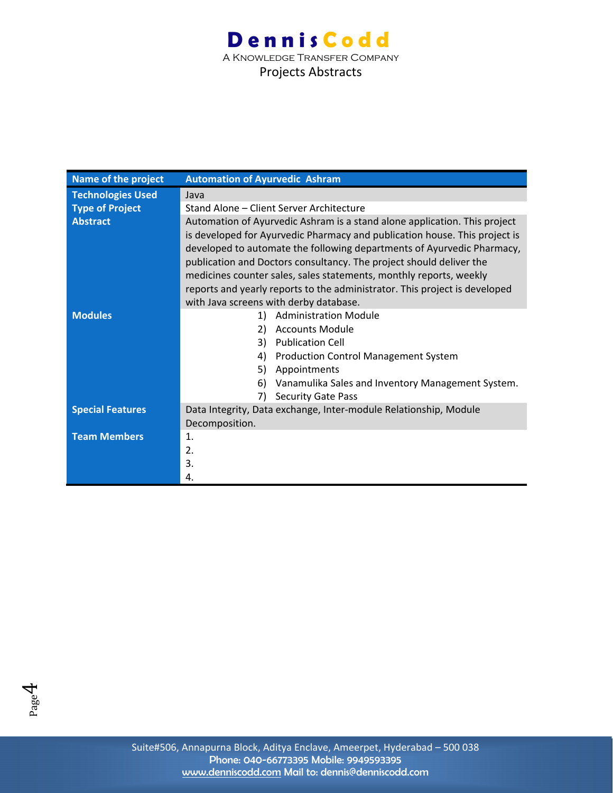| Name of the project      | <b>Automation of Ayurvedic Ashram</b>                                                                                                                                                                                                                                                                                                                                                                                                                                                                  |
|--------------------------|--------------------------------------------------------------------------------------------------------------------------------------------------------------------------------------------------------------------------------------------------------------------------------------------------------------------------------------------------------------------------------------------------------------------------------------------------------------------------------------------------------|
| <b>Technologies Used</b> | Java                                                                                                                                                                                                                                                                                                                                                                                                                                                                                                   |
| <b>Type of Project</b>   | Stand Alone - Client Server Architecture                                                                                                                                                                                                                                                                                                                                                                                                                                                               |
| <b>Abstract</b>          | Automation of Ayurvedic Ashram is a stand alone application. This project<br>is developed for Ayurvedic Pharmacy and publication house. This project is<br>developed to automate the following departments of Ayurvedic Pharmacy,<br>publication and Doctors consultancy. The project should deliver the<br>medicines counter sales, sales statements, monthly reports, weekly<br>reports and yearly reports to the administrator. This project is developed<br>with Java screens with derby database. |
| <b>Modules</b>           | <b>Administration Module</b><br>1)<br><b>Accounts Module</b><br>2)<br><b>Publication Cell</b><br>3)<br>4)<br><b>Production Control Management System</b><br>5)<br>Appointments<br>Vanamulika Sales and Inventory Management System.<br>6)<br><b>Security Gate Pass</b><br>7)                                                                                                                                                                                                                           |
| <b>Special Features</b>  | Data Integrity, Data exchange, Inter-module Relationship, Module<br>Decomposition.                                                                                                                                                                                                                                                                                                                                                                                                                     |
| <b>Team Members</b>      | 1.<br>2.<br>3.<br>4.                                                                                                                                                                                                                                                                                                                                                                                                                                                                                   |

 $P_{\text{age}}4$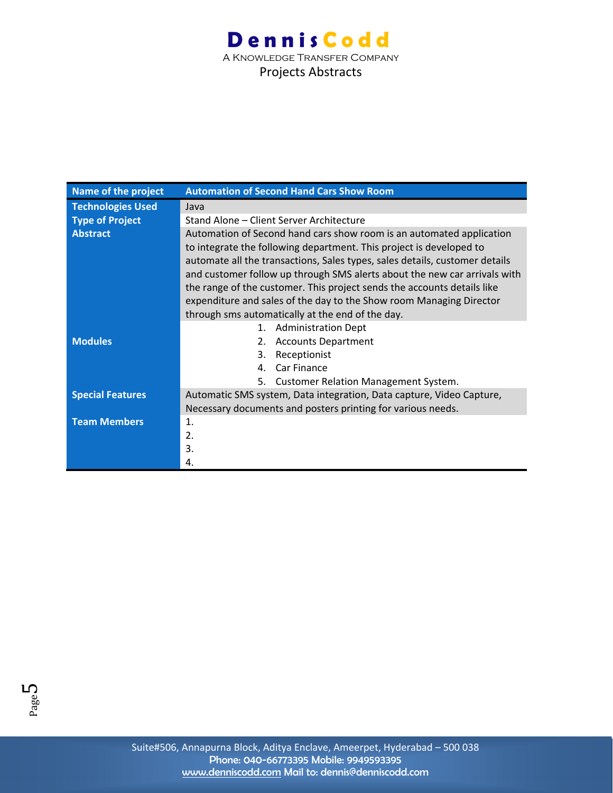### **Dennis Codd** A Knowledge Transfer Company Projects Abstracts

| Name of the project      | <b>Automation of Second Hand Cars Show Room</b>                                                                                             |
|--------------------------|---------------------------------------------------------------------------------------------------------------------------------------------|
| <b>Technologies Used</b> | Java                                                                                                                                        |
| <b>Type of Project</b>   | Stand Alone - Client Server Architecture                                                                                                    |
| <b>Abstract</b>          | Automation of Second hand cars show room is an automated application<br>to integrate the following department. This project is developed to |
|                          | automate all the transactions, Sales types, sales details, customer details                                                                 |
|                          | and customer follow up through SMS alerts about the new car arrivals with                                                                   |
|                          | the range of the customer. This project sends the accounts details like                                                                     |
|                          | expenditure and sales of the day to the Show room Managing Director                                                                         |
|                          | through sms automatically at the end of the day.                                                                                            |
|                          | 1. Administration Dept                                                                                                                      |
| <b>Modules</b>           | 2. Accounts Department                                                                                                                      |
|                          | 3.<br>Receptionist                                                                                                                          |
|                          | Car Finance<br>4.                                                                                                                           |
|                          | 5.<br><b>Customer Relation Management System.</b>                                                                                           |
| <b>Special Features</b>  | Automatic SMS system, Data integration, Data capture, Video Capture,                                                                        |
|                          | Necessary documents and posters printing for various needs.                                                                                 |
| <b>Team Members</b>      | 1.                                                                                                                                          |
|                          | 2.                                                                                                                                          |
|                          | 3.                                                                                                                                          |
|                          | 4.                                                                                                                                          |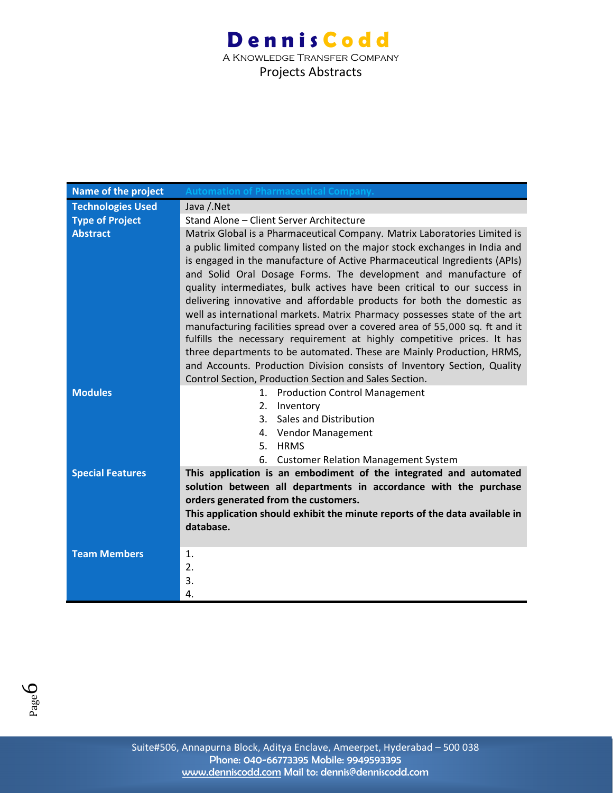| Name of the project      | <b>Automation of Pharmaceutical Company.</b>                                |
|--------------------------|-----------------------------------------------------------------------------|
| <b>Technologies Used</b> | Java / Net                                                                  |
| <b>Type of Project</b>   | Stand Alone - Client Server Architecture                                    |
| <b>Abstract</b>          | Matrix Global is a Pharmaceutical Company. Matrix Laboratories Limited is   |
|                          | a public limited company listed on the major stock exchanges in India and   |
|                          | is engaged in the manufacture of Active Pharmaceutical Ingredients (APIs)   |
|                          | and Solid Oral Dosage Forms. The development and manufacture of             |
|                          | quality intermediates, bulk actives have been critical to our success in    |
|                          | delivering innovative and affordable products for both the domestic as      |
|                          | well as international markets. Matrix Pharmacy possesses state of the art   |
|                          | manufacturing facilities spread over a covered area of 55,000 sq. ft and it |
|                          | fulfills the necessary requirement at highly competitive prices. It has     |
|                          | three departments to be automated. These are Mainly Production, HRMS,       |
|                          | and Accounts. Production Division consists of Inventory Section, Quality    |
|                          | Control Section, Production Section and Sales Section.                      |
| <b>Modules</b>           | 1. Production Control Management                                            |
|                          | 2.<br>Inventory<br>Sales and Distribution<br>3.                             |
|                          | Vendor Management<br>4.                                                     |
|                          | 5.<br><b>HRMS</b>                                                           |
|                          | 6.<br><b>Customer Relation Management System</b>                            |
| <b>Special Features</b>  | This application is an embodiment of the integrated and automated           |
|                          | solution between all departments in accordance with the purchase            |
|                          | orders generated from the customers.                                        |
|                          | This application should exhibit the minute reports of the data available in |
|                          | database.                                                                   |
|                          |                                                                             |
| <b>Team Members</b>      | $\mathbf{1}$ .                                                              |
|                          | 2.                                                                          |
|                          | 3.                                                                          |
|                          | 4.                                                                          |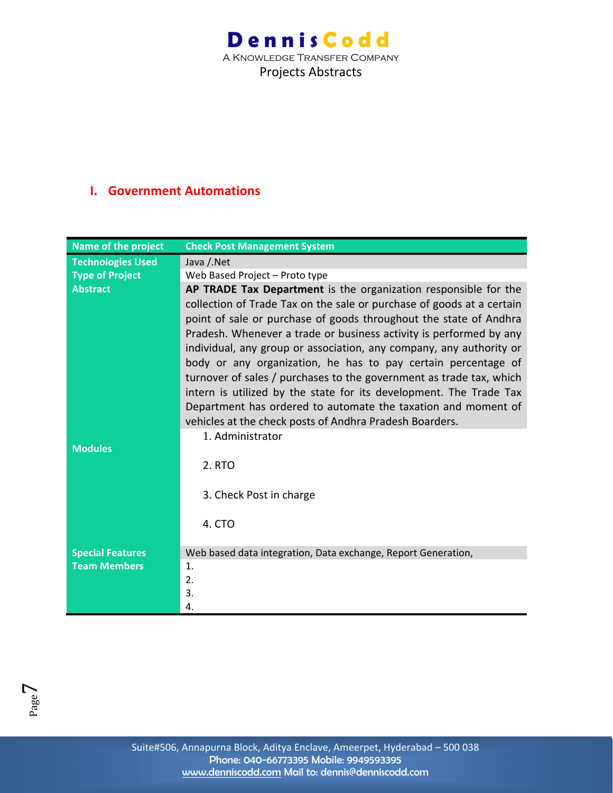A Knowledge Transfer Company Projects Abstracts

#### **I. Government Automations**

| <b>Name of the project</b> | <b>Check Post Management System</b>                                   |
|----------------------------|-----------------------------------------------------------------------|
| <b>Technologies Used</b>   | Java / Net                                                            |
| <b>Type of Project</b>     | Web Based Project - Proto type                                        |
| <b>Abstract</b>            | AP TRADE Tax Department is the organization responsible for the       |
|                            | collection of Trade Tax on the sale or purchase of goods at a certain |
|                            | point of sale or purchase of goods throughout the state of Andhra     |
|                            | Pradesh. Whenever a trade or business activity is performed by any    |
|                            | individual, any group or association, any company, any authority or   |
|                            | body or any organization, he has to pay certain percentage of         |
|                            | turnover of sales / purchases to the government as trade tax, which   |
|                            | intern is utilized by the state for its development. The Trade Tax    |
|                            | Department has ordered to automate the taxation and moment of         |
|                            | vehicles at the check posts of Andhra Pradesh Boarders.               |
|                            | 1. Administrator                                                      |
| <b>Modules</b>             |                                                                       |
|                            | 2. RTO                                                                |
|                            |                                                                       |
|                            | 3. Check Post in charge                                               |
|                            |                                                                       |
|                            | 4. CTO                                                                |
|                            |                                                                       |
| <b>Special Features</b>    | Web based data integration, Data exchange, Report Generation,         |
| <b>Team Members</b>        | $\mathbf{1}$ .                                                        |
|                            | 2.                                                                    |
|                            | 3.                                                                    |
|                            | 4.                                                                    |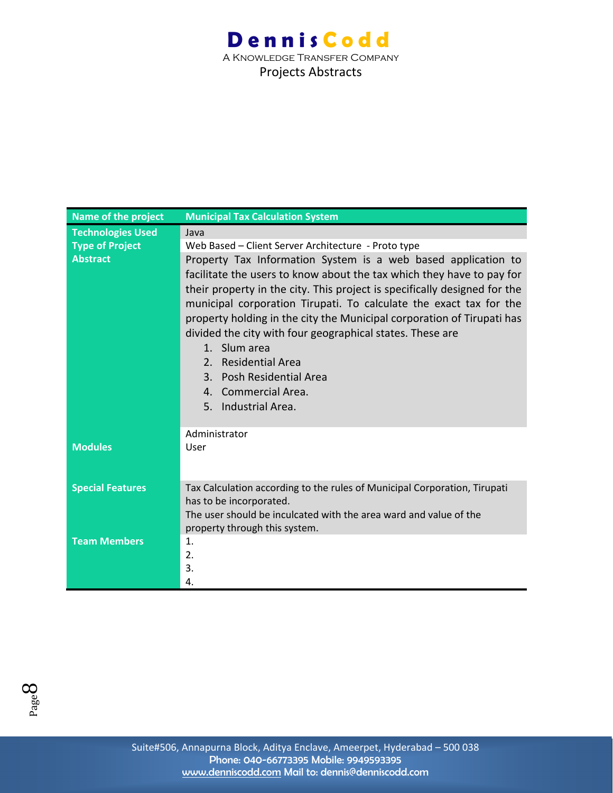| Name of the project      | <b>Municipal Tax Calculation System</b>                                                                                                                                                                                                                                                                                                                                                                                                                                                                                                                                    |
|--------------------------|----------------------------------------------------------------------------------------------------------------------------------------------------------------------------------------------------------------------------------------------------------------------------------------------------------------------------------------------------------------------------------------------------------------------------------------------------------------------------------------------------------------------------------------------------------------------------|
| <b>Technologies Used</b> | Java                                                                                                                                                                                                                                                                                                                                                                                                                                                                                                                                                                       |
| <b>Type of Project</b>   | Web Based - Client Server Architecture - Proto type                                                                                                                                                                                                                                                                                                                                                                                                                                                                                                                        |
| <b>Abstract</b>          | Property Tax Information System is a web based application to<br>facilitate the users to know about the tax which they have to pay for<br>their property in the city. This project is specifically designed for the<br>municipal corporation Tirupati. To calculate the exact tax for the<br>property holding in the city the Municipal corporation of Tirupati has<br>divided the city with four geographical states. These are<br>1. Slum area<br><b>Residential Area</b><br>2 <sup>1</sup><br>3. Posh Residential Area<br>4. Commercial Area.<br>Industrial Area.<br>5. |
|                          | Administrator                                                                                                                                                                                                                                                                                                                                                                                                                                                                                                                                                              |
| <b>Modules</b>           | User                                                                                                                                                                                                                                                                                                                                                                                                                                                                                                                                                                       |
| <b>Special Features</b>  | Tax Calculation according to the rules of Municipal Corporation, Tirupati<br>has to be incorporated.<br>The user should be inculcated with the area ward and value of the<br>property through this system.                                                                                                                                                                                                                                                                                                                                                                 |
| <b>Team Members</b>      | 1.<br>2.<br>3.<br>4.                                                                                                                                                                                                                                                                                                                                                                                                                                                                                                                                                       |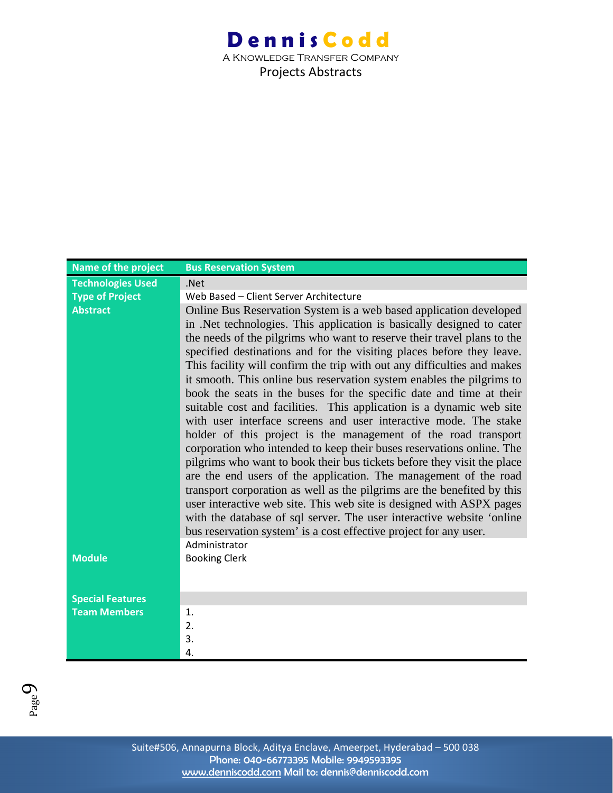| <b>Name of the project</b> | <b>Bus Reservation System</b>                                           |
|----------------------------|-------------------------------------------------------------------------|
| <b>Technologies Used</b>   | .Net                                                                    |
| <b>Type of Project</b>     | Web Based - Client Server Architecture                                  |
| <b>Abstract</b>            | Online Bus Reservation System is a web based application developed      |
|                            | in .Net technologies. This application is basically designed to cater   |
|                            | the needs of the pilgrims who want to reserve their travel plans to the |
|                            | specified destinations and for the visiting places before they leave.   |
|                            | This facility will confirm the trip with out any difficulties and makes |
|                            | it smooth. This online bus reservation system enables the pilgrims to   |
|                            | book the seats in the buses for the specific date and time at their     |
|                            | suitable cost and facilities. This application is a dynamic web site    |
|                            | with user interface screens and user interactive mode. The stake        |
|                            | holder of this project is the management of the road transport          |
|                            | corporation who intended to keep their buses reservations online. The   |
|                            | pilgrims who want to book their bus tickets before they visit the place |
|                            | are the end users of the application. The management of the road        |
|                            | transport corporation as well as the pilgrims are the benefited by this |
|                            | user interactive web site. This web site is designed with ASPX pages    |
|                            | with the database of sql server. The user interactive website 'online   |
|                            | bus reservation system' is a cost effective project for any user.       |
|                            | Administrator                                                           |
| <b>Module</b>              | <b>Booking Clerk</b>                                                    |
|                            |                                                                         |
| <b>Special Features</b>    |                                                                         |
| <b>Team Members</b>        | 1.                                                                      |
|                            | 2.                                                                      |
|                            | 3.                                                                      |
|                            | 4.                                                                      |

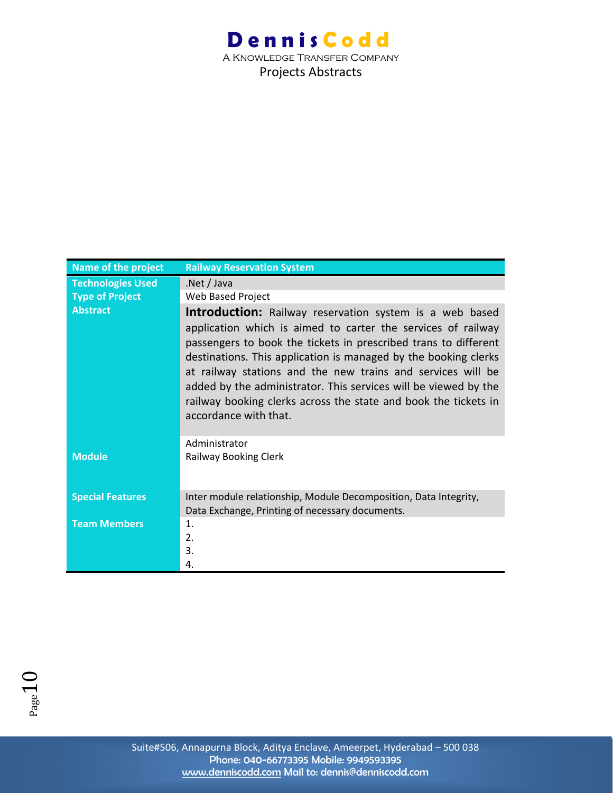A Knowledge Transfer Company Projects Abstracts

| Name of the project      | <b>Railway Reservation System</b>                                                                                                                                                                                                                                                                                                                                                                                                                                                                  |
|--------------------------|----------------------------------------------------------------------------------------------------------------------------------------------------------------------------------------------------------------------------------------------------------------------------------------------------------------------------------------------------------------------------------------------------------------------------------------------------------------------------------------------------|
| <b>Technologies Used</b> | Net / Java                                                                                                                                                                                                                                                                                                                                                                                                                                                                                         |
| <b>Type of Project</b>   | Web Based Project                                                                                                                                                                                                                                                                                                                                                                                                                                                                                  |
| <b>Abstract</b>          | <b>Introduction:</b> Railway reservation system is a web based<br>application which is aimed to carter the services of railway<br>passengers to book the tickets in prescribed trans to different<br>destinations. This application is managed by the booking clerks<br>at railway stations and the new trains and services will be<br>added by the administrator. This services will be viewed by the<br>railway booking clerks across the state and book the tickets in<br>accordance with that. |
|                          | Administrator                                                                                                                                                                                                                                                                                                                                                                                                                                                                                      |
| <b>Module</b>            | Railway Booking Clerk                                                                                                                                                                                                                                                                                                                                                                                                                                                                              |
| <b>Special Features</b>  | Inter module relationship, Module Decomposition, Data Integrity,                                                                                                                                                                                                                                                                                                                                                                                                                                   |
|                          | Data Exchange, Printing of necessary documents.                                                                                                                                                                                                                                                                                                                                                                                                                                                    |
| <b>Team Members</b>      | 1.                                                                                                                                                                                                                                                                                                                                                                                                                                                                                                 |
|                          | 2.                                                                                                                                                                                                                                                                                                                                                                                                                                                                                                 |
|                          | 3.                                                                                                                                                                                                                                                                                                                                                                                                                                                                                                 |
|                          | 4.                                                                                                                                                                                                                                                                                                                                                                                                                                                                                                 |

 $P_{\text{age}}10$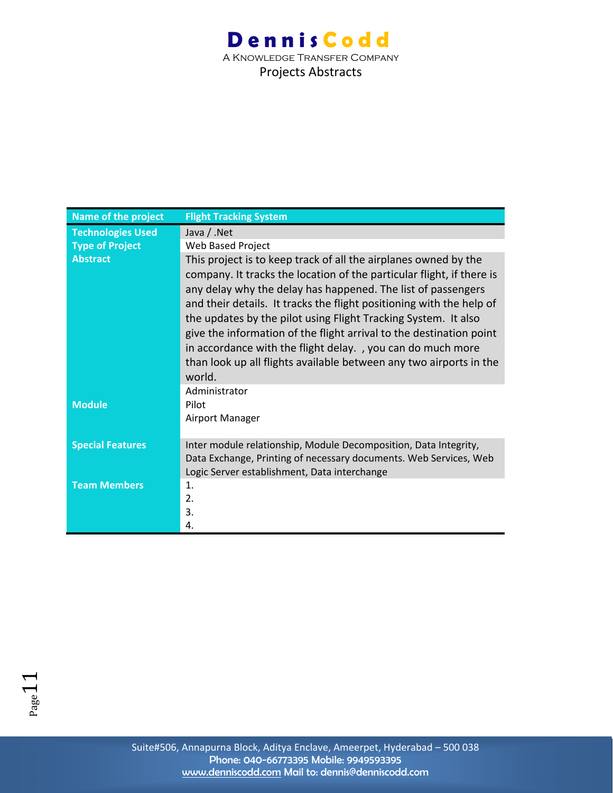| Name of the project      | <b>Flight Tracking System</b>                                                                                                                                                                                                                                                                                                                                                                                                                                                                                                                                            |
|--------------------------|--------------------------------------------------------------------------------------------------------------------------------------------------------------------------------------------------------------------------------------------------------------------------------------------------------------------------------------------------------------------------------------------------------------------------------------------------------------------------------------------------------------------------------------------------------------------------|
| <b>Technologies Used</b> | Java / .Net                                                                                                                                                                                                                                                                                                                                                                                                                                                                                                                                                              |
| <b>Type of Project</b>   | Web Based Project                                                                                                                                                                                                                                                                                                                                                                                                                                                                                                                                                        |
| <b>Abstract</b>          | This project is to keep track of all the airplanes owned by the<br>company. It tracks the location of the particular flight, if there is<br>any delay why the delay has happened. The list of passengers<br>and their details. It tracks the flight positioning with the help of<br>the updates by the pilot using Flight Tracking System. It also<br>give the information of the flight arrival to the destination point<br>in accordance with the flight delay. , you can do much more<br>than look up all flights available between any two airports in the<br>world. |
| <b>Module</b>            | Administrator<br>Pilot<br>Airport Manager                                                                                                                                                                                                                                                                                                                                                                                                                                                                                                                                |
| <b>Special Features</b>  | Inter module relationship, Module Decomposition, Data Integrity,<br>Data Exchange, Printing of necessary documents. Web Services, Web<br>Logic Server establishment, Data interchange                                                                                                                                                                                                                                                                                                                                                                                    |
| <b>Team Members</b>      | $\mathbf{1}$ .<br>2.<br>3.<br>4.                                                                                                                                                                                                                                                                                                                                                                                                                                                                                                                                         |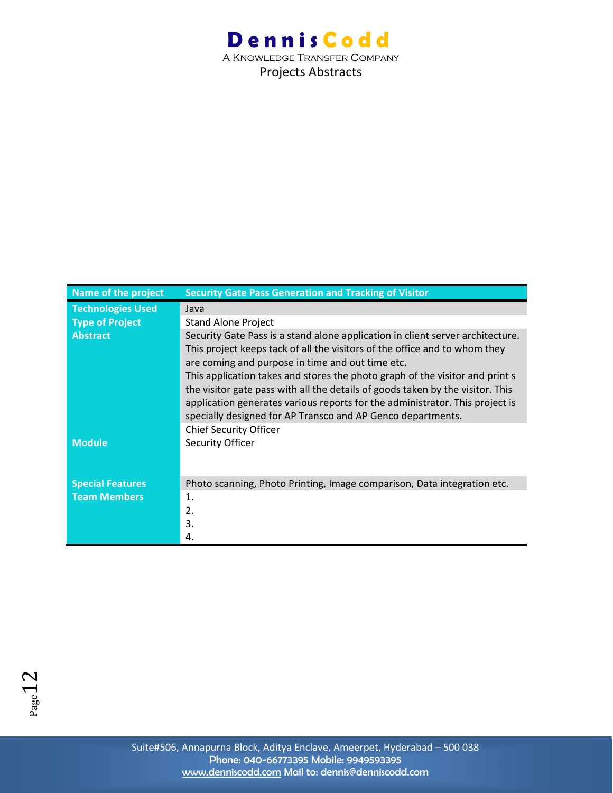A Knowledge Transfer Company Projects Abstracts

| <b>Name of the project</b> | <b>Security Gate Pass Generation and Tracking of Visitor</b>                                                                                                   |
|----------------------------|----------------------------------------------------------------------------------------------------------------------------------------------------------------|
| <b>Technologies Used</b>   | Java                                                                                                                                                           |
| <b>Type of Project</b>     | <b>Stand Alone Project</b>                                                                                                                                     |
| <b>Abstract</b>            | Security Gate Pass is a stand alone application in client server architecture.<br>This project keeps tack of all the visitors of the office and to whom they   |
|                            | are coming and purpose in time and out time etc.                                                                                                               |
|                            | This application takes and stores the photo graph of the visitor and print s<br>the visitor gate pass with all the details of goods taken by the visitor. This |
|                            | application generates various reports for the administrator. This project is<br>specially designed for AP Transco and AP Genco departments.                    |
|                            | <b>Chief Security Officer</b>                                                                                                                                  |
| <b>Module</b>              | Security Officer                                                                                                                                               |
| <b>Special Features</b>    | Photo scanning, Photo Printing, Image comparison, Data integration etc.                                                                                        |
| <b>Team Members</b>        | 1.                                                                                                                                                             |
|                            | 2.                                                                                                                                                             |
|                            | 3.                                                                                                                                                             |
|                            | 4.                                                                                                                                                             |

 $_{\rm Page}12$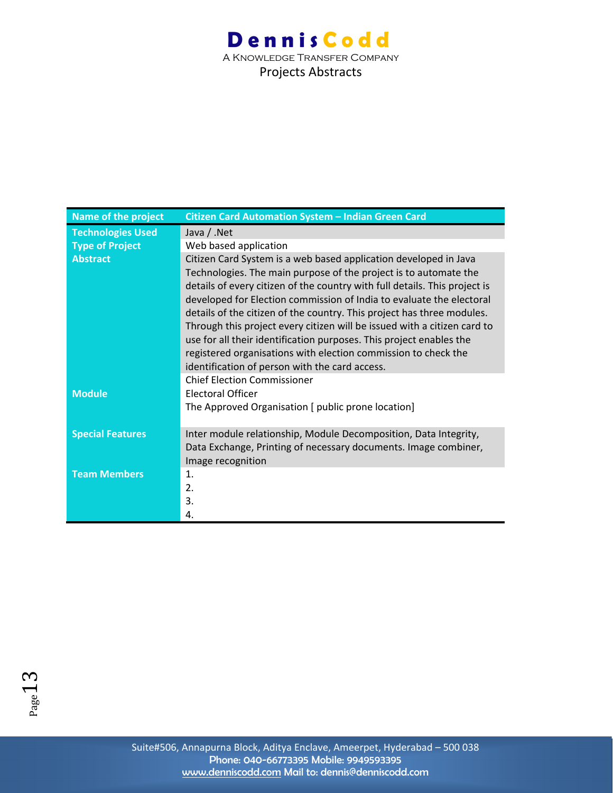| <b>Name of the project</b> | Citizen Card Automation System - Indian Green Card                         |
|----------------------------|----------------------------------------------------------------------------|
| <b>Technologies Used</b>   | Java / .Net                                                                |
| <b>Type of Project</b>     | Web based application                                                      |
| <b>Abstract</b>            | Citizen Card System is a web based application developed in Java           |
|                            | Technologies. The main purpose of the project is to automate the           |
|                            | details of every citizen of the country with full details. This project is |
|                            | developed for Election commission of India to evaluate the electoral       |
|                            | details of the citizen of the country. This project has three modules.     |
|                            | Through this project every citizen will be issued with a citizen card to   |
|                            | use for all their identification purposes. This project enables the        |
|                            | registered organisations with election commission to check the             |
|                            | identification of person with the card access.                             |
|                            | <b>Chief Election Commissioner</b>                                         |
| <b>Module</b>              | <b>Electoral Officer</b>                                                   |
|                            | The Approved Organisation [ public prone location]                         |
| <b>Special Features</b>    | Inter module relationship, Module Decomposition, Data Integrity,           |
|                            | Data Exchange, Printing of necessary documents. Image combiner,            |
|                            | Image recognition                                                          |
| <b>Team Members</b>        | $\mathbf{1}$ .                                                             |
|                            | 2.                                                                         |
|                            | 3.                                                                         |
|                            | 4.                                                                         |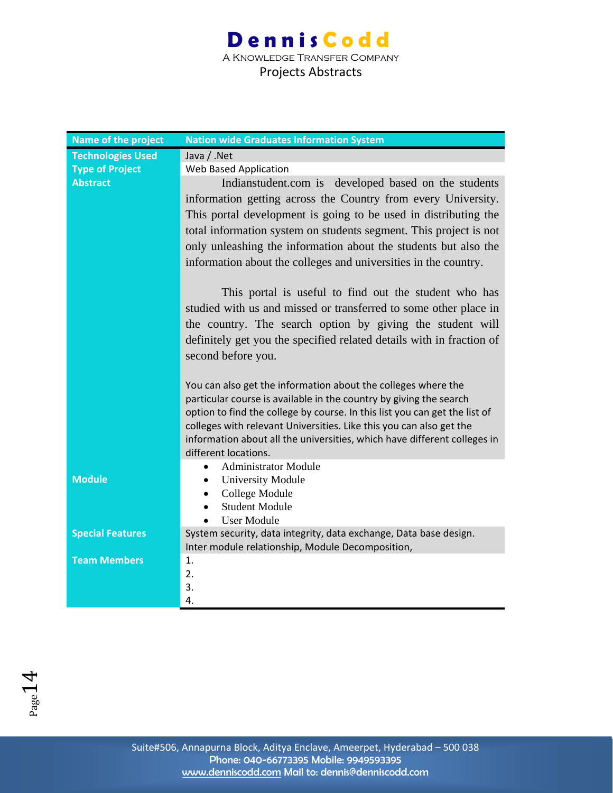### **Dennis Codd** A Knowledge Transfer Company Projects Abstracts

| <b>Name of the project</b> | <b>Nation wide Graduates Information System</b>                                                  |
|----------------------------|--------------------------------------------------------------------------------------------------|
| <b>Technologies Used</b>   | Java / .Net                                                                                      |
| <b>Type of Project</b>     | <b>Web Based Application</b>                                                                     |
| <b>Abstract</b>            | Indianstudent.com is developed based on the students                                             |
|                            | information getting across the Country from every University.                                    |
|                            | This portal development is going to be used in distributing the                                  |
|                            | total information system on students segment. This project is not                                |
|                            | only unleashing the information about the students but also the                                  |
|                            | information about the colleges and universities in the country.                                  |
|                            | This portal is useful to find out the student who has                                            |
|                            | studied with us and missed or transferred to some other place in                                 |
|                            | the country. The search option by giving the student will                                        |
|                            | definitely get you the specified related details with in fraction of                             |
|                            | second before you.                                                                               |
|                            |                                                                                                  |
|                            | You can also get the information about the colleges where the                                    |
|                            | particular course is available in the country by giving the search                               |
|                            | option to find the college by course. In this list you can get the list of                       |
|                            | colleges with relevant Universities. Like this you can also get the                              |
|                            | information about all the universities, which have different colleges in<br>different locations. |
|                            | <b>Administrator Module</b><br>$\bullet$                                                         |
| <b>Module</b>              | <b>University Module</b><br>$\bullet$                                                            |
|                            | College Module<br>$\bullet$                                                                      |
|                            | <b>Student Module</b><br>$\bullet$                                                               |
|                            | <b>User Module</b><br>$\bullet$                                                                  |
| <b>Special Features</b>    | System security, data integrity, data exchange, Data base design.                                |
|                            | Inter module relationship, Module Decomposition,                                                 |
| <b>Team Members</b>        | 1.                                                                                               |
|                            | 2.                                                                                               |
|                            | 3.<br>4.                                                                                         |
|                            |                                                                                                  |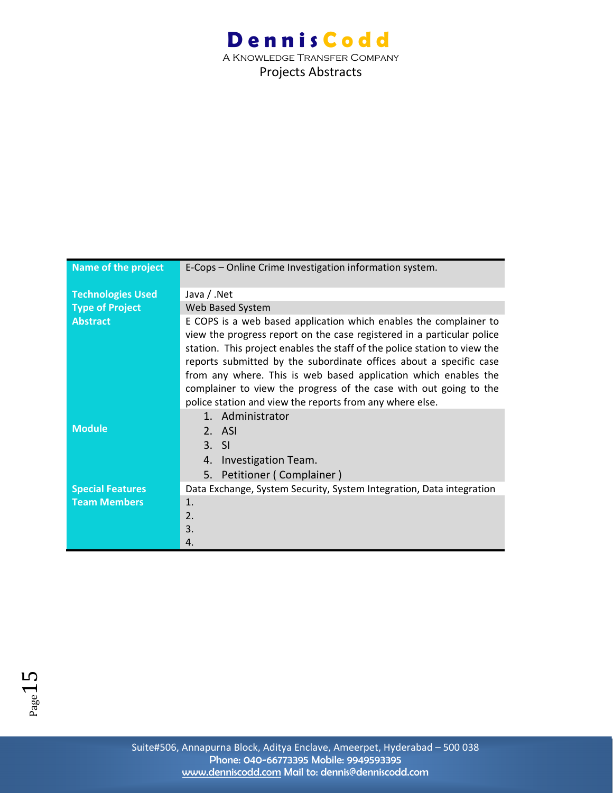| Name of the project      | E-Cops - Online Crime Investigation information system.                                                                                                                                                                                                                                                                                                                                                                                                                                            |
|--------------------------|----------------------------------------------------------------------------------------------------------------------------------------------------------------------------------------------------------------------------------------------------------------------------------------------------------------------------------------------------------------------------------------------------------------------------------------------------------------------------------------------------|
| <b>Technologies Used</b> | Java / .Net                                                                                                                                                                                                                                                                                                                                                                                                                                                                                        |
| <b>Type of Project</b>   | Web Based System                                                                                                                                                                                                                                                                                                                                                                                                                                                                                   |
| <b>Abstract</b>          | E COPS is a web based application which enables the complainer to<br>view the progress report on the case registered in a particular police<br>station. This project enables the staff of the police station to view the<br>reports submitted by the subordinate offices about a specific case<br>from any where. This is web based application which enables the<br>complainer to view the progress of the case with out going to the<br>police station and view the reports from any where else. |
|                          | 1. Administrator                                                                                                                                                                                                                                                                                                                                                                                                                                                                                   |
| <b>Module</b>            | 2. ASI                                                                                                                                                                                                                                                                                                                                                                                                                                                                                             |
|                          | $3. \,$ SI                                                                                                                                                                                                                                                                                                                                                                                                                                                                                         |
|                          | Investigation Team.<br>4.                                                                                                                                                                                                                                                                                                                                                                                                                                                                          |
|                          | 5. Petitioner (Complainer)                                                                                                                                                                                                                                                                                                                                                                                                                                                                         |
| <b>Special Features</b>  | Data Exchange, System Security, System Integration, Data integration                                                                                                                                                                                                                                                                                                                                                                                                                               |
| <b>Team Members</b>      | 1.                                                                                                                                                                                                                                                                                                                                                                                                                                                                                                 |
|                          | 2.                                                                                                                                                                                                                                                                                                                                                                                                                                                                                                 |
|                          | 3.                                                                                                                                                                                                                                                                                                                                                                                                                                                                                                 |
|                          | 4.                                                                                                                                                                                                                                                                                                                                                                                                                                                                                                 |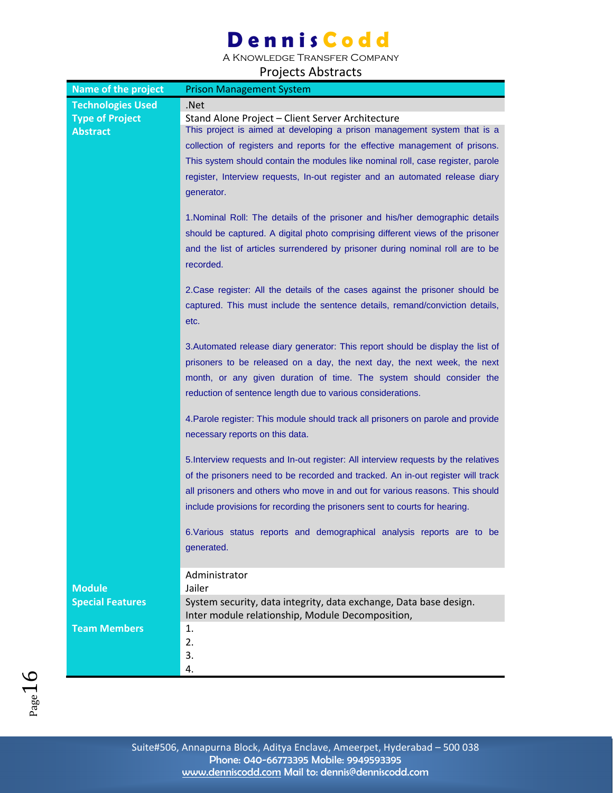A Knowledge Transfer Company

| Name of the project      | <b>Prison Management System</b>                                                    |
|--------------------------|------------------------------------------------------------------------------------|
| <b>Technologies Used</b> | .Net                                                                               |
| <b>Type of Project</b>   | Stand Alone Project - Client Server Architecture                                   |
| <b>Abstract</b>          | This project is aimed at developing a prison management system that is a           |
|                          | collection of registers and reports for the effective management of prisons.       |
|                          | This system should contain the modules like nominal roll, case register, parole    |
|                          | register, Interview requests, In-out register and an automated release diary       |
|                          | generator.                                                                         |
|                          |                                                                                    |
|                          | 1. Nominal Roll: The details of the prisoner and his/her demographic details       |
|                          | should be captured. A digital photo comprising different views of the prisoner     |
|                          | and the list of articles surrendered by prisoner during nominal roll are to be     |
|                          | recorded.                                                                          |
|                          |                                                                                    |
|                          | 2. Case register: All the details of the cases against the prisoner should be      |
|                          | captured. This must include the sentence details, remand/conviction details,       |
|                          | etc.                                                                               |
|                          |                                                                                    |
|                          | 3. Automated release diary generator: This report should be display the list of    |
|                          | prisoners to be released on a day, the next day, the next week, the next           |
|                          | month, or any given duration of time. The system should consider the               |
|                          | reduction of sentence length due to various considerations.                        |
|                          |                                                                                    |
|                          | 4. Parole register: This module should track all prisoners on parole and provide   |
|                          | necessary reports on this data.                                                    |
|                          |                                                                                    |
|                          | 5. Interview requests and In-out register: All interview requests by the relatives |
|                          | of the prisoners need to be recorded and tracked. An in-out register will track    |
|                          | all prisoners and others who move in and out for various reasons. This should      |
|                          | include provisions for recording the prisoners sent to courts for hearing.         |
|                          |                                                                                    |
|                          | 6. Various status reports and demographical analysis reports are to be             |
|                          | generated.                                                                         |
|                          |                                                                                    |
| <b>Module</b>            | Administrator                                                                      |
|                          | Jailer<br>System security, data integrity, data exchange, Data base design.        |
| <b>Special Features</b>  | Inter module relationship, Module Decomposition,                                   |
| <b>Team Members</b>      | 1.                                                                                 |
|                          | 2.                                                                                 |
|                          | 3.                                                                                 |
|                          | 4.                                                                                 |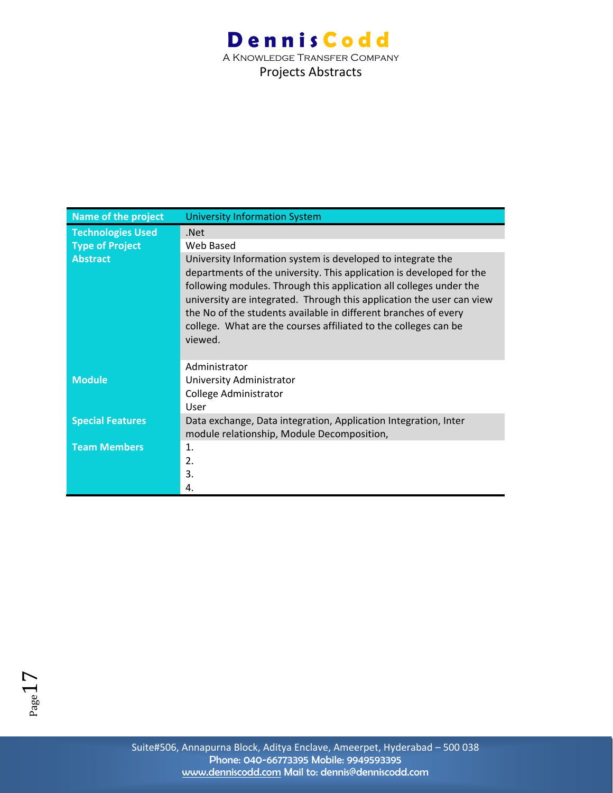Projects Abstracts

| <b>Name of the project</b> | <b>University Information System</b>                                                                                                                                                                                                                                                                                                                                                                                                |
|----------------------------|-------------------------------------------------------------------------------------------------------------------------------------------------------------------------------------------------------------------------------------------------------------------------------------------------------------------------------------------------------------------------------------------------------------------------------------|
| <b>Technologies Used</b>   | .Net                                                                                                                                                                                                                                                                                                                                                                                                                                |
| <b>Type of Project</b>     | Web Based                                                                                                                                                                                                                                                                                                                                                                                                                           |
| <b>Abstract</b>            | University Information system is developed to integrate the<br>departments of the university. This application is developed for the<br>following modules. Through this application all colleges under the<br>university are integrated. Through this application the user can view<br>the No of the students available in different branches of every<br>college. What are the courses affiliated to the colleges can be<br>viewed. |
|                            | Administrator                                                                                                                                                                                                                                                                                                                                                                                                                       |
| <b>Module</b>              | University Administrator                                                                                                                                                                                                                                                                                                                                                                                                            |
|                            | College Administrator                                                                                                                                                                                                                                                                                                                                                                                                               |
|                            | User                                                                                                                                                                                                                                                                                                                                                                                                                                |
| <b>Special Features</b>    | Data exchange, Data integration, Application Integration, Inter<br>module relationship, Module Decomposition,                                                                                                                                                                                                                                                                                                                       |
| <b>Team Members</b>        | $\mathbf{1}$ .                                                                                                                                                                                                                                                                                                                                                                                                                      |
|                            | 2.                                                                                                                                                                                                                                                                                                                                                                                                                                  |
|                            | 3.                                                                                                                                                                                                                                                                                                                                                                                                                                  |
|                            | 4.                                                                                                                                                                                                                                                                                                                                                                                                                                  |

Suite#506, Annapurna Block, Aditya Enclave, Ameerpet, Hyderabad – 500 038 Phone: 040-66773395 Mobile: 9949593395 www.denniscodd.com Mail to: dennis@denniscodd.com

 $P_{\text{age}}17$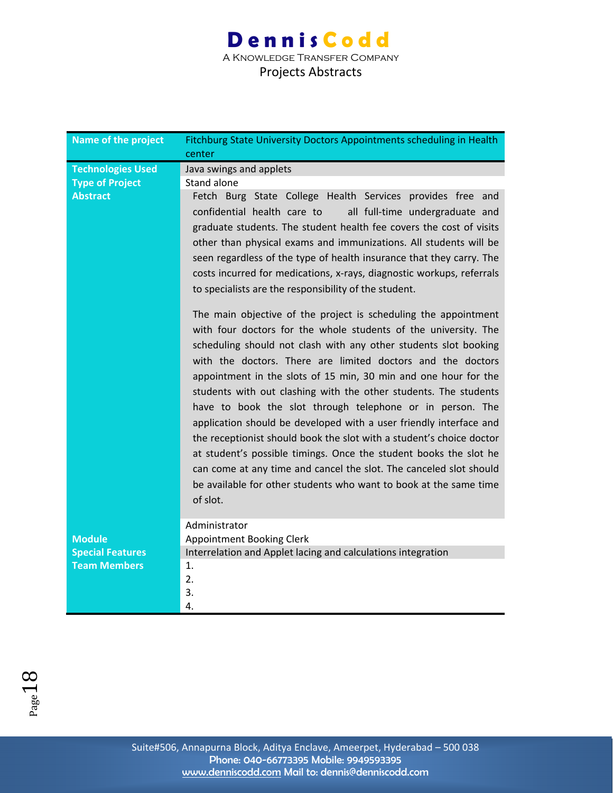### **Dennis Codd** A Knowledge Transfer Company Projects Abstracts

| <b>Name of the project</b> | Fitchburg State University Doctors Appointments scheduling in Health<br>center |
|----------------------------|--------------------------------------------------------------------------------|
| <b>Technologies Used</b>   | Java swings and applets                                                        |
| <b>Type of Project</b>     | Stand alone                                                                    |
| <b>Abstract</b>            | Fetch Burg State College Health Services provides free and                     |
|                            | confidential health care to<br>all full-time undergraduate and                 |
|                            | graduate students. The student health fee covers the cost of visits            |
|                            | other than physical exams and immunizations. All students will be              |
|                            |                                                                                |
|                            | seen regardless of the type of health insurance that they carry. The           |
|                            | costs incurred for medications, x-rays, diagnostic workups, referrals          |
|                            | to specialists are the responsibility of the student.                          |
|                            | The main objective of the project is scheduling the appointment                |
|                            |                                                                                |
|                            | with four doctors for the whole students of the university. The                |
|                            | scheduling should not clash with any other students slot booking               |
|                            | with the doctors. There are limited doctors and the doctors                    |
|                            | appointment in the slots of 15 min, 30 min and one hour for the                |
|                            | students with out clashing with the other students. The students               |
|                            | have to book the slot through telephone or in person. The                      |
|                            | application should be developed with a user friendly interface and             |
|                            | the receptionist should book the slot with a student's choice doctor           |
|                            | at student's possible timings. Once the student books the slot he              |
|                            |                                                                                |
|                            | can come at any time and cancel the slot. The canceled slot should             |
|                            | be available for other students who want to book at the same time              |
|                            | of slot.                                                                       |
|                            | Administrator                                                                  |
| <b>Module</b>              | Appointment Booking Clerk                                                      |
| <b>Special Features</b>    | Interrelation and Applet lacing and calculations integration                   |
| <b>Team Members</b>        | 1.                                                                             |
|                            | 2.                                                                             |
|                            | 3.                                                                             |
|                            | 4.                                                                             |

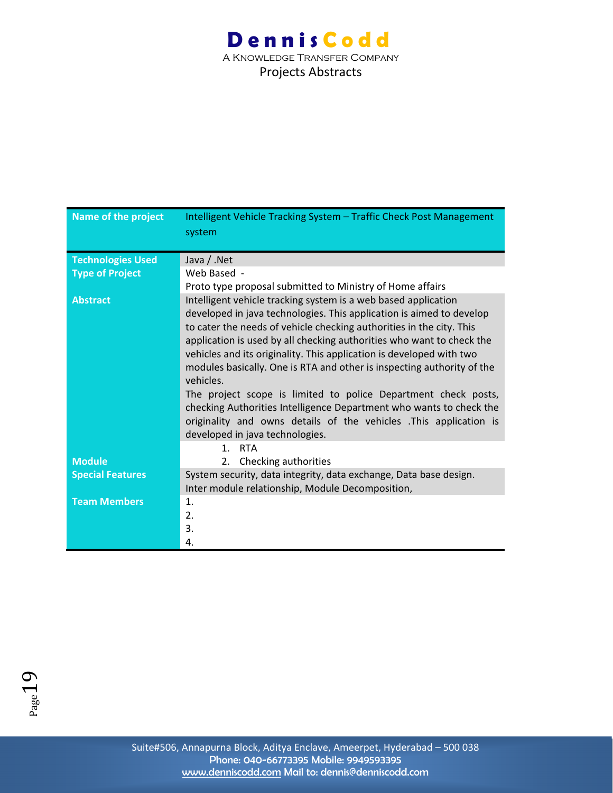| Name of the project      | Intelligent Vehicle Tracking System - Traffic Check Post Management    |
|--------------------------|------------------------------------------------------------------------|
|                          | system                                                                 |
|                          |                                                                        |
| <b>Technologies Used</b> | Java / .Net                                                            |
| <b>Type of Project</b>   | Web Based -                                                            |
|                          | Proto type proposal submitted to Ministry of Home affairs              |
| <b>Abstract</b>          | Intelligent vehicle tracking system is a web based application         |
|                          | developed in java technologies. This application is aimed to develop   |
|                          | to cater the needs of vehicle checking authorities in the city. This   |
|                          | application is used by all checking authorities who want to check the  |
|                          | vehicles and its originality. This application is developed with two   |
|                          | modules basically. One is RTA and other is inspecting authority of the |
|                          | vehicles.                                                              |
|                          | The project scope is limited to police Department check posts,         |
|                          | checking Authorities Intelligence Department who wants to check the    |
|                          | originality and owns details of the vehicles .This application is      |
|                          | developed in java technologies.                                        |
|                          | <b>RTA</b><br>1 <sub>1</sub>                                           |
| <b>Module</b>            | 2. Checking authorities                                                |
| <b>Special Features</b>  | System security, data integrity, data exchange, Data base design.      |
|                          | Inter module relationship, Module Decomposition,                       |
| <b>Team Members</b>      | 1.                                                                     |
|                          | 2.                                                                     |
|                          | 3.                                                                     |
|                          | 4.                                                                     |

 $Page19$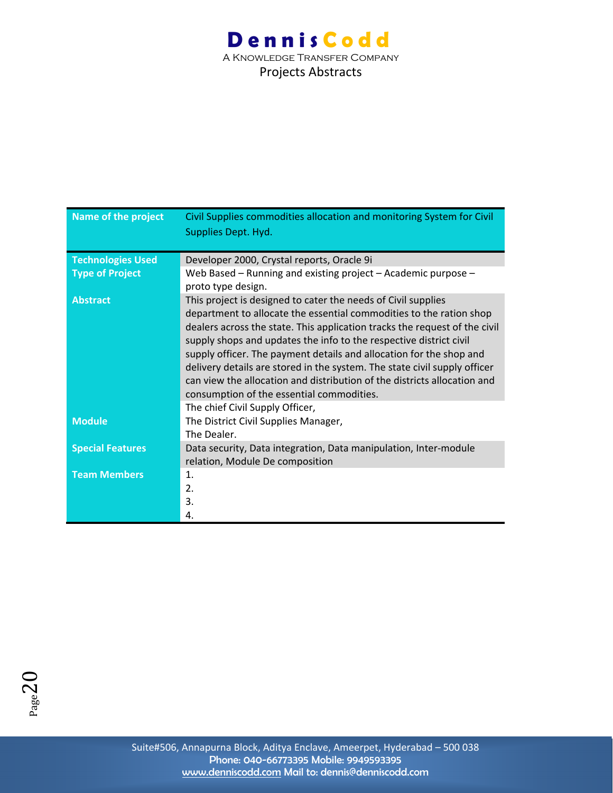| <b>Name of the project</b> | Civil Supplies commodities allocation and monitoring System for Civil                                                                                                                                                                                                                                                                                                                                                                                                                                                                                                 |
|----------------------------|-----------------------------------------------------------------------------------------------------------------------------------------------------------------------------------------------------------------------------------------------------------------------------------------------------------------------------------------------------------------------------------------------------------------------------------------------------------------------------------------------------------------------------------------------------------------------|
|                            | Supplies Dept. Hyd.                                                                                                                                                                                                                                                                                                                                                                                                                                                                                                                                                   |
|                            |                                                                                                                                                                                                                                                                                                                                                                                                                                                                                                                                                                       |
| <b>Technologies Used</b>   | Developer 2000, Crystal reports, Oracle 9i                                                                                                                                                                                                                                                                                                                                                                                                                                                                                                                            |
| <b>Type of Project</b>     | Web Based - Running and existing project - Academic purpose -<br>proto type design.                                                                                                                                                                                                                                                                                                                                                                                                                                                                                   |
| <b>Abstract</b>            | This project is designed to cater the needs of Civil supplies<br>department to allocate the essential commodities to the ration shop<br>dealers across the state. This application tracks the request of the civil<br>supply shops and updates the info to the respective district civil<br>supply officer. The payment details and allocation for the shop and<br>delivery details are stored in the system. The state civil supply officer<br>can view the allocation and distribution of the districts allocation and<br>consumption of the essential commodities. |
|                            | The chief Civil Supply Officer,                                                                                                                                                                                                                                                                                                                                                                                                                                                                                                                                       |
| <b>Module</b>              | The District Civil Supplies Manager,                                                                                                                                                                                                                                                                                                                                                                                                                                                                                                                                  |
|                            | The Dealer.                                                                                                                                                                                                                                                                                                                                                                                                                                                                                                                                                           |
| <b>Special Features</b>    | Data security, Data integration, Data manipulation, Inter-module<br>relation, Module De composition                                                                                                                                                                                                                                                                                                                                                                                                                                                                   |
| <b>Team Members</b>        | $\mathbf{1}$ .                                                                                                                                                                                                                                                                                                                                                                                                                                                                                                                                                        |
|                            | 2.                                                                                                                                                                                                                                                                                                                                                                                                                                                                                                                                                                    |
|                            | 3.                                                                                                                                                                                                                                                                                                                                                                                                                                                                                                                                                                    |
|                            | 4.                                                                                                                                                                                                                                                                                                                                                                                                                                                                                                                                                                    |

 $P_{\text{age}}20$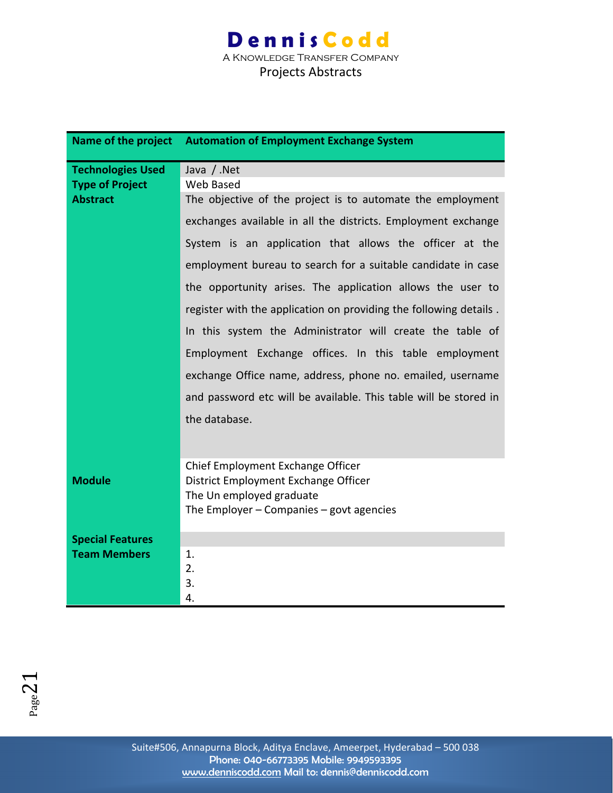A Knowledge Transfer Company Projects Abstracts

|                          | Name of the project Automation of Employment Exchange System      |
|--------------------------|-------------------------------------------------------------------|
| <b>Technologies Used</b> | Java / .Net                                                       |
| <b>Type of Project</b>   | Web Based                                                         |
| <b>Abstract</b>          | The objective of the project is to automate the employment        |
|                          | exchanges available in all the districts. Employment exchange     |
|                          | System is an application that allows the officer at the           |
|                          | employment bureau to search for a suitable candidate in case      |
|                          | the opportunity arises. The application allows the user to        |
|                          | register with the application on providing the following details. |
|                          | In this system the Administrator will create the table of         |
|                          | Employment Exchange offices. In this table employment             |
|                          | exchange Office name, address, phone no. emailed, username        |
|                          | and password etc will be available. This table will be stored in  |
|                          | the database.                                                     |
|                          |                                                                   |
|                          | Chief Employment Exchange Officer                                 |
| <b>Module</b>            | District Employment Exchange Officer                              |
|                          | The Un employed graduate                                          |
|                          | The Employer $-$ Companies $-$ govt agencies                      |
| <b>Special Features</b>  |                                                                   |
| <b>Team Members</b>      | 1.                                                                |
|                          | 2.                                                                |
|                          | 3.                                                                |
|                          | 4.                                                                |

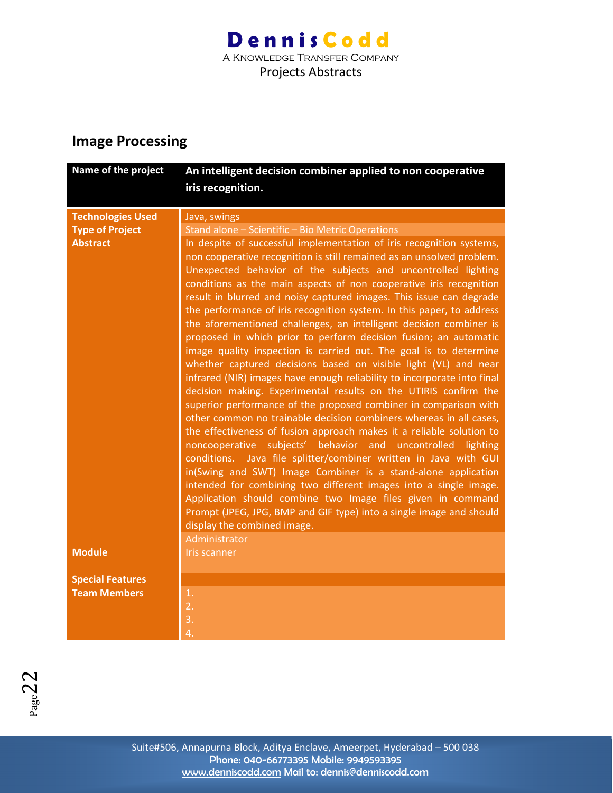Projects Abstracts

### **Image Processing**

| Name of the project      | An intelligent decision combiner applied to non cooperative<br>iris recognition.                                                           |
|--------------------------|--------------------------------------------------------------------------------------------------------------------------------------------|
|                          |                                                                                                                                            |
| <b>Technologies Used</b> | Java, swings                                                                                                                               |
| <b>Type of Project</b>   | Stand alone - Scientific - Bio Metric Operations                                                                                           |
| <b>Abstract</b>          | In despite of successful implementation of iris recognition systems,                                                                       |
|                          | non cooperative recognition is still remained as an unsolved problem.                                                                      |
|                          | Unexpected behavior of the subjects and uncontrolled lighting<br>conditions as the main aspects of non cooperative iris recognition        |
|                          | result in blurred and noisy captured images. This issue can degrade                                                                        |
|                          | the performance of iris recognition system. In this paper, to address                                                                      |
|                          | the aforementioned challenges, an intelligent decision combiner is                                                                         |
|                          | proposed in which prior to perform decision fusion; an automatic                                                                           |
|                          | image quality inspection is carried out. The goal is to determine                                                                          |
|                          | whether captured decisions based on visible light (VL) and near                                                                            |
|                          | infrared (NIR) images have enough reliability to incorporate into final                                                                    |
|                          | decision making. Experimental results on the UTIRIS confirm the                                                                            |
|                          | superior performance of the proposed combiner in comparison with                                                                           |
|                          | other common no trainable decision combiners whereas in all cases,<br>the effectiveness of fusion approach makes it a reliable solution to |
|                          | noncooperative subjects' behavior and uncontrolled lighting                                                                                |
|                          | conditions. Java file splitter/combiner written in Java with GUI                                                                           |
|                          | in(Swing and SWT) Image Combiner is a stand-alone application                                                                              |
|                          | intended for combining two different images into a single image.                                                                           |
|                          | Application should combine two Image files given in command                                                                                |
|                          | Prompt (JPEG, JPG, BMP and GIF type) into a single image and should                                                                        |
|                          | display the combined image.                                                                                                                |
|                          | Administrator                                                                                                                              |
| <b>Module</b>            | <b>Iris scanner</b>                                                                                                                        |
| <b>Special Features</b>  |                                                                                                                                            |
| <b>Team Members</b>      | 1.                                                                                                                                         |
|                          | $\overline{2}$ .                                                                                                                           |
|                          | 3.                                                                                                                                         |
|                          | 4.                                                                                                                                         |

 $P_{\text{age}}22$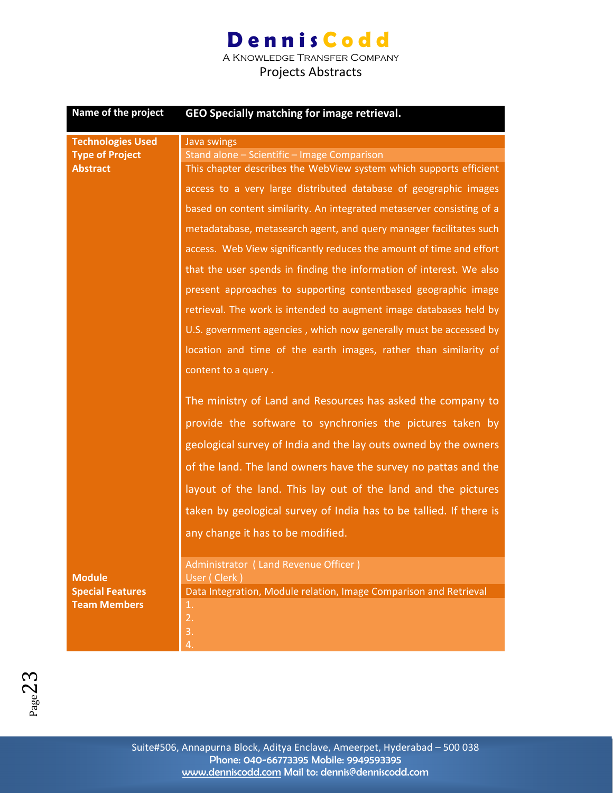A Knowledge Transfer Company

| Name of the project                                                   | GEO Specially matching for image retrieval.                                                                                                                                                                                                                                                                                                                                                                                               |
|-----------------------------------------------------------------------|-------------------------------------------------------------------------------------------------------------------------------------------------------------------------------------------------------------------------------------------------------------------------------------------------------------------------------------------------------------------------------------------------------------------------------------------|
| <b>Technologies Used</b><br><b>Type of Project</b><br><b>Abstract</b> | Java swings<br>Stand alone - Scientific - Image Comparison<br>This chapter describes the WebView system which supports efficient                                                                                                                                                                                                                                                                                                          |
|                                                                       | access to a very large distributed database of geographic images<br>based on content similarity. An integrated metaserver consisting of a<br>metadatabase, metasearch agent, and query manager facilitates such<br>access. Web View significantly reduces the amount of time and effort<br>that the user spends in finding the information of interest. We also                                                                           |
|                                                                       | present approaches to supporting contentbased geographic image<br>retrieval. The work is intended to augment image databases held by<br>U.S. government agencies, which now generally must be accessed by<br>location and time of the earth images, rather than similarity of<br>content to a query.                                                                                                                                      |
|                                                                       | The ministry of Land and Resources has asked the company to<br>provide the software to synchronies the pictures taken by<br>geological survey of India and the lay outs owned by the owners<br>of the land. The land owners have the survey no pattas and the<br>layout of the land. This lay out of the land and the pictures<br>taken by geological survey of India has to be tallied. If there is<br>any change it has to be modified. |
| <b>Module</b><br><b>Special Features</b>                              | Administrator (Land Revenue Officer)<br>User (Clerk)<br>Data Integration, Module relation, Image Comparison and Retrieval                                                                                                                                                                                                                                                                                                                 |
| <b>Team Members</b>                                                   | 1.<br>2.<br>3.<br>4.                                                                                                                                                                                                                                                                                                                                                                                                                      |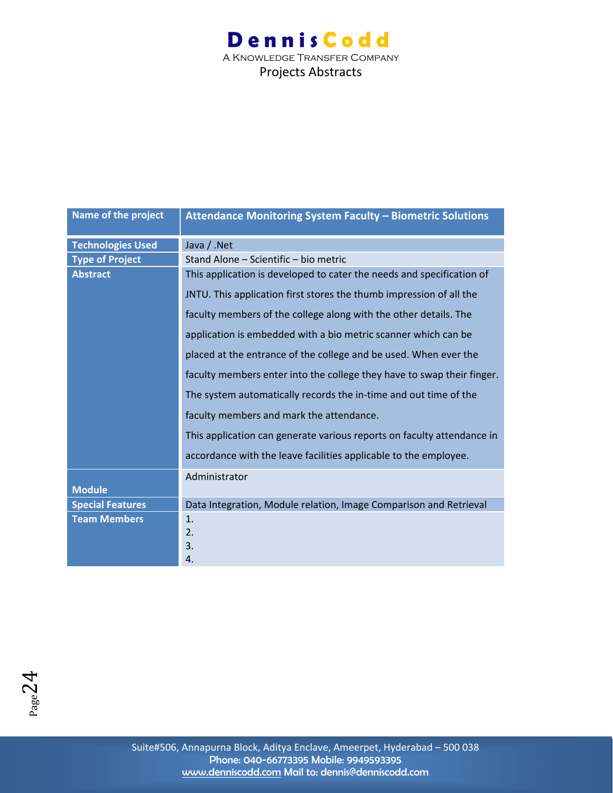| Name of the project      | Attendance Monitoring System Faculty - Biometric Solutions             |
|--------------------------|------------------------------------------------------------------------|
| <b>Technologies Used</b> | Java / .Net                                                            |
| <b>Type of Project</b>   | Stand Alone - Scientific - bio metric                                  |
| <b>Abstract</b>          | This application is developed to cater the needs and specification of  |
|                          | JNTU. This application first stores the thumb impression of all the    |
|                          | faculty members of the college along with the other details. The       |
|                          | application is embedded with a bio metric scanner which can be         |
|                          | placed at the entrance of the college and be used. When ever the       |
|                          | faculty members enter into the college they have to swap their finger. |
|                          | The system automatically records the in-time and out time of the       |
|                          | faculty members and mark the attendance.                               |
|                          | This application can generate various reports on faculty attendance in |
|                          | accordance with the leave facilities applicable to the employee.       |
|                          | Administrator                                                          |
| <b>Module</b>            |                                                                        |
| <b>Special Features</b>  | Data Integration, Module relation, Image Comparison and Retrieval      |
| <b>Team Members</b>      | 1.                                                                     |
|                          | 2.                                                                     |
|                          | 3.                                                                     |
|                          | 4.                                                                     |

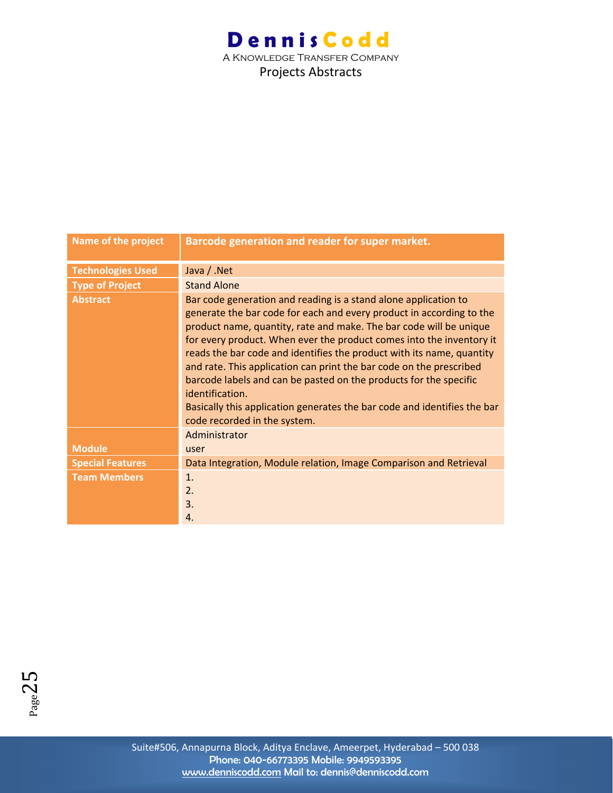| Name of the project      | Barcode generation and reader for super market.                                                                                                                                                                                                                                                                                                                                                                                                                                                                                                                                                                                           |
|--------------------------|-------------------------------------------------------------------------------------------------------------------------------------------------------------------------------------------------------------------------------------------------------------------------------------------------------------------------------------------------------------------------------------------------------------------------------------------------------------------------------------------------------------------------------------------------------------------------------------------------------------------------------------------|
| <b>Technologies Used</b> | Java / .Net                                                                                                                                                                                                                                                                                                                                                                                                                                                                                                                                                                                                                               |
| <b>Type of Project</b>   | <b>Stand Alone</b>                                                                                                                                                                                                                                                                                                                                                                                                                                                                                                                                                                                                                        |
| <b>Abstract</b>          | Bar code generation and reading is a stand alone application to<br>generate the bar code for each and every product in according to the<br>product name, quantity, rate and make. The bar code will be unique<br>for every product. When ever the product comes into the inventory it<br>reads the bar code and identifies the product with its name, quantity<br>and rate. This application can print the bar code on the prescribed<br>barcode labels and can be pasted on the products for the specific<br>identification.<br>Basically this application generates the bar code and identifies the bar<br>code recorded in the system. |
|                          | Administrator                                                                                                                                                                                                                                                                                                                                                                                                                                                                                                                                                                                                                             |
| <b>Module</b>            | user                                                                                                                                                                                                                                                                                                                                                                                                                                                                                                                                                                                                                                      |
| <b>Special Features</b>  | Data Integration, Module relation, Image Comparison and Retrieval                                                                                                                                                                                                                                                                                                                                                                                                                                                                                                                                                                         |
| <b>Team Members</b>      | 1 <sub>1</sub><br>2.<br>3.<br>4.                                                                                                                                                                                                                                                                                                                                                                                                                                                                                                                                                                                                          |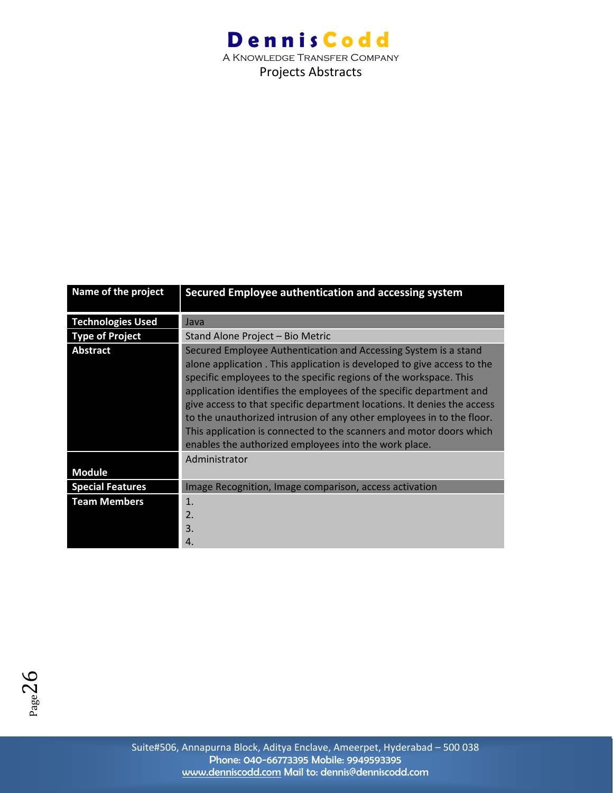| Name of the project      | Secured Employee authentication and accessing system                                                                                                                                                                                                                                                                                                                                                                                                                                                                                                                      |
|--------------------------|---------------------------------------------------------------------------------------------------------------------------------------------------------------------------------------------------------------------------------------------------------------------------------------------------------------------------------------------------------------------------------------------------------------------------------------------------------------------------------------------------------------------------------------------------------------------------|
| <b>Technologies Used</b> | Java                                                                                                                                                                                                                                                                                                                                                                                                                                                                                                                                                                      |
| <b>Type of Project</b>   | Stand Alone Project - Bio Metric                                                                                                                                                                                                                                                                                                                                                                                                                                                                                                                                          |
| <b>Abstract</b>          | Secured Employee Authentication and Accessing System is a stand<br>alone application. This application is developed to give access to the<br>specific employees to the specific regions of the workspace. This<br>application identifies the employees of the specific department and<br>give access to that specific department locations. It denies the access<br>to the unauthorized intrusion of any other employees in to the floor.<br>This application is connected to the scanners and motor doors which<br>enables the authorized employees into the work place. |
|                          | Administrator                                                                                                                                                                                                                                                                                                                                                                                                                                                                                                                                                             |
| <b>Module</b>            |                                                                                                                                                                                                                                                                                                                                                                                                                                                                                                                                                                           |
| <b>Special Features</b>  | Image Recognition, Image comparison, access activation                                                                                                                                                                                                                                                                                                                                                                                                                                                                                                                    |
| <b>Team Members</b>      | 1.<br>2.<br>3.<br>4.                                                                                                                                                                                                                                                                                                                                                                                                                                                                                                                                                      |

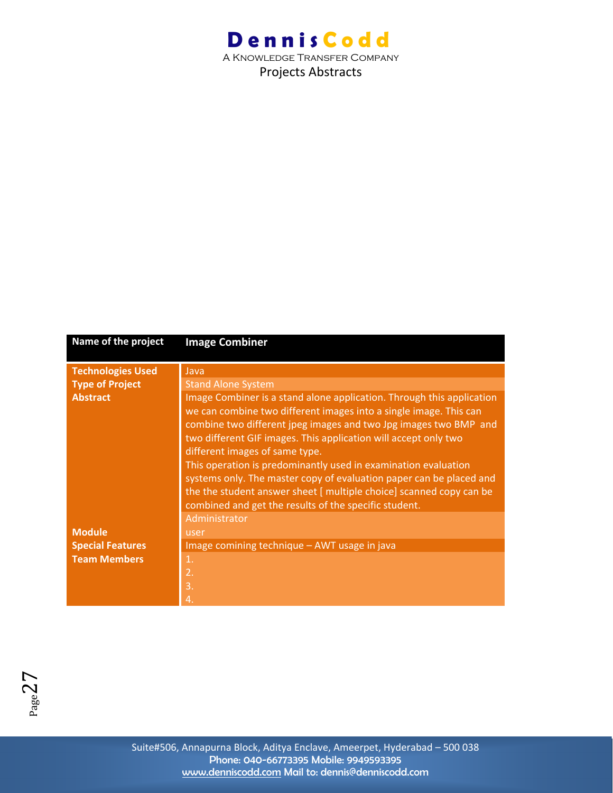A Knowledge Transfer Company Projects Abstracts

| Name of the project      | <b>Image Combiner</b>                                                                                                                                                                                                                                                                                                                                                                                                                                                                                                                                                                        |
|--------------------------|----------------------------------------------------------------------------------------------------------------------------------------------------------------------------------------------------------------------------------------------------------------------------------------------------------------------------------------------------------------------------------------------------------------------------------------------------------------------------------------------------------------------------------------------------------------------------------------------|
| <b>Technologies Used</b> | Java                                                                                                                                                                                                                                                                                                                                                                                                                                                                                                                                                                                         |
| <b>Type of Project</b>   | <b>Stand Alone System</b>                                                                                                                                                                                                                                                                                                                                                                                                                                                                                                                                                                    |
| <b>Abstract</b>          | Image Combiner is a stand alone application. Through this application<br>we can combine two different images into a single image. This can<br>combine two different jpeg images and two Jpg images two BMP and<br>two different GIF images. This application will accept only two<br>different images of same type.<br>This operation is predominantly used in examination evaluation<br>systems only. The master copy of evaluation paper can be placed and<br>the the student answer sheet [ multiple choice] scanned copy can be<br>combined and get the results of the specific student. |
|                          | Administrator                                                                                                                                                                                                                                                                                                                                                                                                                                                                                                                                                                                |
| <b>Module</b>            | user                                                                                                                                                                                                                                                                                                                                                                                                                                                                                                                                                                                         |
| <b>Special Features</b>  | Image comining technique - AWT usage in java                                                                                                                                                                                                                                                                                                                                                                                                                                                                                                                                                 |
| <b>Team Members</b>      | 1.                                                                                                                                                                                                                                                                                                                                                                                                                                                                                                                                                                                           |
|                          | 2.                                                                                                                                                                                                                                                                                                                                                                                                                                                                                                                                                                                           |
|                          | 3.                                                                                                                                                                                                                                                                                                                                                                                                                                                                                                                                                                                           |
|                          | 4.                                                                                                                                                                                                                                                                                                                                                                                                                                                                                                                                                                                           |

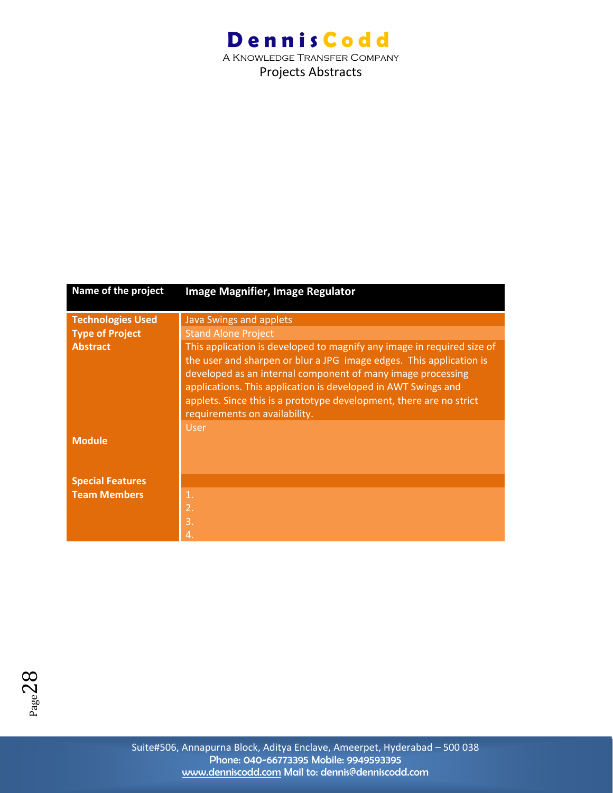A Knowledge Transfer Company Projects Abstracts

| Name of the project      | Image Magnifier, Image Regulator                                                                                                                                                                                                                                                                            |
|--------------------------|-------------------------------------------------------------------------------------------------------------------------------------------------------------------------------------------------------------------------------------------------------------------------------------------------------------|
| <b>Technologies Used</b> | <b>Java Swings and applets</b>                                                                                                                                                                                                                                                                              |
| <b>Type of Project</b>   | <b>Stand Alone Project</b>                                                                                                                                                                                                                                                                                  |
| <b>Abstract</b>          | This application is developed to magnify any image in required size of                                                                                                                                                                                                                                      |
|                          | the user and sharpen or blur a JPG image edges. This application is<br>developed as an internal component of many image processing<br>applications. This application is developed in AWT Swings and<br>applets. Since this is a prototype development, there are no strict<br>requirements on availability. |
|                          | <b>User</b>                                                                                                                                                                                                                                                                                                 |
| <b>Module</b>            |                                                                                                                                                                                                                                                                                                             |
| <b>Special Features</b>  |                                                                                                                                                                                                                                                                                                             |
| <b>Team Members</b>      | 1.                                                                                                                                                                                                                                                                                                          |
|                          | 2.                                                                                                                                                                                                                                                                                                          |
|                          | 3.                                                                                                                                                                                                                                                                                                          |
|                          | 4                                                                                                                                                                                                                                                                                                           |

 $P_{\text{age}}28$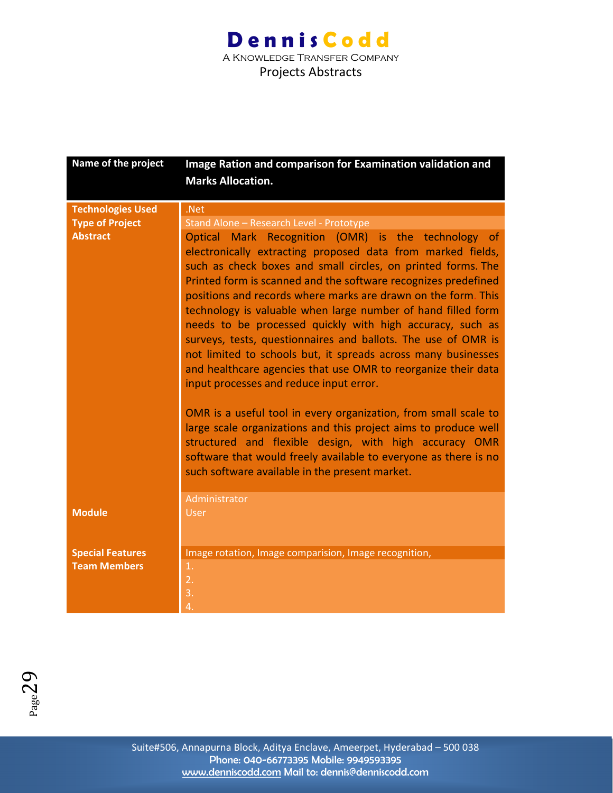| Name of the project      | Image Ration and comparison for Examination validation and                                                                                                                                                                                                                                                                                                                                                                                                                                                                                                                                                                                                                                       |
|--------------------------|--------------------------------------------------------------------------------------------------------------------------------------------------------------------------------------------------------------------------------------------------------------------------------------------------------------------------------------------------------------------------------------------------------------------------------------------------------------------------------------------------------------------------------------------------------------------------------------------------------------------------------------------------------------------------------------------------|
|                          | <b>Marks Allocation.</b>                                                                                                                                                                                                                                                                                                                                                                                                                                                                                                                                                                                                                                                                         |
|                          |                                                                                                                                                                                                                                                                                                                                                                                                                                                                                                                                                                                                                                                                                                  |
| <b>Technologies Used</b> | .Net                                                                                                                                                                                                                                                                                                                                                                                                                                                                                                                                                                                                                                                                                             |
| <b>Type of Project</b>   | Stand Alone - Research Level - Prototype                                                                                                                                                                                                                                                                                                                                                                                                                                                                                                                                                                                                                                                         |
| <b>Abstract</b>          | Optical Mark Recognition (OMR) is the technology of<br>electronically extracting proposed data from marked fields,<br>such as check boxes and small circles, on printed forms. The<br>Printed form is scanned and the software recognizes predefined<br>positions and records where marks are drawn on the form. This<br>technology is valuable when large number of hand filled form<br>needs to be processed quickly with high accuracy, such as<br>surveys, tests, questionnaires and ballots. The use of OMR is<br>not limited to schools but, it spreads across many businesses<br>and healthcare agencies that use OMR to reorganize their data<br>input processes and reduce input error. |
|                          | OMR is a useful tool in every organization, from small scale to<br>large scale organizations and this project aims to produce well<br>structured and flexible design, with high accuracy OMR<br>software that would freely available to everyone as there is no<br>such software available in the present market.                                                                                                                                                                                                                                                                                                                                                                                |
|                          | Administrator                                                                                                                                                                                                                                                                                                                                                                                                                                                                                                                                                                                                                                                                                    |
| <b>Module</b>            | <b>User</b>                                                                                                                                                                                                                                                                                                                                                                                                                                                                                                                                                                                                                                                                                      |
| <b>Special Features</b>  | Image rotation, Image comparision, Image recognition,                                                                                                                                                                                                                                                                                                                                                                                                                                                                                                                                                                                                                                            |
| <b>Team Members</b>      | 1.                                                                                                                                                                                                                                                                                                                                                                                                                                                                                                                                                                                                                                                                                               |
|                          | $\overline{2}$ .                                                                                                                                                                                                                                                                                                                                                                                                                                                                                                                                                                                                                                                                                 |
|                          | 3.                                                                                                                                                                                                                                                                                                                                                                                                                                                                                                                                                                                                                                                                                               |
|                          | $\overline{4}$                                                                                                                                                                                                                                                                                                                                                                                                                                                                                                                                                                                                                                                                                   |

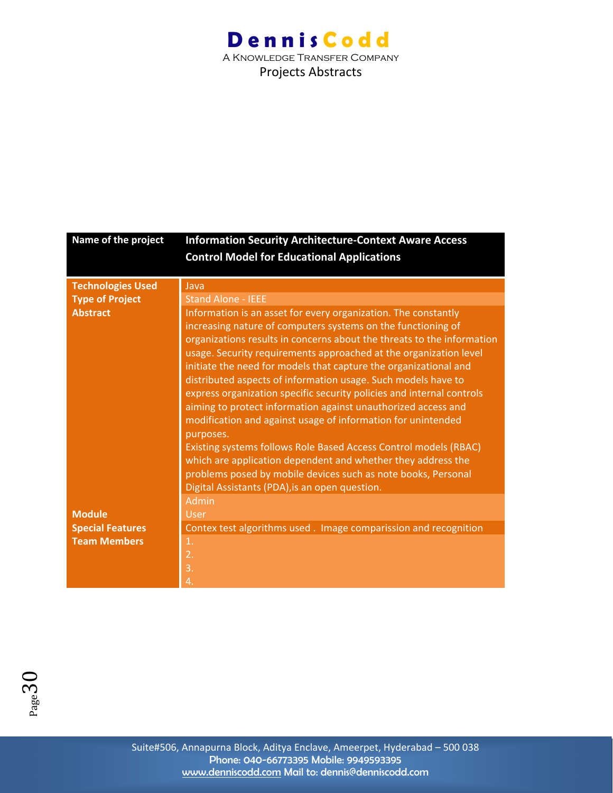A Knowledge Transfer Company Projects Abstracts

| Name of the project      | <b>Information Security Architecture-Context Aware Access</b>          |
|--------------------------|------------------------------------------------------------------------|
|                          | <b>Control Model for Educational Applications</b>                      |
|                          |                                                                        |
| <b>Technologies Used</b> | Java                                                                   |
| <b>Type of Project</b>   | <b>Stand Alone - IEEE</b>                                              |
| <b>Abstract</b>          | Information is an asset for every organization. The constantly         |
|                          | increasing nature of computers systems on the functioning of           |
|                          | organizations results in concerns about the threats to the information |
|                          | usage. Security requirements approached at the organization level      |
|                          | initiate the need for models that capture the organizational and       |
|                          | distributed aspects of information usage. Such models have to          |
|                          | express organization specific security policies and internal controls  |
|                          | aiming to protect information against unauthorized access and          |
|                          | modification and against usage of information for unintended           |
|                          | purposes.                                                              |
|                          | Existing systems follows Role Based Access Control models (RBAC)       |
|                          | which are application dependent and whether they address the           |
|                          | problems posed by mobile devices such as note books, Personal          |
|                          | Digital Assistants (PDA), is an open question.                         |
|                          | Admin                                                                  |
| <b>Module</b>            | <b>User</b>                                                            |
| <b>Special Features</b>  | Contex test algorithms used. Image comparission and recognition        |
| <b>Team Members</b>      | 1.                                                                     |
|                          | 2.                                                                     |
|                          | 3.                                                                     |
|                          | $\overline{4}$                                                         |

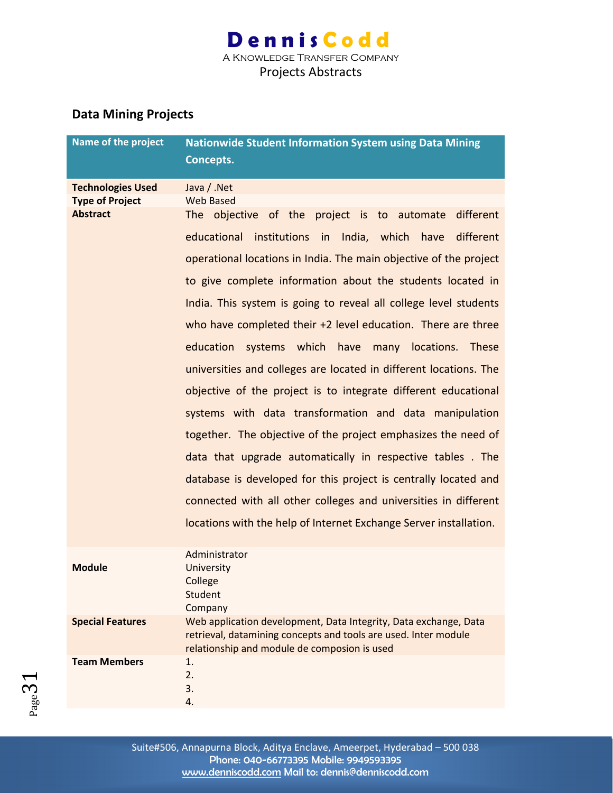Projects Abstracts

#### **Data Mining Projects**

| Name of the project      | <b>Nationwide Student Information System using Data Mining</b><br>Concepts.                                                                                                         |
|--------------------------|-------------------------------------------------------------------------------------------------------------------------------------------------------------------------------------|
| <b>Technologies Used</b> | Java / .Net                                                                                                                                                                         |
| <b>Type of Project</b>   | <b>Web Based</b>                                                                                                                                                                    |
| <b>Abstract</b>          | The objective of the project is to automate<br>different                                                                                                                            |
|                          | educational institutions in India, which have different                                                                                                                             |
|                          | operational locations in India. The main objective of the project                                                                                                                   |
|                          | to give complete information about the students located in                                                                                                                          |
|                          | India. This system is going to reveal all college level students                                                                                                                    |
|                          | who have completed their $+2$ level education. There are three                                                                                                                      |
|                          | systems which have many locations. These<br>education                                                                                                                               |
|                          | universities and colleges are located in different locations. The                                                                                                                   |
|                          | objective of the project is to integrate different educational                                                                                                                      |
|                          | systems with data transformation and data manipulation                                                                                                                              |
|                          | together. The objective of the project emphasizes the need of                                                                                                                       |
|                          | data that upgrade automatically in respective tables. The                                                                                                                           |
|                          | database is developed for this project is centrally located and                                                                                                                     |
|                          | connected with all other colleges and universities in different                                                                                                                     |
|                          | locations with the help of Internet Exchange Server installation.                                                                                                                   |
|                          | Administrator                                                                                                                                                                       |
| <b>Module</b>            | University<br>College                                                                                                                                                               |
|                          | Student                                                                                                                                                                             |
|                          | Company                                                                                                                                                                             |
| <b>Special Features</b>  | Web application development, Data Integrity, Data exchange, Data<br>retrieval, datamining concepts and tools are used. Inter module<br>relationship and module de composion is used |
| <b>Team Members</b>      | 1.                                                                                                                                                                                  |
|                          | 2.<br>3.                                                                                                                                                                            |
|                          | 4.                                                                                                                                                                                  |



Suite#506, Annapurna Block, Aditya Enclave, Ameerpet, Hyderabad – 500 038 Phone: 040-66773395 Mobile: 9949593395 www.denniscodd.com Mail to: dennis@denniscodd.com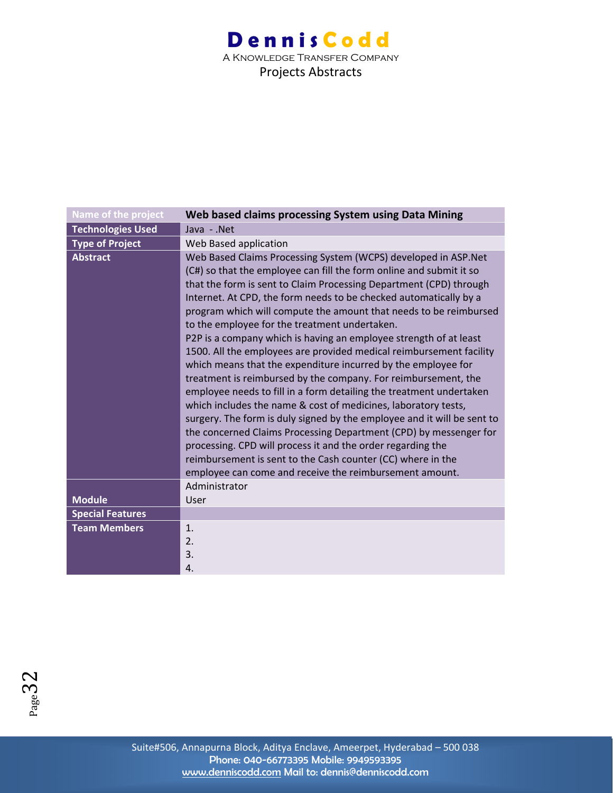A Knowledge Transfer Company Projects Abstracts

| Name of the project      | Web based claims processing System using Data Mining                                                                                                                                                                                                                                                                                                                                                                                                                                                                                                                                                                                                                                                                                                                                                                                                                                                                                                                                                                                                                                                                                                                    |
|--------------------------|-------------------------------------------------------------------------------------------------------------------------------------------------------------------------------------------------------------------------------------------------------------------------------------------------------------------------------------------------------------------------------------------------------------------------------------------------------------------------------------------------------------------------------------------------------------------------------------------------------------------------------------------------------------------------------------------------------------------------------------------------------------------------------------------------------------------------------------------------------------------------------------------------------------------------------------------------------------------------------------------------------------------------------------------------------------------------------------------------------------------------------------------------------------------------|
| <b>Technologies Used</b> | Java - .Net                                                                                                                                                                                                                                                                                                                                                                                                                                                                                                                                                                                                                                                                                                                                                                                                                                                                                                                                                                                                                                                                                                                                                             |
| <b>Type of Project</b>   | Web Based application                                                                                                                                                                                                                                                                                                                                                                                                                                                                                                                                                                                                                                                                                                                                                                                                                                                                                                                                                                                                                                                                                                                                                   |
| <b>Abstract</b>          | Web Based Claims Processing System (WCPS) developed in ASP.Net<br>(C#) so that the employee can fill the form online and submit it so<br>that the form is sent to Claim Processing Department (CPD) through<br>Internet. At CPD, the form needs to be checked automatically by a<br>program which will compute the amount that needs to be reimbursed<br>to the employee for the treatment undertaken.<br>P2P is a company which is having an employee strength of at least<br>1500. All the employees are provided medical reimbursement facility<br>which means that the expenditure incurred by the employee for<br>treatment is reimbursed by the company. For reimbursement, the<br>employee needs to fill in a form detailing the treatment undertaken<br>which includes the name & cost of medicines, laboratory tests,<br>surgery. The form is duly signed by the employee and it will be sent to<br>the concerned Claims Processing Department (CPD) by messenger for<br>processing. CPD will process it and the order regarding the<br>reimbursement is sent to the Cash counter (CC) where in the<br>employee can come and receive the reimbursement amount. |
|                          | Administrator                                                                                                                                                                                                                                                                                                                                                                                                                                                                                                                                                                                                                                                                                                                                                                                                                                                                                                                                                                                                                                                                                                                                                           |
| <b>Module</b>            | User                                                                                                                                                                                                                                                                                                                                                                                                                                                                                                                                                                                                                                                                                                                                                                                                                                                                                                                                                                                                                                                                                                                                                                    |
| <b>Special Features</b>  |                                                                                                                                                                                                                                                                                                                                                                                                                                                                                                                                                                                                                                                                                                                                                                                                                                                                                                                                                                                                                                                                                                                                                                         |
| <b>Team Members</b>      | 1.<br>2.<br>3.<br>4.                                                                                                                                                                                                                                                                                                                                                                                                                                                                                                                                                                                                                                                                                                                                                                                                                                                                                                                                                                                                                                                                                                                                                    |

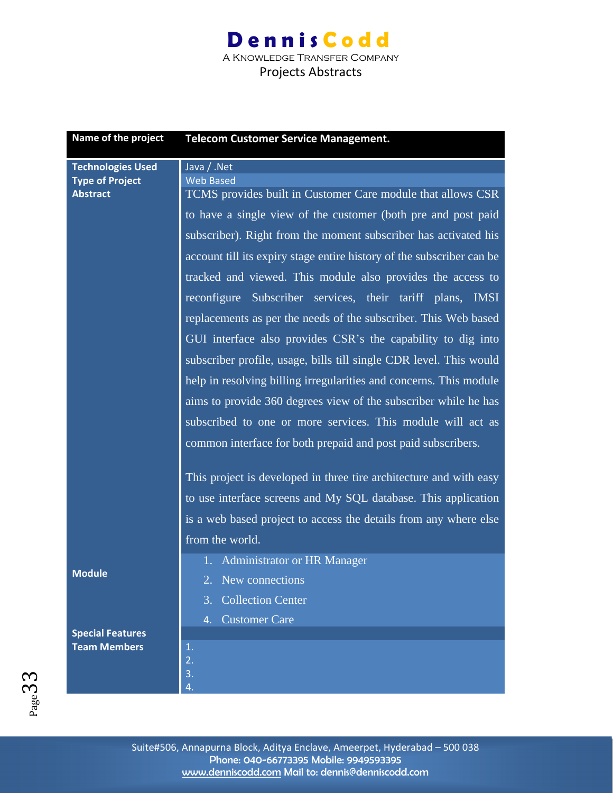A Knowledge Transfer Company Projects Abstracts

| Name of the project                            | <b>Telecom Customer Service Management.</b>                           |
|------------------------------------------------|-----------------------------------------------------------------------|
| <b>Technologies Used</b>                       | Java / .Net<br><b>Web Based</b>                                       |
| <b>Type of Project</b><br><b>Abstract</b>      | TCMS provides built in Customer Care module that allows CSR           |
|                                                | to have a single view of the customer (both pre and post paid         |
|                                                | subscriber). Right from the moment subscriber has activated his       |
|                                                | account till its expiry stage entire history of the subscriber can be |
|                                                | tracked and viewed. This module also provides the access to           |
|                                                | reconfigure Subscriber services, their tariff plans, IMSI             |
|                                                | replacements as per the needs of the subscriber. This Web based       |
|                                                | GUI interface also provides CSR's the capability to dig into          |
|                                                | subscriber profile, usage, bills till single CDR level. This would    |
|                                                | help in resolving billing irregularities and concerns. This module    |
|                                                | aims to provide 360 degrees view of the subscriber while he has       |
|                                                | subscribed to one or more services. This module will act as           |
|                                                | common interface for both prepaid and post paid subscribers.          |
|                                                |                                                                       |
|                                                | This project is developed in three tire architecture and with easy    |
|                                                | to use interface screens and My SQL database. This application        |
|                                                | is a web based project to access the details from any where else      |
|                                                | from the world.                                                       |
|                                                | 1. Administrator or HR Manager                                        |
| <b>Module</b>                                  | New connections                                                       |
|                                                | <b>Collection Center</b><br>3.                                        |
|                                                | <b>Customer Care</b><br>$\overline{4}$ .                              |
| <b>Special Features</b><br><b>Team Members</b> | 1.                                                                    |
|                                                | 2.                                                                    |
|                                                | 3.<br>4.                                                              |

Page33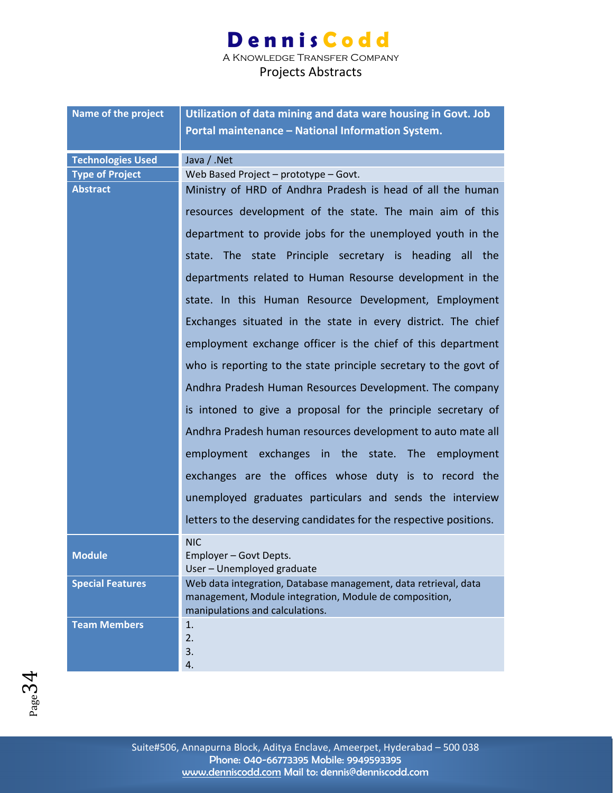A Knowledge Transfer Company

| Name of the project      | Utilization of data mining and data ware housing in Govt. Job                             |
|--------------------------|-------------------------------------------------------------------------------------------|
|                          | Portal maintenance - National Information System.                                         |
|                          |                                                                                           |
| <b>Technologies Used</b> | Java / .Net                                                                               |
| <b>Type of Project</b>   | Web Based Project - prototype - Govt.                                                     |
| <b>Abstract</b>          | Ministry of HRD of Andhra Pradesh is head of all the human                                |
|                          | resources development of the state. The main aim of this                                  |
|                          | department to provide jobs for the unemployed youth in the                                |
|                          | state. The state Principle secretary is heading all the                                   |
|                          | departments related to Human Resourse development in the                                  |
|                          | state. In this Human Resource Development, Employment                                     |
|                          | Exchanges situated in the state in every district. The chief                              |
|                          | employment exchange officer is the chief of this department                               |
|                          | who is reporting to the state principle secretary to the govt of                          |
|                          | Andhra Pradesh Human Resources Development. The company                                   |
|                          | is intoned to give a proposal for the principle secretary of                              |
|                          | Andhra Pradesh human resources development to auto mate all                               |
|                          | employment exchanges in the state. The employment                                         |
|                          | exchanges are the offices whose duty is to record the                                     |
|                          | unemployed graduates particulars and sends the interview                                  |
|                          | letters to the deserving candidates for the respective positions.                         |
|                          | <b>NIC</b>                                                                                |
| <b>Module</b>            | Employer - Govt Depts.                                                                    |
|                          | User - Unemployed graduate                                                                |
| <b>Special Features</b>  | Web data integration, Database management, data retrieval, data                           |
|                          | management, Module integration, Module de composition,<br>manipulations and calculations. |
| <b>Team Members</b>      | 1.                                                                                        |
|                          | 2.                                                                                        |
|                          | 3.                                                                                        |
|                          | 4.                                                                                        |

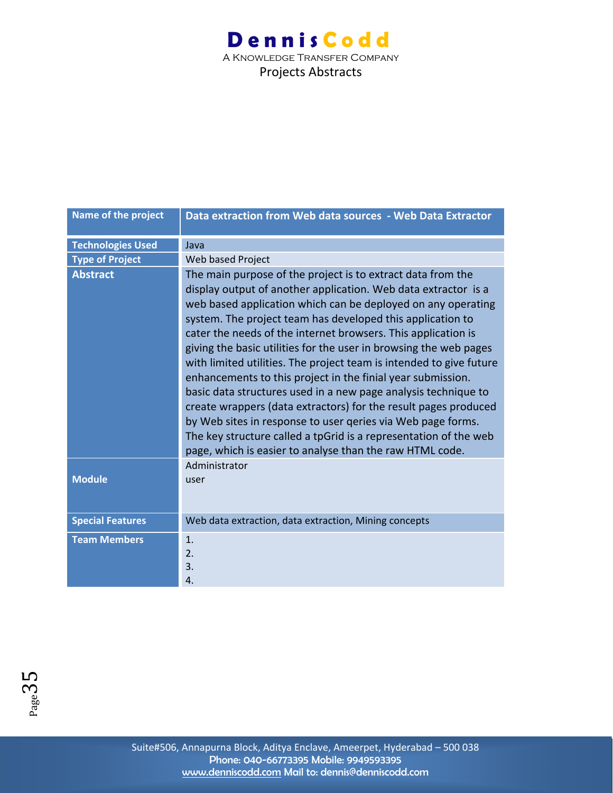A Knowledge Transfer Company Projects Abstracts

| Name of the project      | Data extraction from Web data sources - Web Data Extractor                                                                                                                                                                                                                                                                                                                                                                                                                                                                                                                                                                                                                                                                                                                                                                                                                  |
|--------------------------|-----------------------------------------------------------------------------------------------------------------------------------------------------------------------------------------------------------------------------------------------------------------------------------------------------------------------------------------------------------------------------------------------------------------------------------------------------------------------------------------------------------------------------------------------------------------------------------------------------------------------------------------------------------------------------------------------------------------------------------------------------------------------------------------------------------------------------------------------------------------------------|
| <b>Technologies Used</b> | Java                                                                                                                                                                                                                                                                                                                                                                                                                                                                                                                                                                                                                                                                                                                                                                                                                                                                        |
| <b>Type of Project</b>   | Web based Project                                                                                                                                                                                                                                                                                                                                                                                                                                                                                                                                                                                                                                                                                                                                                                                                                                                           |
| <b>Abstract</b>          | The main purpose of the project is to extract data from the<br>display output of another application. Web data extractor is a<br>web based application which can be deployed on any operating<br>system. The project team has developed this application to<br>cater the needs of the internet browsers. This application is<br>giving the basic utilities for the user in browsing the web pages<br>with limited utilities. The project team is intended to give future<br>enhancements to this project in the finial year submission.<br>basic data structures used in a new page analysis technique to<br>create wrappers (data extractors) for the result pages produced<br>by Web sites in response to user geries via Web page forms.<br>The key structure called a tpGrid is a representation of the web<br>page, which is easier to analyse than the raw HTML code. |
| <b>Module</b>            | Administrator<br>user                                                                                                                                                                                                                                                                                                                                                                                                                                                                                                                                                                                                                                                                                                                                                                                                                                                       |
| <b>Special Features</b>  | Web data extraction, data extraction, Mining concepts                                                                                                                                                                                                                                                                                                                                                                                                                                                                                                                                                                                                                                                                                                                                                                                                                       |
| <b>Team Members</b>      | 1.<br>2.<br>3.<br>4.                                                                                                                                                                                                                                                                                                                                                                                                                                                                                                                                                                                                                                                                                                                                                                                                                                                        |

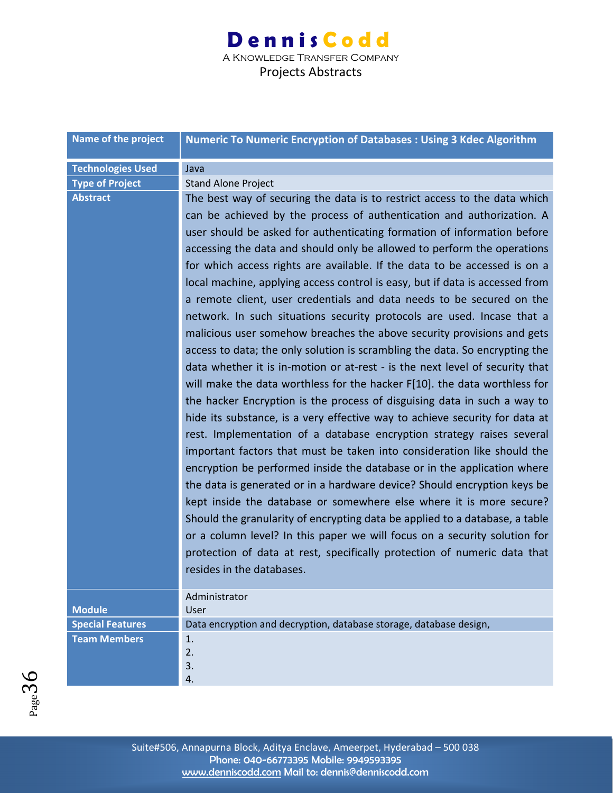A Knowledge Transfer Company Projects Abstracts

| Name of the project      | <b>Numeric To Numeric Encryption of Databases: Using 3 Kdec Algorithm</b>                                                                                                                                                                                                                                                                                                                                                                                                                                                                                                                                                                                                                                                                                                                                                                                                                                                                                                                                                                                                                                 |
|--------------------------|-----------------------------------------------------------------------------------------------------------------------------------------------------------------------------------------------------------------------------------------------------------------------------------------------------------------------------------------------------------------------------------------------------------------------------------------------------------------------------------------------------------------------------------------------------------------------------------------------------------------------------------------------------------------------------------------------------------------------------------------------------------------------------------------------------------------------------------------------------------------------------------------------------------------------------------------------------------------------------------------------------------------------------------------------------------------------------------------------------------|
| <b>Technologies Used</b> | Java                                                                                                                                                                                                                                                                                                                                                                                                                                                                                                                                                                                                                                                                                                                                                                                                                                                                                                                                                                                                                                                                                                      |
| <b>Type of Project</b>   | <b>Stand Alone Project</b>                                                                                                                                                                                                                                                                                                                                                                                                                                                                                                                                                                                                                                                                                                                                                                                                                                                                                                                                                                                                                                                                                |
| <b>Abstract</b>          | The best way of securing the data is to restrict access to the data which<br>can be achieved by the process of authentication and authorization. A<br>user should be asked for authenticating formation of information before<br>accessing the data and should only be allowed to perform the operations<br>for which access rights are available. If the data to be accessed is on a<br>local machine, applying access control is easy, but if data is accessed from<br>a remote client, user credentials and data needs to be secured on the<br>network. In such situations security protocols are used. Incase that a<br>malicious user somehow breaches the above security provisions and gets<br>access to data; the only solution is scrambling the data. So encrypting the<br>data whether it is in-motion or at-rest - is the next level of security that<br>will make the data worthless for the hacker F[10]. the data worthless for<br>the hacker Encryption is the process of disguising data in such a way to<br>hide its substance, is a very effective way to achieve security for data at |
|                          | rest. Implementation of a database encryption strategy raises several<br>important factors that must be taken into consideration like should the<br>encryption be performed inside the database or in the application where<br>the data is generated or in a hardware device? Should encryption keys be<br>kept inside the database or somewhere else where it is more secure?<br>Should the granularity of encrypting data be applied to a database, a table<br>or a column level? In this paper we will focus on a security solution for<br>protection of data at rest, specifically protection of numeric data that<br>resides in the databases.                                                                                                                                                                                                                                                                                                                                                                                                                                                       |
|                          | Administrator                                                                                                                                                                                                                                                                                                                                                                                                                                                                                                                                                                                                                                                                                                                                                                                                                                                                                                                                                                                                                                                                                             |
| <b>Module</b>            | User                                                                                                                                                                                                                                                                                                                                                                                                                                                                                                                                                                                                                                                                                                                                                                                                                                                                                                                                                                                                                                                                                                      |
| <b>Special Features</b>  | Data encryption and decryption, database storage, database design,                                                                                                                                                                                                                                                                                                                                                                                                                                                                                                                                                                                                                                                                                                                                                                                                                                                                                                                                                                                                                                        |
| <b>Team Members</b>      | 1.<br>2.<br>3.<br>4.                                                                                                                                                                                                                                                                                                                                                                                                                                                                                                                                                                                                                                                                                                                                                                                                                                                                                                                                                                                                                                                                                      |

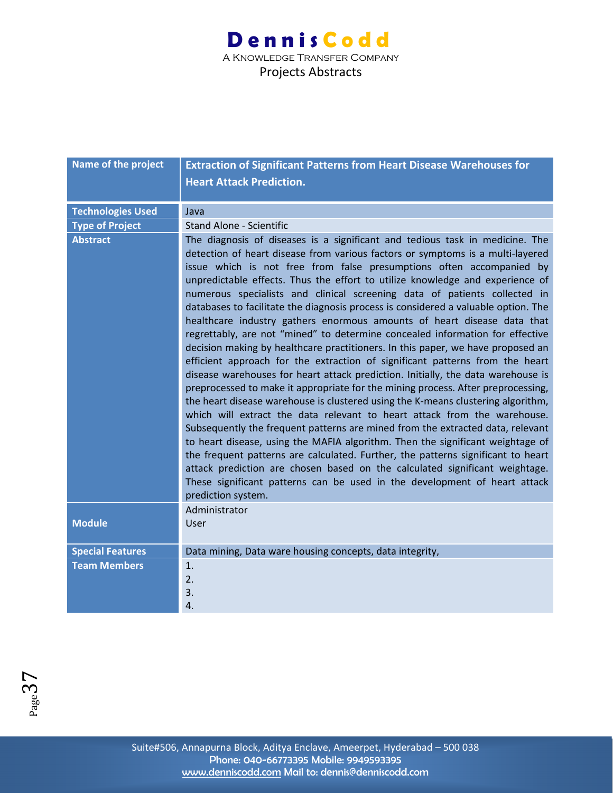| Name of the project      | <b>Extraction of Significant Patterns from Heart Disease Warehouses for</b>                                                                                                                                                                                                                                                                                                                                                                                                                                                                                                                                                                                                                                                                                                                                                                                                                                                                                                                                                                                                                                                                                                                                                                                                                                                                                                                                                                                                                                                                                                                                 |
|--------------------------|-------------------------------------------------------------------------------------------------------------------------------------------------------------------------------------------------------------------------------------------------------------------------------------------------------------------------------------------------------------------------------------------------------------------------------------------------------------------------------------------------------------------------------------------------------------------------------------------------------------------------------------------------------------------------------------------------------------------------------------------------------------------------------------------------------------------------------------------------------------------------------------------------------------------------------------------------------------------------------------------------------------------------------------------------------------------------------------------------------------------------------------------------------------------------------------------------------------------------------------------------------------------------------------------------------------------------------------------------------------------------------------------------------------------------------------------------------------------------------------------------------------------------------------------------------------------------------------------------------------|
|                          | <b>Heart Attack Prediction.</b>                                                                                                                                                                                                                                                                                                                                                                                                                                                                                                                                                                                                                                                                                                                                                                                                                                                                                                                                                                                                                                                                                                                                                                                                                                                                                                                                                                                                                                                                                                                                                                             |
|                          |                                                                                                                                                                                                                                                                                                                                                                                                                                                                                                                                                                                                                                                                                                                                                                                                                                                                                                                                                                                                                                                                                                                                                                                                                                                                                                                                                                                                                                                                                                                                                                                                             |
| <b>Technologies Used</b> | Java                                                                                                                                                                                                                                                                                                                                                                                                                                                                                                                                                                                                                                                                                                                                                                                                                                                                                                                                                                                                                                                                                                                                                                                                                                                                                                                                                                                                                                                                                                                                                                                                        |
| <b>Type of Project</b>   | <b>Stand Alone - Scientific</b>                                                                                                                                                                                                                                                                                                                                                                                                                                                                                                                                                                                                                                                                                                                                                                                                                                                                                                                                                                                                                                                                                                                                                                                                                                                                                                                                                                                                                                                                                                                                                                             |
| <b>Abstract</b>          | The diagnosis of diseases is a significant and tedious task in medicine. The<br>detection of heart disease from various factors or symptoms is a multi-layered<br>issue which is not free from false presumptions often accompanied by<br>unpredictable effects. Thus the effort to utilize knowledge and experience of<br>numerous specialists and clinical screening data of patients collected in<br>databases to facilitate the diagnosis process is considered a valuable option. The<br>healthcare industry gathers enormous amounts of heart disease data that<br>regrettably, are not "mined" to determine concealed information for effective<br>decision making by healthcare practitioners. In this paper, we have proposed an<br>efficient approach for the extraction of significant patterns from the heart<br>disease warehouses for heart attack prediction. Initially, the data warehouse is<br>preprocessed to make it appropriate for the mining process. After preprocessing,<br>the heart disease warehouse is clustered using the K-means clustering algorithm,<br>which will extract the data relevant to heart attack from the warehouse.<br>Subsequently the frequent patterns are mined from the extracted data, relevant<br>to heart disease, using the MAFIA algorithm. Then the significant weightage of<br>the frequent patterns are calculated. Further, the patterns significant to heart<br>attack prediction are chosen based on the calculated significant weightage.<br>These significant patterns can be used in the development of heart attack<br>prediction system. |
| <b>Module</b>            | Administrator<br>User                                                                                                                                                                                                                                                                                                                                                                                                                                                                                                                                                                                                                                                                                                                                                                                                                                                                                                                                                                                                                                                                                                                                                                                                                                                                                                                                                                                                                                                                                                                                                                                       |
| <b>Special Features</b>  | Data mining, Data ware housing concepts, data integrity,                                                                                                                                                                                                                                                                                                                                                                                                                                                                                                                                                                                                                                                                                                                                                                                                                                                                                                                                                                                                                                                                                                                                                                                                                                                                                                                                                                                                                                                                                                                                                    |
| <b>Team Members</b>      | 1.                                                                                                                                                                                                                                                                                                                                                                                                                                                                                                                                                                                                                                                                                                                                                                                                                                                                                                                                                                                                                                                                                                                                                                                                                                                                                                                                                                                                                                                                                                                                                                                                          |
|                          | 2.                                                                                                                                                                                                                                                                                                                                                                                                                                                                                                                                                                                                                                                                                                                                                                                                                                                                                                                                                                                                                                                                                                                                                                                                                                                                                                                                                                                                                                                                                                                                                                                                          |
|                          | 3.                                                                                                                                                                                                                                                                                                                                                                                                                                                                                                                                                                                                                                                                                                                                                                                                                                                                                                                                                                                                                                                                                                                                                                                                                                                                                                                                                                                                                                                                                                                                                                                                          |
|                          | 4.                                                                                                                                                                                                                                                                                                                                                                                                                                                                                                                                                                                                                                                                                                                                                                                                                                                                                                                                                                                                                                                                                                                                                                                                                                                                                                                                                                                                                                                                                                                                                                                                          |

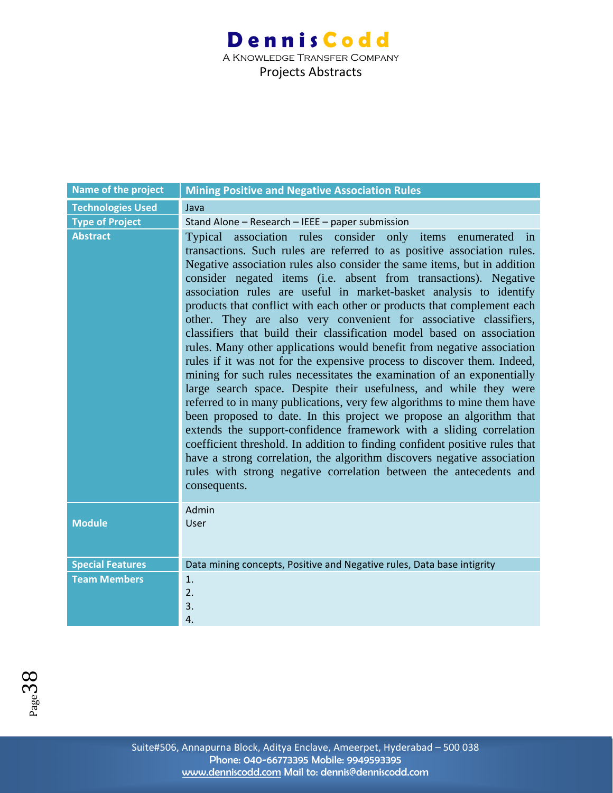#### **Dennis Codd** A Knowledge Transfer Company Projects Abstracts

| Name of the project      | <b>Mining Positive and Negative Association Rules</b>                                                                                                                                                                                                                                                                                                                                                                                                                                                                                                                                                                                                                                                                                                                                                                                                                                                                                                                                                                                                                                                                                                                                                                                                                                                                                                                  |
|--------------------------|------------------------------------------------------------------------------------------------------------------------------------------------------------------------------------------------------------------------------------------------------------------------------------------------------------------------------------------------------------------------------------------------------------------------------------------------------------------------------------------------------------------------------------------------------------------------------------------------------------------------------------------------------------------------------------------------------------------------------------------------------------------------------------------------------------------------------------------------------------------------------------------------------------------------------------------------------------------------------------------------------------------------------------------------------------------------------------------------------------------------------------------------------------------------------------------------------------------------------------------------------------------------------------------------------------------------------------------------------------------------|
| <b>Technologies Used</b> | Java                                                                                                                                                                                                                                                                                                                                                                                                                                                                                                                                                                                                                                                                                                                                                                                                                                                                                                                                                                                                                                                                                                                                                                                                                                                                                                                                                                   |
| <b>Type of Project</b>   | Stand Alone - Research - IEEE - paper submission                                                                                                                                                                                                                                                                                                                                                                                                                                                                                                                                                                                                                                                                                                                                                                                                                                                                                                                                                                                                                                                                                                                                                                                                                                                                                                                       |
| <b>Abstract</b>          | Typical association rules consider only items<br>enumerated in<br>transactions. Such rules are referred to as positive association rules.<br>Negative association rules also consider the same items, but in addition<br>consider negated items (i.e. absent from transactions). Negative<br>association rules are useful in market-basket analysis to identify<br>products that conflict with each other or products that complement each<br>other. They are also very convenient for associative classifiers,<br>classifiers that build their classification model based on association<br>rules. Many other applications would benefit from negative association<br>rules if it was not for the expensive process to discover them. Indeed,<br>mining for such rules necessitates the examination of an exponentially<br>large search space. Despite their usefulness, and while they were<br>referred to in many publications, very few algorithms to mine them have<br>been proposed to date. In this project we propose an algorithm that<br>extends the support-confidence framework with a sliding correlation<br>coefficient threshold. In addition to finding confident positive rules that<br>have a strong correlation, the algorithm discovers negative association<br>rules with strong negative correlation between the antecedents and<br>consequents. |
| <b>Module</b>            | Admin<br>User                                                                                                                                                                                                                                                                                                                                                                                                                                                                                                                                                                                                                                                                                                                                                                                                                                                                                                                                                                                                                                                                                                                                                                                                                                                                                                                                                          |
| <b>Special Features</b>  | Data mining concepts, Positive and Negative rules, Data base intigrity                                                                                                                                                                                                                                                                                                                                                                                                                                                                                                                                                                                                                                                                                                                                                                                                                                                                                                                                                                                                                                                                                                                                                                                                                                                                                                 |
| <b>Team Members</b>      | 1.                                                                                                                                                                                                                                                                                                                                                                                                                                                                                                                                                                                                                                                                                                                                                                                                                                                                                                                                                                                                                                                                                                                                                                                                                                                                                                                                                                     |
|                          | 2.                                                                                                                                                                                                                                                                                                                                                                                                                                                                                                                                                                                                                                                                                                                                                                                                                                                                                                                                                                                                                                                                                                                                                                                                                                                                                                                                                                     |
|                          | 3.                                                                                                                                                                                                                                                                                                                                                                                                                                                                                                                                                                                                                                                                                                                                                                                                                                                                                                                                                                                                                                                                                                                                                                                                                                                                                                                                                                     |
|                          | 4.                                                                                                                                                                                                                                                                                                                                                                                                                                                                                                                                                                                                                                                                                                                                                                                                                                                                                                                                                                                                                                                                                                                                                                                                                                                                                                                                                                     |

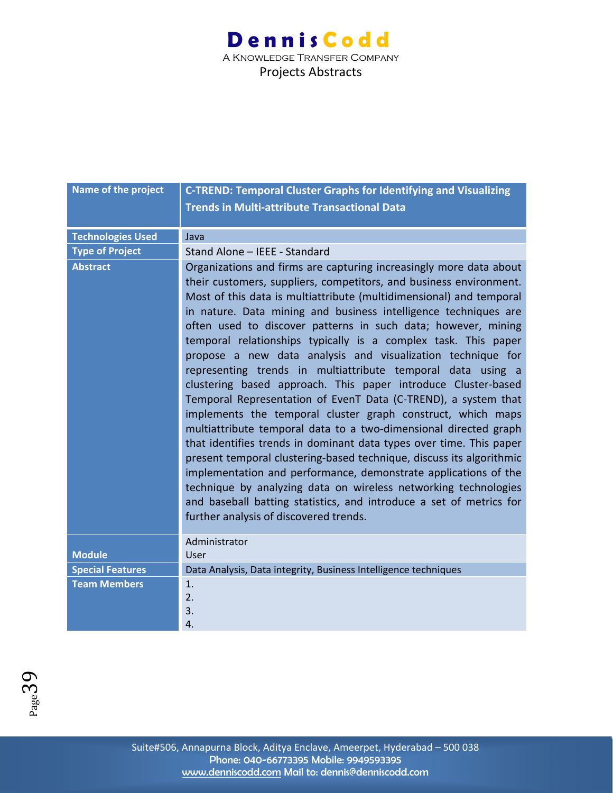| Name of the project      | <b>C-TREND: Temporal Cluster Graphs for Identifying and Visualizing</b>                                                                                                                                                                                                                                                                                                                                                                                                                                                                                                                                                                                                                                                                                                                                                                                                                                                                                                                                                                                                                                                                                                                                                         |
|--------------------------|---------------------------------------------------------------------------------------------------------------------------------------------------------------------------------------------------------------------------------------------------------------------------------------------------------------------------------------------------------------------------------------------------------------------------------------------------------------------------------------------------------------------------------------------------------------------------------------------------------------------------------------------------------------------------------------------------------------------------------------------------------------------------------------------------------------------------------------------------------------------------------------------------------------------------------------------------------------------------------------------------------------------------------------------------------------------------------------------------------------------------------------------------------------------------------------------------------------------------------|
|                          | <b>Trends in Multi-attribute Transactional Data</b>                                                                                                                                                                                                                                                                                                                                                                                                                                                                                                                                                                                                                                                                                                                                                                                                                                                                                                                                                                                                                                                                                                                                                                             |
|                          |                                                                                                                                                                                                                                                                                                                                                                                                                                                                                                                                                                                                                                                                                                                                                                                                                                                                                                                                                                                                                                                                                                                                                                                                                                 |
| <b>Technologies Used</b> | Java                                                                                                                                                                                                                                                                                                                                                                                                                                                                                                                                                                                                                                                                                                                                                                                                                                                                                                                                                                                                                                                                                                                                                                                                                            |
| <b>Type of Project</b>   | Stand Alone - IEEE - Standard                                                                                                                                                                                                                                                                                                                                                                                                                                                                                                                                                                                                                                                                                                                                                                                                                                                                                                                                                                                                                                                                                                                                                                                                   |
| <b>Abstract</b>          | Organizations and firms are capturing increasingly more data about<br>their customers, suppliers, competitors, and business environment.<br>Most of this data is multiattribute (multidimensional) and temporal<br>in nature. Data mining and business intelligence techniques are<br>often used to discover patterns in such data; however, mining<br>temporal relationships typically is a complex task. This paper<br>propose a new data analysis and visualization technique for<br>representing trends in multiattribute temporal data using a<br>clustering based approach. This paper introduce Cluster-based<br>Temporal Representation of EvenT Data (C-TREND), a system that<br>implements the temporal cluster graph construct, which maps<br>multiattribute temporal data to a two-dimensional directed graph<br>that identifies trends in dominant data types over time. This paper<br>present temporal clustering-based technique, discuss its algorithmic<br>implementation and performance, demonstrate applications of the<br>technique by analyzing data on wireless networking technologies<br>and baseball batting statistics, and introduce a set of metrics for<br>further analysis of discovered trends. |
| <b>Module</b>            | Administrator<br>User                                                                                                                                                                                                                                                                                                                                                                                                                                                                                                                                                                                                                                                                                                                                                                                                                                                                                                                                                                                                                                                                                                                                                                                                           |
| <b>Special Features</b>  | Data Analysis, Data integrity, Business Intelligence techniques                                                                                                                                                                                                                                                                                                                                                                                                                                                                                                                                                                                                                                                                                                                                                                                                                                                                                                                                                                                                                                                                                                                                                                 |
| <b>Team Members</b>      | 1.                                                                                                                                                                                                                                                                                                                                                                                                                                                                                                                                                                                                                                                                                                                                                                                                                                                                                                                                                                                                                                                                                                                                                                                                                              |
|                          | 2.                                                                                                                                                                                                                                                                                                                                                                                                                                                                                                                                                                                                                                                                                                                                                                                                                                                                                                                                                                                                                                                                                                                                                                                                                              |
|                          | 3.                                                                                                                                                                                                                                                                                                                                                                                                                                                                                                                                                                                                                                                                                                                                                                                                                                                                                                                                                                                                                                                                                                                                                                                                                              |
|                          | 4.                                                                                                                                                                                                                                                                                                                                                                                                                                                                                                                                                                                                                                                                                                                                                                                                                                                                                                                                                                                                                                                                                                                                                                                                                              |

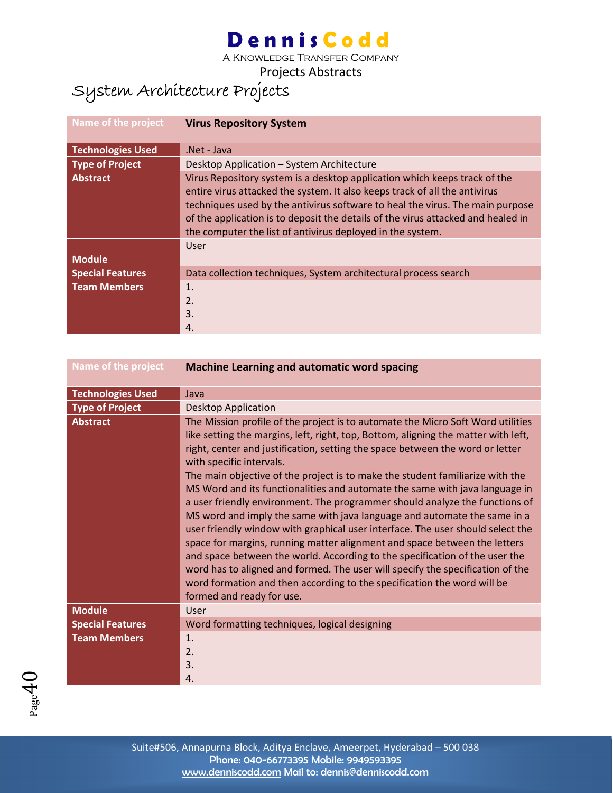A Knowledge Transfer Company

Projects Abstracts

### System Architecture Projects

| Name of the project      | <b>Virus Repository System</b>                                                                                                                                                                                                                                                                                                                                                             |
|--------------------------|--------------------------------------------------------------------------------------------------------------------------------------------------------------------------------------------------------------------------------------------------------------------------------------------------------------------------------------------------------------------------------------------|
| <b>Technologies Used</b> | Net - Java                                                                                                                                                                                                                                                                                                                                                                                 |
| <b>Type of Project</b>   | Desktop Application - System Architecture                                                                                                                                                                                                                                                                                                                                                  |
| <b>Abstract</b>          | Virus Repository system is a desktop application which keeps track of the<br>entire virus attacked the system. It also keeps track of all the antivirus<br>techniques used by the antivirus software to heal the virus. The main purpose<br>of the application is to deposit the details of the virus attacked and healed in<br>the computer the list of antivirus deployed in the system. |
|                          | User                                                                                                                                                                                                                                                                                                                                                                                       |
| <b>Module</b>            |                                                                                                                                                                                                                                                                                                                                                                                            |
| <b>Special Features</b>  | Data collection techniques, System architectural process search                                                                                                                                                                                                                                                                                                                            |
| <b>Team Members</b>      | 1.<br>2.<br>3.                                                                                                                                                                                                                                                                                                                                                                             |
|                          | 4.                                                                                                                                                                                                                                                                                                                                                                                         |

| Name of the project      | <b>Machine Learning and automatic word spacing</b>                                                                                                                                                                                                                                                                                                                                                                                                                                                                                                                                                                                                                                                                                                                                                                                                                                                                                                                                                                                                    |
|--------------------------|-------------------------------------------------------------------------------------------------------------------------------------------------------------------------------------------------------------------------------------------------------------------------------------------------------------------------------------------------------------------------------------------------------------------------------------------------------------------------------------------------------------------------------------------------------------------------------------------------------------------------------------------------------------------------------------------------------------------------------------------------------------------------------------------------------------------------------------------------------------------------------------------------------------------------------------------------------------------------------------------------------------------------------------------------------|
| <b>Technologies Used</b> | Java                                                                                                                                                                                                                                                                                                                                                                                                                                                                                                                                                                                                                                                                                                                                                                                                                                                                                                                                                                                                                                                  |
| <b>Type of Project</b>   | <b>Desktop Application</b>                                                                                                                                                                                                                                                                                                                                                                                                                                                                                                                                                                                                                                                                                                                                                                                                                                                                                                                                                                                                                            |
| <b>Abstract</b>          | The Mission profile of the project is to automate the Micro Soft Word utilities<br>like setting the margins, left, right, top, Bottom, aligning the matter with left,<br>right, center and justification, setting the space between the word or letter<br>with specific intervals.<br>The main objective of the project is to make the student familiarize with the<br>MS Word and its functionalities and automate the same with java language in<br>a user friendly environment. The programmer should analyze the functions of<br>MS word and imply the same with java language and automate the same in a<br>user friendly window with graphical user interface. The user should select the<br>space for margins, running matter alignment and space between the letters<br>and space between the world. According to the specification of the user the<br>word has to aligned and formed. The user will specify the specification of the<br>word formation and then according to the specification the word will be<br>formed and ready for use. |
| <b>Module</b>            | User                                                                                                                                                                                                                                                                                                                                                                                                                                                                                                                                                                                                                                                                                                                                                                                                                                                                                                                                                                                                                                                  |
| <b>Special Features</b>  | Word formatting techniques, logical designing                                                                                                                                                                                                                                                                                                                                                                                                                                                                                                                                                                                                                                                                                                                                                                                                                                                                                                                                                                                                         |
| <b>Team Members</b>      | 1.<br>2.<br>3.<br>4.                                                                                                                                                                                                                                                                                                                                                                                                                                                                                                                                                                                                                                                                                                                                                                                                                                                                                                                                                                                                                                  |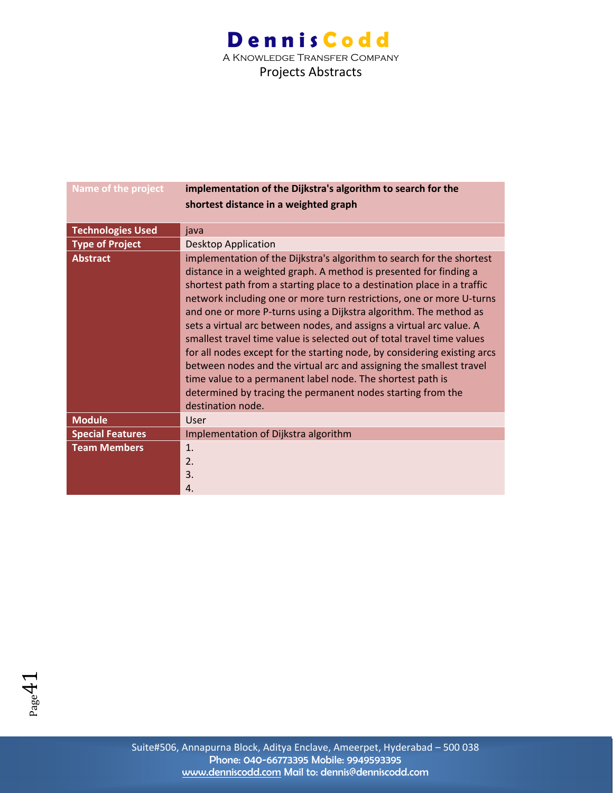| Name of the project      | implementation of the Dijkstra's algorithm to search for the                                                                                                                                                                                                                                                                                                                                                                                                                                                                                                                                                                                                                                                                                                                                                              |
|--------------------------|---------------------------------------------------------------------------------------------------------------------------------------------------------------------------------------------------------------------------------------------------------------------------------------------------------------------------------------------------------------------------------------------------------------------------------------------------------------------------------------------------------------------------------------------------------------------------------------------------------------------------------------------------------------------------------------------------------------------------------------------------------------------------------------------------------------------------|
|                          | shortest distance in a weighted graph                                                                                                                                                                                                                                                                                                                                                                                                                                                                                                                                                                                                                                                                                                                                                                                     |
|                          |                                                                                                                                                                                                                                                                                                                                                                                                                                                                                                                                                                                                                                                                                                                                                                                                                           |
| <b>Technologies Used</b> | java                                                                                                                                                                                                                                                                                                                                                                                                                                                                                                                                                                                                                                                                                                                                                                                                                      |
| <b>Type of Project</b>   | <b>Desktop Application</b>                                                                                                                                                                                                                                                                                                                                                                                                                                                                                                                                                                                                                                                                                                                                                                                                |
| <b>Abstract</b>          | implementation of the Dijkstra's algorithm to search for the shortest<br>distance in a weighted graph. A method is presented for finding a<br>shortest path from a starting place to a destination place in a traffic<br>network including one or more turn restrictions, one or more U-turns<br>and one or more P-turns using a Dijkstra algorithm. The method as<br>sets a virtual arc between nodes, and assigns a virtual arc value. A<br>smallest travel time value is selected out of total travel time values<br>for all nodes except for the starting node, by considering existing arcs<br>between nodes and the virtual arc and assigning the smallest travel<br>time value to a permanent label node. The shortest path is<br>determined by tracing the permanent nodes starting from the<br>destination node. |
| <b>Module</b>            | User                                                                                                                                                                                                                                                                                                                                                                                                                                                                                                                                                                                                                                                                                                                                                                                                                      |
| <b>Special Features</b>  | Implementation of Dijkstra algorithm                                                                                                                                                                                                                                                                                                                                                                                                                                                                                                                                                                                                                                                                                                                                                                                      |
| <b>Team Members</b>      | 1.<br>2.<br>3.<br>4.                                                                                                                                                                                                                                                                                                                                                                                                                                                                                                                                                                                                                                                                                                                                                                                                      |

 $P_{\text{age}}41$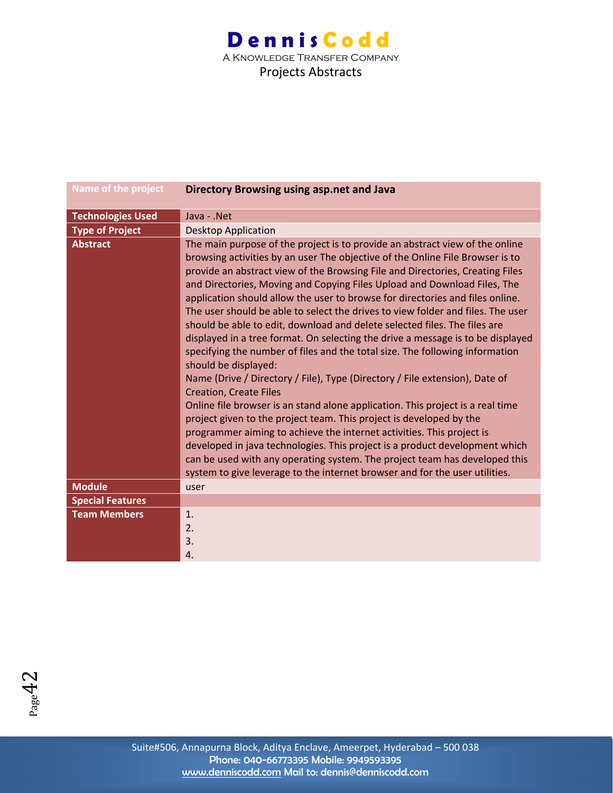A Knowledge Transfer Company Projects Abstracts

| <b>Name of the project</b> | Directory Browsing using asp.net and Java                                                                                                                                                                                                                                                                                                                                                                                                                                                                                                                                                                                                                                                                                                                                                                                                                                                                                                                                                                                                                                                                                                                                                                                                                                                                                                                            |
|----------------------------|----------------------------------------------------------------------------------------------------------------------------------------------------------------------------------------------------------------------------------------------------------------------------------------------------------------------------------------------------------------------------------------------------------------------------------------------------------------------------------------------------------------------------------------------------------------------------------------------------------------------------------------------------------------------------------------------------------------------------------------------------------------------------------------------------------------------------------------------------------------------------------------------------------------------------------------------------------------------------------------------------------------------------------------------------------------------------------------------------------------------------------------------------------------------------------------------------------------------------------------------------------------------------------------------------------------------------------------------------------------------|
| <b>Technologies Used</b>   | Java - .Net                                                                                                                                                                                                                                                                                                                                                                                                                                                                                                                                                                                                                                                                                                                                                                                                                                                                                                                                                                                                                                                                                                                                                                                                                                                                                                                                                          |
| <b>Type of Project</b>     | <b>Desktop Application</b>                                                                                                                                                                                                                                                                                                                                                                                                                                                                                                                                                                                                                                                                                                                                                                                                                                                                                                                                                                                                                                                                                                                                                                                                                                                                                                                                           |
| <b>Abstract</b>            | The main purpose of the project is to provide an abstract view of the online<br>browsing activities by an user The objective of the Online File Browser is to<br>provide an abstract view of the Browsing File and Directories, Creating Files<br>and Directories, Moving and Copying Files Upload and Download Files, The<br>application should allow the user to browse for directories and files online.<br>The user should be able to select the drives to view folder and files. The user<br>should be able to edit, download and delete selected files. The files are<br>displayed in a tree format. On selecting the drive a message is to be displayed<br>specifying the number of files and the total size. The following information<br>should be displayed:<br>Name (Drive / Directory / File), Type (Directory / File extension), Date of<br><b>Creation, Create Files</b><br>Online file browser is an stand alone application. This project is a real time<br>project given to the project team. This project is developed by the<br>programmer aiming to achieve the internet activities. This project is<br>developed in java technologies. This project is a product development which<br>can be used with any operating system. The project team has developed this<br>system to give leverage to the internet browser and for the user utilities. |
| <b>Module</b>              | user                                                                                                                                                                                                                                                                                                                                                                                                                                                                                                                                                                                                                                                                                                                                                                                                                                                                                                                                                                                                                                                                                                                                                                                                                                                                                                                                                                 |
| <b>Special Features</b>    |                                                                                                                                                                                                                                                                                                                                                                                                                                                                                                                                                                                                                                                                                                                                                                                                                                                                                                                                                                                                                                                                                                                                                                                                                                                                                                                                                                      |
| <b>Team Members</b>        | 1.                                                                                                                                                                                                                                                                                                                                                                                                                                                                                                                                                                                                                                                                                                                                                                                                                                                                                                                                                                                                                                                                                                                                                                                                                                                                                                                                                                   |
|                            | 2.                                                                                                                                                                                                                                                                                                                                                                                                                                                                                                                                                                                                                                                                                                                                                                                                                                                                                                                                                                                                                                                                                                                                                                                                                                                                                                                                                                   |
|                            | 3.                                                                                                                                                                                                                                                                                                                                                                                                                                                                                                                                                                                                                                                                                                                                                                                                                                                                                                                                                                                                                                                                                                                                                                                                                                                                                                                                                                   |
|                            | 4.                                                                                                                                                                                                                                                                                                                                                                                                                                                                                                                                                                                                                                                                                                                                                                                                                                                                                                                                                                                                                                                                                                                                                                                                                                                                                                                                                                   |

 $P_{{\rm age}}42$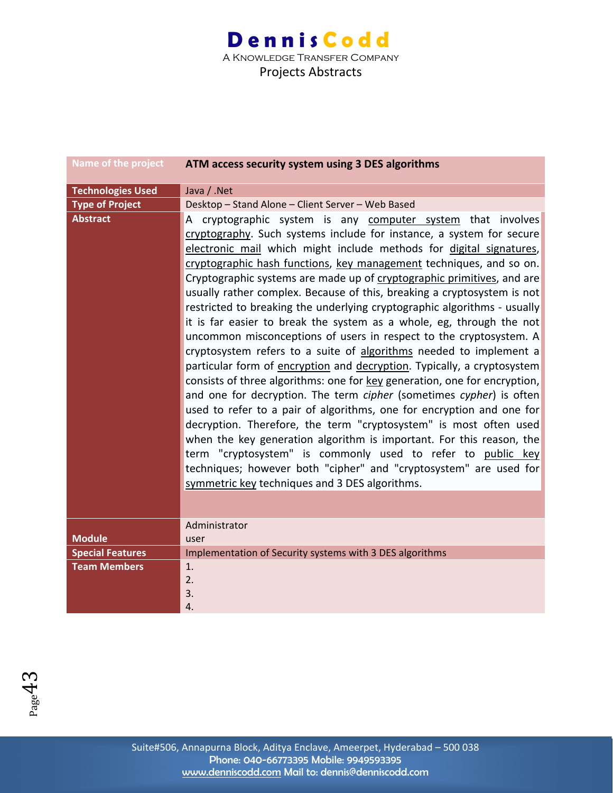| <b>Name of the project</b> | ATM access security system using 3 DES algorithms                                                                                                                                                                                                                                                                                                                                                                                                                                                                                                                                                                                                                                                                                                                                                                                                                                                                                                                                                                                                                                                                                                                                                                                                                                                                                                                                 |
|----------------------------|-----------------------------------------------------------------------------------------------------------------------------------------------------------------------------------------------------------------------------------------------------------------------------------------------------------------------------------------------------------------------------------------------------------------------------------------------------------------------------------------------------------------------------------------------------------------------------------------------------------------------------------------------------------------------------------------------------------------------------------------------------------------------------------------------------------------------------------------------------------------------------------------------------------------------------------------------------------------------------------------------------------------------------------------------------------------------------------------------------------------------------------------------------------------------------------------------------------------------------------------------------------------------------------------------------------------------------------------------------------------------------------|
| <b>Technologies Used</b>   | Java / .Net                                                                                                                                                                                                                                                                                                                                                                                                                                                                                                                                                                                                                                                                                                                                                                                                                                                                                                                                                                                                                                                                                                                                                                                                                                                                                                                                                                       |
| <b>Type of Project</b>     | Desktop - Stand Alone - Client Server - Web Based                                                                                                                                                                                                                                                                                                                                                                                                                                                                                                                                                                                                                                                                                                                                                                                                                                                                                                                                                                                                                                                                                                                                                                                                                                                                                                                                 |
| <b>Abstract</b>            | A cryptographic system is any computer system that involves<br>cryptography. Such systems include for instance, a system for secure<br>electronic mail which might include methods for digital signatures,<br>cryptographic hash functions, key management techniques, and so on.<br>Cryptographic systems are made up of cryptographic primitives, and are<br>usually rather complex. Because of this, breaking a cryptosystem is not<br>restricted to breaking the underlying cryptographic algorithms - usually<br>it is far easier to break the system as a whole, eg, through the not<br>uncommon misconceptions of users in respect to the cryptosystem. A<br>cryptosystem refers to a suite of algorithms needed to implement a<br>particular form of encryption and decryption. Typically, a cryptosystem<br>consists of three algorithms: one for key generation, one for encryption,<br>and one for decryption. The term cipher (sometimes cypher) is often<br>used to refer to a pair of algorithms, one for encryption and one for<br>decryption. Therefore, the term "cryptosystem" is most often used<br>when the key generation algorithm is important. For this reason, the<br>term "cryptosystem" is commonly used to refer to public key<br>techniques; however both "cipher" and "cryptosystem" are used for<br>symmetric key techniques and 3 DES algorithms. |
|                            | Administrator                                                                                                                                                                                                                                                                                                                                                                                                                                                                                                                                                                                                                                                                                                                                                                                                                                                                                                                                                                                                                                                                                                                                                                                                                                                                                                                                                                     |
| <b>Module</b>              | user                                                                                                                                                                                                                                                                                                                                                                                                                                                                                                                                                                                                                                                                                                                                                                                                                                                                                                                                                                                                                                                                                                                                                                                                                                                                                                                                                                              |
| <b>Special Features</b>    | Implementation of Security systems with 3 DES algorithms                                                                                                                                                                                                                                                                                                                                                                                                                                                                                                                                                                                                                                                                                                                                                                                                                                                                                                                                                                                                                                                                                                                                                                                                                                                                                                                          |
| <b>Team Members</b>        | 1.                                                                                                                                                                                                                                                                                                                                                                                                                                                                                                                                                                                                                                                                                                                                                                                                                                                                                                                                                                                                                                                                                                                                                                                                                                                                                                                                                                                |
|                            | 2.<br>3.                                                                                                                                                                                                                                                                                                                                                                                                                                                                                                                                                                                                                                                                                                                                                                                                                                                                                                                                                                                                                                                                                                                                                                                                                                                                                                                                                                          |
|                            | 4.                                                                                                                                                                                                                                                                                                                                                                                                                                                                                                                                                                                                                                                                                                                                                                                                                                                                                                                                                                                                                                                                                                                                                                                                                                                                                                                                                                                |

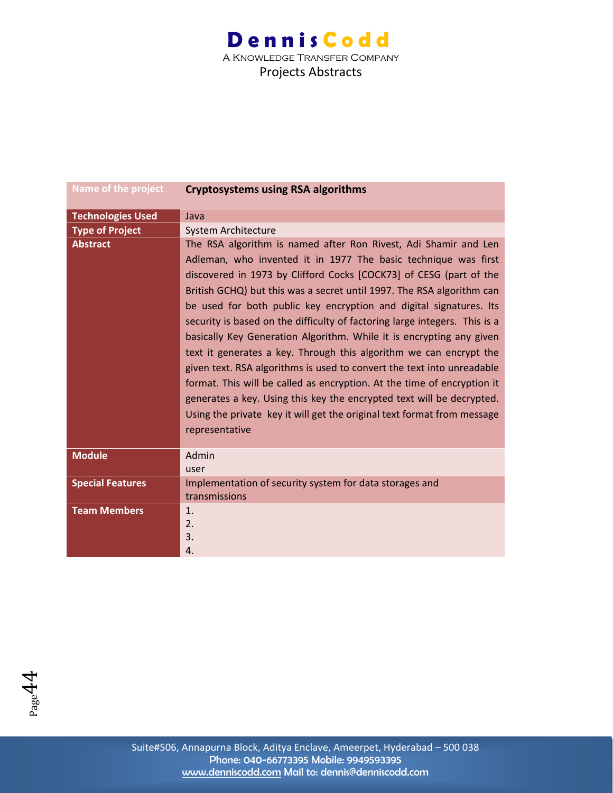| Name of the project      | <b>Cryptosystems using RSA algorithms</b>                                                                                                                                                                                                                                                                                                                                                                                                                                                                                                                                                                                                                                                                                                                                                                                                                                                                     |
|--------------------------|---------------------------------------------------------------------------------------------------------------------------------------------------------------------------------------------------------------------------------------------------------------------------------------------------------------------------------------------------------------------------------------------------------------------------------------------------------------------------------------------------------------------------------------------------------------------------------------------------------------------------------------------------------------------------------------------------------------------------------------------------------------------------------------------------------------------------------------------------------------------------------------------------------------|
| <b>Technologies Used</b> | Java                                                                                                                                                                                                                                                                                                                                                                                                                                                                                                                                                                                                                                                                                                                                                                                                                                                                                                          |
| <b>Type of Project</b>   | System Architecture                                                                                                                                                                                                                                                                                                                                                                                                                                                                                                                                                                                                                                                                                                                                                                                                                                                                                           |
| <b>Abstract</b>          | The RSA algorithm is named after Ron Rivest, Adi Shamir and Len<br>Adleman, who invented it in 1977 The basic technique was first<br>discovered in 1973 by Clifford Cocks [COCK73] of CESG (part of the<br>British GCHQ) but this was a secret until 1997. The RSA algorithm can<br>be used for both public key encryption and digital signatures. Its<br>security is based on the difficulty of factoring large integers. This is a<br>basically Key Generation Algorithm. While it is encrypting any given<br>text it generates a key. Through this algorithm we can encrypt the<br>given text. RSA algorithms is used to convert the text into unreadable<br>format. This will be called as encryption. At the time of encryption it<br>generates a key. Using this key the encrypted text will be decrypted.<br>Using the private key it will get the original text format from message<br>representative |
| <b>Module</b>            | Admin<br>user                                                                                                                                                                                                                                                                                                                                                                                                                                                                                                                                                                                                                                                                                                                                                                                                                                                                                                 |
| <b>Special Features</b>  | Implementation of security system for data storages and<br>transmissions                                                                                                                                                                                                                                                                                                                                                                                                                                                                                                                                                                                                                                                                                                                                                                                                                                      |
| <b>Team Members</b>      | $\mathbf{1}$ .<br>2.<br>3.<br>4.                                                                                                                                                                                                                                                                                                                                                                                                                                                                                                                                                                                                                                                                                                                                                                                                                                                                              |

 $P_{\text{age}}44$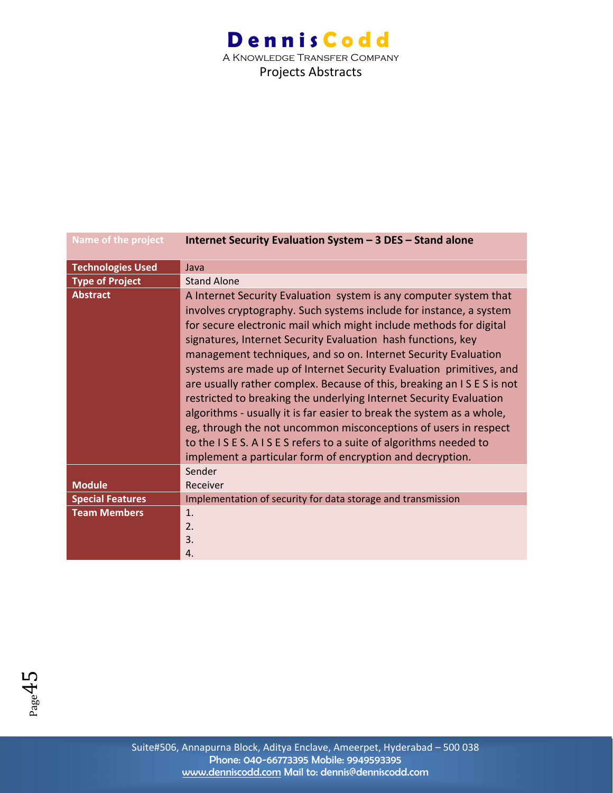| Name of the project      | Internet Security Evaluation System - 3 DES - Stand alone                                                                                                                                                                                                                                                                                                                                                                                                                                                                                                                                                                                                                                                                                                                                                                                      |
|--------------------------|------------------------------------------------------------------------------------------------------------------------------------------------------------------------------------------------------------------------------------------------------------------------------------------------------------------------------------------------------------------------------------------------------------------------------------------------------------------------------------------------------------------------------------------------------------------------------------------------------------------------------------------------------------------------------------------------------------------------------------------------------------------------------------------------------------------------------------------------|
| <b>Technologies Used</b> | Java                                                                                                                                                                                                                                                                                                                                                                                                                                                                                                                                                                                                                                                                                                                                                                                                                                           |
| <b>Type of Project</b>   | <b>Stand Alone</b>                                                                                                                                                                                                                                                                                                                                                                                                                                                                                                                                                                                                                                                                                                                                                                                                                             |
| <b>Abstract</b>          | A Internet Security Evaluation system is any computer system that<br>involves cryptography. Such systems include for instance, a system<br>for secure electronic mail which might include methods for digital<br>signatures, Internet Security Evaluation hash functions, key<br>management techniques, and so on. Internet Security Evaluation<br>systems are made up of Internet Security Evaluation primitives, and<br>are usually rather complex. Because of this, breaking an ISES is not<br>restricted to breaking the underlying Internet Security Evaluation<br>algorithms - usually it is far easier to break the system as a whole,<br>eg, through the not uncommon misconceptions of users in respect<br>to the ISES. A ISES refers to a suite of algorithms needed to<br>implement a particular form of encryption and decryption. |
|                          | Sender                                                                                                                                                                                                                                                                                                                                                                                                                                                                                                                                                                                                                                                                                                                                                                                                                                         |
| <b>Module</b>            | Receiver                                                                                                                                                                                                                                                                                                                                                                                                                                                                                                                                                                                                                                                                                                                                                                                                                                       |
| <b>Special Features</b>  | Implementation of security for data storage and transmission                                                                                                                                                                                                                                                                                                                                                                                                                                                                                                                                                                                                                                                                                                                                                                                   |
| <b>Team Members</b>      | 1.<br>2.<br>3.<br>4.                                                                                                                                                                                                                                                                                                                                                                                                                                                                                                                                                                                                                                                                                                                                                                                                                           |

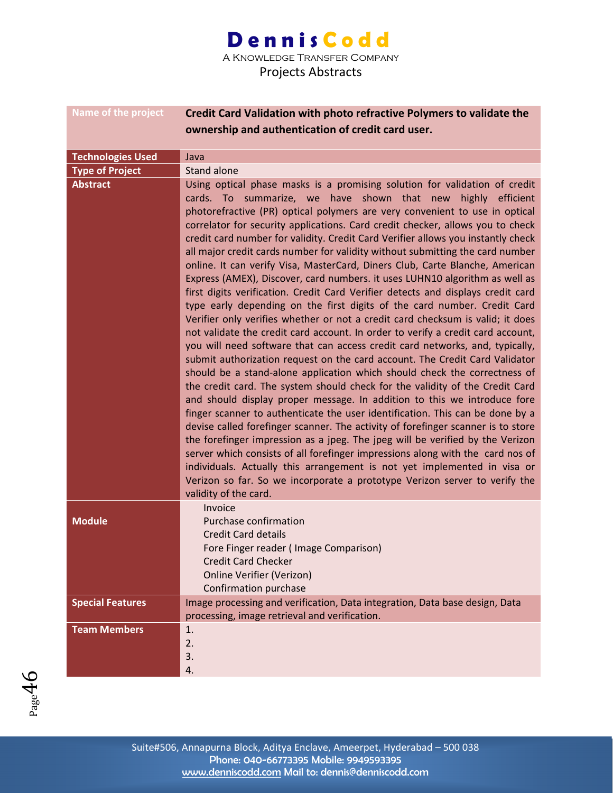A Knowledge Transfer Company

| <b>Name of the project</b> | Credit Card Validation with photo refractive Polymers to validate the                                                                                           |
|----------------------------|-----------------------------------------------------------------------------------------------------------------------------------------------------------------|
|                            | ownership and authentication of credit card user.                                                                                                               |
| <b>Technologies Used</b>   | Java                                                                                                                                                            |
| <b>Type of Project</b>     | Stand alone                                                                                                                                                     |
| <b>Abstract</b>            | Using optical phase masks is a promising solution for validation of credit                                                                                      |
|                            | cards. To summarize, we have shown that new highly efficient                                                                                                    |
|                            | photorefractive (PR) optical polymers are very convenient to use in optical                                                                                     |
|                            | correlator for security applications. Card credit checker, allows you to check                                                                                  |
|                            | credit card number for validity. Credit Card Verifier allows you instantly check                                                                                |
|                            | all major credit cards number for validity without submitting the card number                                                                                   |
|                            | online. It can verify Visa, MasterCard, Diners Club, Carte Blanche, American                                                                                    |
|                            | Express (AMEX), Discover, card numbers. it uses LUHN10 algorithm as well as                                                                                     |
|                            | first digits verification. Credit Card Verifier detects and displays credit card                                                                                |
|                            | type early depending on the first digits of the card number. Credit Card                                                                                        |
|                            | Verifier only verifies whether or not a credit card checksum is valid; it does                                                                                  |
|                            | not validate the credit card account. In order to verify a credit card account,<br>you will need software that can access credit card networks, and, typically, |
|                            | submit authorization request on the card account. The Credit Card Validator                                                                                     |
|                            | should be a stand-alone application which should check the correctness of                                                                                       |
|                            | the credit card. The system should check for the validity of the Credit Card                                                                                    |
|                            | and should display proper message. In addition to this we introduce fore                                                                                        |
|                            | finger scanner to authenticate the user identification. This can be done by a                                                                                   |
|                            | devise called forefinger scanner. The activity of forefinger scanner is to store                                                                                |
|                            | the forefinger impression as a jpeg. The jpeg will be verified by the Verizon                                                                                   |
|                            | server which consists of all forefinger impressions along with the card nos of                                                                                  |
|                            | individuals. Actually this arrangement is not yet implemented in visa or                                                                                        |
|                            | Verizon so far. So we incorporate a prototype Verizon server to verify the                                                                                      |
|                            | validity of the card.                                                                                                                                           |
|                            | Invoice                                                                                                                                                         |
| <b>Module</b>              | Purchase confirmation                                                                                                                                           |
|                            | <b>Credit Card details</b><br>Fore Finger reader (Image Comparison)                                                                                             |
|                            | <b>Credit Card Checker</b>                                                                                                                                      |
|                            | <b>Online Verifier (Verizon)</b>                                                                                                                                |
|                            | Confirmation purchase                                                                                                                                           |
| <b>Special Features</b>    | Image processing and verification, Data integration, Data base design, Data                                                                                     |
|                            | processing, image retrieval and verification.                                                                                                                   |
| <b>Team Members</b>        | 1.                                                                                                                                                              |
|                            | 2.                                                                                                                                                              |
|                            | 3.                                                                                                                                                              |
|                            | 4.                                                                                                                                                              |

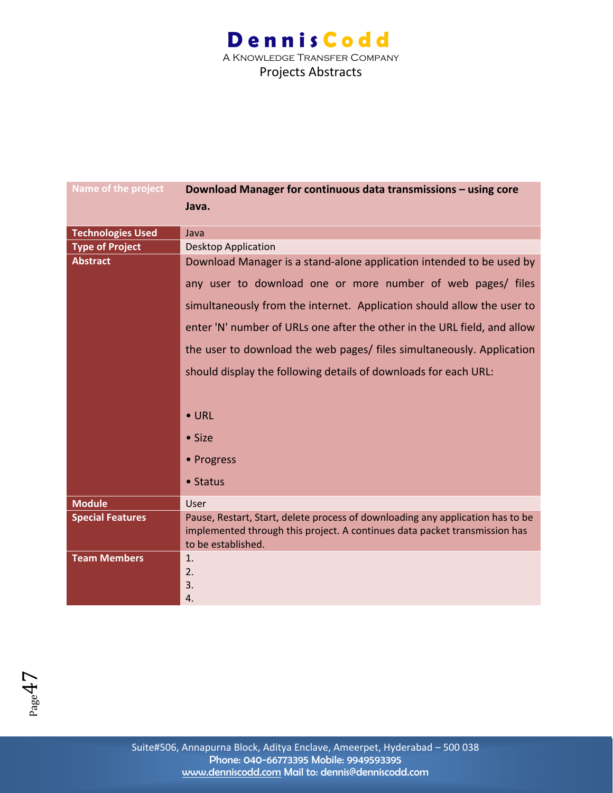| <b>Name of the project</b> | Download Manager for continuous data transmissions - using core                                  |
|----------------------------|--------------------------------------------------------------------------------------------------|
|                            | Java.                                                                                            |
|                            |                                                                                                  |
| <b>Technologies Used</b>   | Java                                                                                             |
| <b>Type of Project</b>     | <b>Desktop Application</b>                                                                       |
| <b>Abstract</b>            | Download Manager is a stand-alone application intended to be used by                             |
|                            | any user to download one or more number of web pages/ files                                      |
|                            | simultaneously from the internet. Application should allow the user to                           |
|                            | enter 'N' number of URLs one after the other in the URL field, and allow                         |
|                            | the user to download the web pages/ files simultaneously. Application                            |
|                            | should display the following details of downloads for each URL:                                  |
|                            |                                                                                                  |
|                            | $\bullet$ URL                                                                                    |
|                            | $\bullet$ Size                                                                                   |
|                            | • Progress                                                                                       |
|                            | • Status                                                                                         |
| <b>Module</b>              | User                                                                                             |
| <b>Special Features</b>    | Pause, Restart, Start, delete process of downloading any application has to be                   |
|                            | implemented through this project. A continues data packet transmission has<br>to be established. |
| <b>Team Members</b>        | 1.                                                                                               |
|                            | 2.                                                                                               |
|                            |                                                                                                  |
|                            | 3.                                                                                               |
|                            | 4.                                                                                               |

 $P_{\text{age}}47$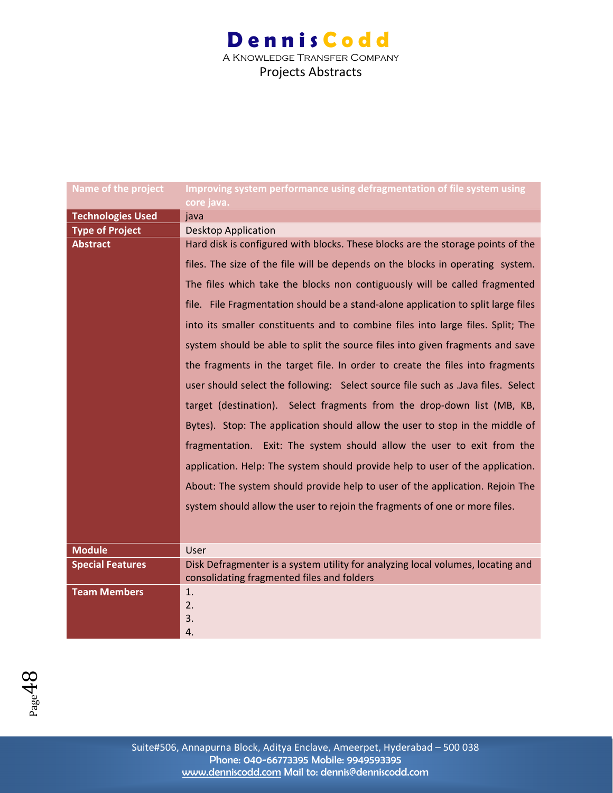| Name of the project      | Improving system performance using defragmentation of file system using           |
|--------------------------|-----------------------------------------------------------------------------------|
|                          | core java.                                                                        |
| <b>Technologies Used</b> | java                                                                              |
| <b>Type of Project</b>   | <b>Desktop Application</b>                                                        |
| <b>Abstract</b>          | Hard disk is configured with blocks. These blocks are the storage points of the   |
|                          | files. The size of the file will be depends on the blocks in operating system.    |
|                          | The files which take the blocks non contiguously will be called fragmented        |
|                          | file. File Fragmentation should be a stand-alone application to split large files |
|                          | into its smaller constituents and to combine files into large files. Split; The   |
|                          | system should be able to split the source files into given fragments and save     |
|                          | the fragments in the target file. In order to create the files into fragments     |
|                          | user should select the following: Select source file such as .Java files. Select  |
|                          | target (destination). Select fragments from the drop-down list (MB, KB,           |
|                          | Bytes). Stop: The application should allow the user to stop in the middle of      |
|                          | fragmentation. Exit: The system should allow the user to exit from the            |
|                          | application. Help: The system should provide help to user of the application.     |
|                          | About: The system should provide help to user of the application. Rejoin The      |
|                          | system should allow the user to rejoin the fragments of one or more files.        |
|                          |                                                                                   |
| <b>Module</b>            | User                                                                              |
| <b>Special Features</b>  | Disk Defragmenter is a system utility for analyzing local volumes, locating and   |
|                          | consolidating fragmented files and folders                                        |
| <b>Team Members</b>      | 1.                                                                                |
|                          | 2.                                                                                |
|                          | 3.                                                                                |
|                          | 4.                                                                                |

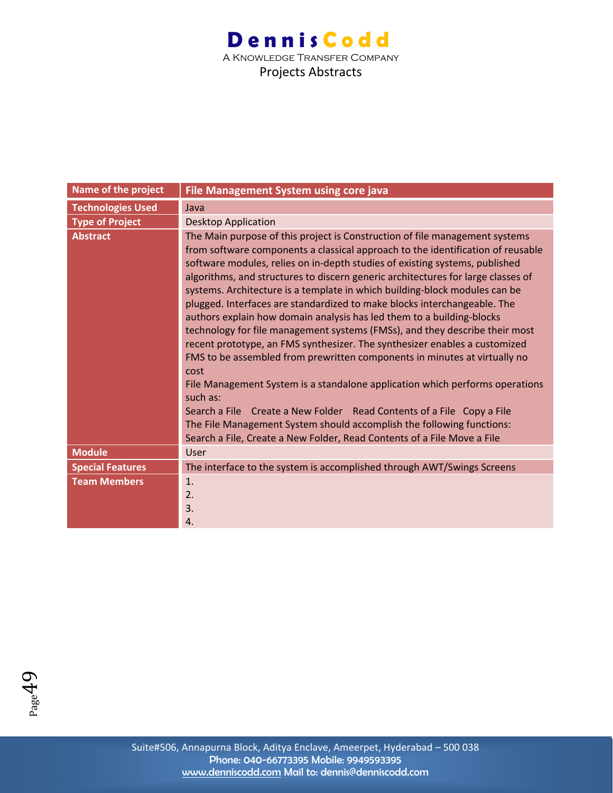| Name of the project      | File Management System using core java                                                                                                                                                                                                                                                                                                                                                                                                                                                                                                                                                                                                                                                                                                                                                                                                                                                                                                                                                                                                                                                                                                          |
|--------------------------|-------------------------------------------------------------------------------------------------------------------------------------------------------------------------------------------------------------------------------------------------------------------------------------------------------------------------------------------------------------------------------------------------------------------------------------------------------------------------------------------------------------------------------------------------------------------------------------------------------------------------------------------------------------------------------------------------------------------------------------------------------------------------------------------------------------------------------------------------------------------------------------------------------------------------------------------------------------------------------------------------------------------------------------------------------------------------------------------------------------------------------------------------|
| <b>Technologies Used</b> | Java                                                                                                                                                                                                                                                                                                                                                                                                                                                                                                                                                                                                                                                                                                                                                                                                                                                                                                                                                                                                                                                                                                                                            |
| <b>Type of Project</b>   | <b>Desktop Application</b>                                                                                                                                                                                                                                                                                                                                                                                                                                                                                                                                                                                                                                                                                                                                                                                                                                                                                                                                                                                                                                                                                                                      |
| <b>Abstract</b>          | The Main purpose of this project is Construction of file management systems<br>from software components a classical approach to the identification of reusable<br>software modules, relies on in-depth studies of existing systems, published<br>algorithms, and structures to discern generic architectures for large classes of<br>systems. Architecture is a template in which building-block modules can be<br>plugged. Interfaces are standardized to make blocks interchangeable. The<br>authors explain how domain analysis has led them to a building-blocks<br>technology for file management systems (FMSs), and they describe their most<br>recent prototype, an FMS synthesizer. The synthesizer enables a customized<br>FMS to be assembled from prewritten components in minutes at virtually no<br>cost<br>File Management System is a standalone application which performs operations<br>such as:<br>Search a File Create a New Folder Read Contents of a File Copy a File<br>The File Management System should accomplish the following functions:<br>Search a File, Create a New Folder, Read Contents of a File Move a File |
| <b>Module</b>            | User                                                                                                                                                                                                                                                                                                                                                                                                                                                                                                                                                                                                                                                                                                                                                                                                                                                                                                                                                                                                                                                                                                                                            |
| <b>Special Features</b>  | The interface to the system is accomplished through AWT/Swings Screens                                                                                                                                                                                                                                                                                                                                                                                                                                                                                                                                                                                                                                                                                                                                                                                                                                                                                                                                                                                                                                                                          |
| <b>Team Members</b>      | 1.<br>2.<br>3.<br>4.                                                                                                                                                                                                                                                                                                                                                                                                                                                                                                                                                                                                                                                                                                                                                                                                                                                                                                                                                                                                                                                                                                                            |

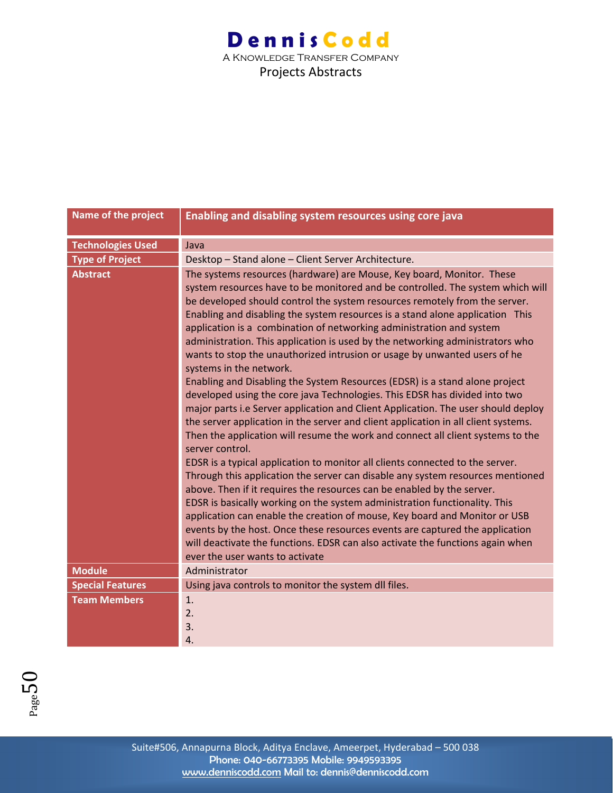| Name of the project      | Enabling and disabling system resources using core java                                                                                                                                                                                                                                                                                                                                                                                                                                                                                                                                                                                                                                                                                                                                                                                                                                                                                                                                                                                                                                                                                                                                                                                                                                                                                                                                                                                                                                                                                                                                                                                             |
|--------------------------|-----------------------------------------------------------------------------------------------------------------------------------------------------------------------------------------------------------------------------------------------------------------------------------------------------------------------------------------------------------------------------------------------------------------------------------------------------------------------------------------------------------------------------------------------------------------------------------------------------------------------------------------------------------------------------------------------------------------------------------------------------------------------------------------------------------------------------------------------------------------------------------------------------------------------------------------------------------------------------------------------------------------------------------------------------------------------------------------------------------------------------------------------------------------------------------------------------------------------------------------------------------------------------------------------------------------------------------------------------------------------------------------------------------------------------------------------------------------------------------------------------------------------------------------------------------------------------------------------------------------------------------------------------|
| <b>Technologies Used</b> | Java                                                                                                                                                                                                                                                                                                                                                                                                                                                                                                                                                                                                                                                                                                                                                                                                                                                                                                                                                                                                                                                                                                                                                                                                                                                                                                                                                                                                                                                                                                                                                                                                                                                |
| <b>Type of Project</b>   | Desktop - Stand alone - Client Server Architecture.                                                                                                                                                                                                                                                                                                                                                                                                                                                                                                                                                                                                                                                                                                                                                                                                                                                                                                                                                                                                                                                                                                                                                                                                                                                                                                                                                                                                                                                                                                                                                                                                 |
| <b>Abstract</b>          | The systems resources (hardware) are Mouse, Key board, Monitor. These<br>system resources have to be monitored and be controlled. The system which will<br>be developed should control the system resources remotely from the server.<br>Enabling and disabling the system resources is a stand alone application This<br>application is a combination of networking administration and system<br>administration. This application is used by the networking administrators who<br>wants to stop the unauthorized intrusion or usage by unwanted users of he<br>systems in the network.<br>Enabling and Disabling the System Resources (EDSR) is a stand alone project<br>developed using the core java Technologies. This EDSR has divided into two<br>major parts i.e Server application and Client Application. The user should deploy<br>the server application in the server and client application in all client systems.<br>Then the application will resume the work and connect all client systems to the<br>server control.<br>EDSR is a typical application to monitor all clients connected to the server.<br>Through this application the server can disable any system resources mentioned<br>above. Then if it requires the resources can be enabled by the server.<br>EDSR is basically working on the system administration functionality. This<br>application can enable the creation of mouse, Key board and Monitor or USB<br>events by the host. Once these resources events are captured the application<br>will deactivate the functions. EDSR can also activate the functions again when<br>ever the user wants to activate |
| <b>Module</b>            | Administrator                                                                                                                                                                                                                                                                                                                                                                                                                                                                                                                                                                                                                                                                                                                                                                                                                                                                                                                                                                                                                                                                                                                                                                                                                                                                                                                                                                                                                                                                                                                                                                                                                                       |
| <b>Special Features</b>  | Using java controls to monitor the system dll files.                                                                                                                                                                                                                                                                                                                                                                                                                                                                                                                                                                                                                                                                                                                                                                                                                                                                                                                                                                                                                                                                                                                                                                                                                                                                                                                                                                                                                                                                                                                                                                                                |
| <b>Team Members</b>      | 1.<br>2.<br>3.<br>4.                                                                                                                                                                                                                                                                                                                                                                                                                                                                                                                                                                                                                                                                                                                                                                                                                                                                                                                                                                                                                                                                                                                                                                                                                                                                                                                                                                                                                                                                                                                                                                                                                                |

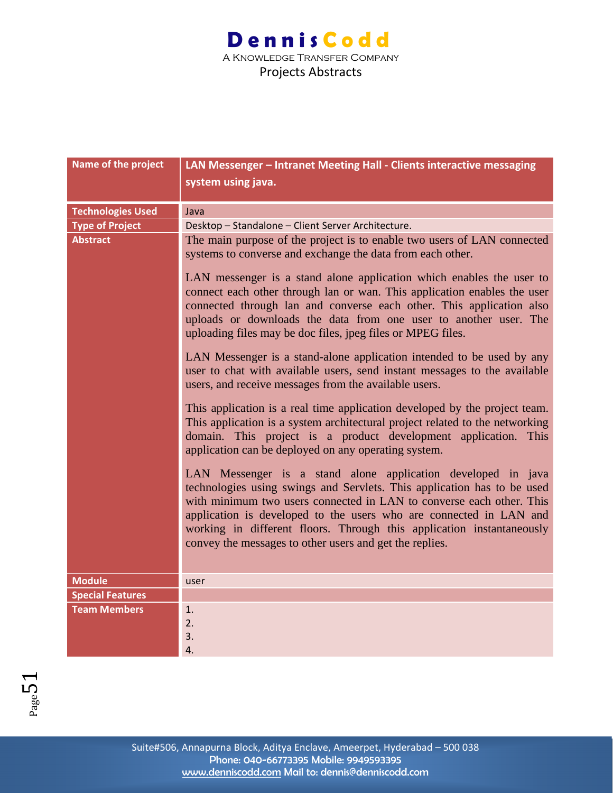| Name of the project      | LAN Messenger - Intranet Meeting Hall - Clients interactive messaging                                                                                                                                                                                                                                                                                                                                                     |
|--------------------------|---------------------------------------------------------------------------------------------------------------------------------------------------------------------------------------------------------------------------------------------------------------------------------------------------------------------------------------------------------------------------------------------------------------------------|
|                          | system using java.                                                                                                                                                                                                                                                                                                                                                                                                        |
|                          |                                                                                                                                                                                                                                                                                                                                                                                                                           |
| <b>Technologies Used</b> | Java                                                                                                                                                                                                                                                                                                                                                                                                                      |
| <b>Type of Project</b>   | Desktop - Standalone - Client Server Architecture.                                                                                                                                                                                                                                                                                                                                                                        |
| <b>Abstract</b>          | The main purpose of the project is to enable two users of LAN connected<br>systems to converse and exchange the data from each other.                                                                                                                                                                                                                                                                                     |
|                          | LAN messenger is a stand alone application which enables the user to<br>connect each other through lan or wan. This application enables the user<br>connected through lan and converse each other. This application also<br>uploads or downloads the data from one user to another user. The<br>uploading files may be doc files, jpeg files or MPEG files.                                                               |
|                          | LAN Messenger is a stand-alone application intended to be used by any<br>user to chat with available users, send instant messages to the available<br>users, and receive messages from the available users.                                                                                                                                                                                                               |
|                          | This application is a real time application developed by the project team.<br>This application is a system architectural project related to the networking<br>domain. This project is a product development application. This<br>application can be deployed on any operating system.                                                                                                                                     |
|                          | LAN Messenger is a stand alone application developed in java<br>technologies using swings and Servlets. This application has to be used<br>with minimum two users connected in LAN to converse each other. This<br>application is developed to the users who are connected in LAN and<br>working in different floors. Through this application instantaneously<br>convey the messages to other users and get the replies. |
| <b>Module</b>            | user                                                                                                                                                                                                                                                                                                                                                                                                                      |
| <b>Special Features</b>  |                                                                                                                                                                                                                                                                                                                                                                                                                           |
| <b>Team Members</b>      | 1.<br>2.<br>3.                                                                                                                                                                                                                                                                                                                                                                                                            |
|                          | 4.                                                                                                                                                                                                                                                                                                                                                                                                                        |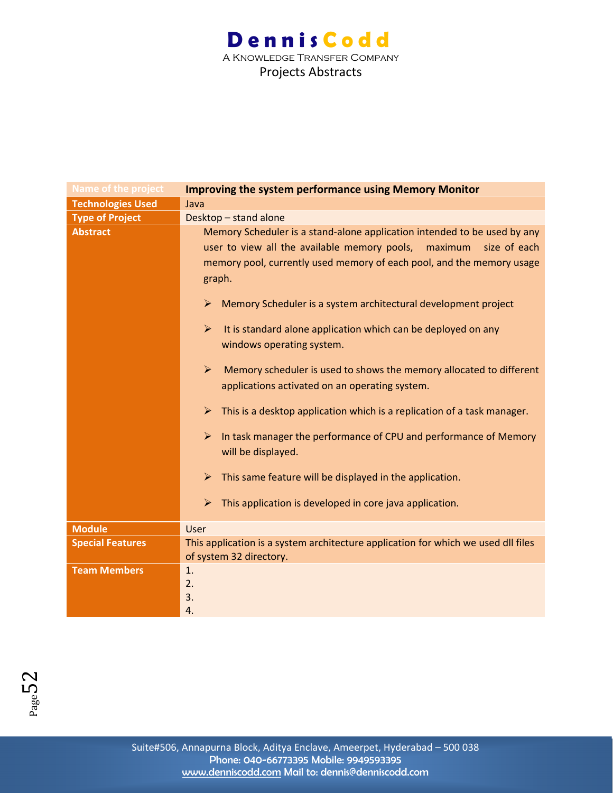| Name of the project      | <b>Improving the system performance using Memory Monitor</b>                                                                                                                                                                                                                                                                                                                                                                                                                                                                                                                                                                                                                                                                                                                                                                                                                                                                                                                                           |
|--------------------------|--------------------------------------------------------------------------------------------------------------------------------------------------------------------------------------------------------------------------------------------------------------------------------------------------------------------------------------------------------------------------------------------------------------------------------------------------------------------------------------------------------------------------------------------------------------------------------------------------------------------------------------------------------------------------------------------------------------------------------------------------------------------------------------------------------------------------------------------------------------------------------------------------------------------------------------------------------------------------------------------------------|
| <b>Technologies Used</b> | Java                                                                                                                                                                                                                                                                                                                                                                                                                                                                                                                                                                                                                                                                                                                                                                                                                                                                                                                                                                                                   |
| <b>Type of Project</b>   | Desktop - stand alone                                                                                                                                                                                                                                                                                                                                                                                                                                                                                                                                                                                                                                                                                                                                                                                                                                                                                                                                                                                  |
| <b>Abstract</b>          | Memory Scheduler is a stand-alone application intended to be used by any<br>user to view all the available memory pools, maximum<br>size of each<br>memory pool, currently used memory of each pool, and the memory usage<br>graph.<br>Memory Scheduler is a system architectural development project<br>$\blacktriangleright$<br>$\blacktriangleright$<br>It is standard alone application which can be deployed on any<br>windows operating system.<br>$\blacktriangleright$<br>Memory scheduler is used to shows the memory allocated to different<br>applications activated on an operating system.<br>$\blacktriangleright$<br>This is a desktop application which is a replication of a task manager.<br>$\blacktriangleright$<br>In task manager the performance of CPU and performance of Memory<br>will be displayed.<br>This same feature will be displayed in the application.<br>$\blacktriangleright$<br>$\blacktriangleright$<br>This application is developed in core java application. |
| <b>Module</b>            | User                                                                                                                                                                                                                                                                                                                                                                                                                                                                                                                                                                                                                                                                                                                                                                                                                                                                                                                                                                                                   |
|                          | This application is a system architecture application for which we used dll files                                                                                                                                                                                                                                                                                                                                                                                                                                                                                                                                                                                                                                                                                                                                                                                                                                                                                                                      |
| <b>Special Features</b>  | of system 32 directory.                                                                                                                                                                                                                                                                                                                                                                                                                                                                                                                                                                                                                                                                                                                                                                                                                                                                                                                                                                                |
| <b>Team Members</b>      | 1.<br>2.<br>3.<br>4.                                                                                                                                                                                                                                                                                                                                                                                                                                                                                                                                                                                                                                                                                                                                                                                                                                                                                                                                                                                   |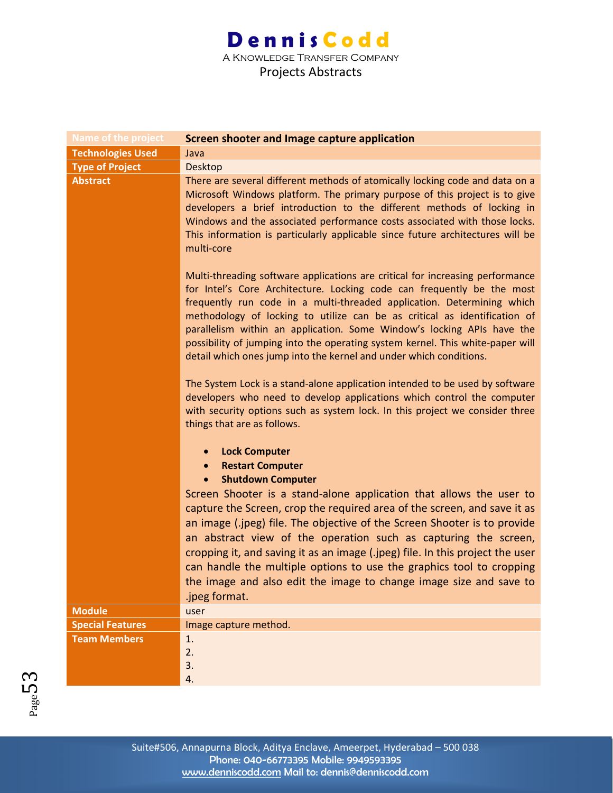| <b>Name of the project</b> | Screen shooter and Image capture application                                                                                                                                                                                                                                                                                                                                                                                                                                                                                                     |
|----------------------------|--------------------------------------------------------------------------------------------------------------------------------------------------------------------------------------------------------------------------------------------------------------------------------------------------------------------------------------------------------------------------------------------------------------------------------------------------------------------------------------------------------------------------------------------------|
| <b>Technologies Used</b>   | Java                                                                                                                                                                                                                                                                                                                                                                                                                                                                                                                                             |
| <b>Type of Project</b>     | <b>Desktop</b>                                                                                                                                                                                                                                                                                                                                                                                                                                                                                                                                   |
| <b>Abstract</b>            | There are several different methods of atomically locking code and data on a<br>Microsoft Windows platform. The primary purpose of this project is to give<br>developers a brief introduction to the different methods of locking in<br>Windows and the associated performance costs associated with those locks.<br>This information is particularly applicable since future architectures will be<br>multi-core                                                                                                                                |
|                            | Multi-threading software applications are critical for increasing performance<br>for Intel's Core Architecture. Locking code can frequently be the most<br>frequently run code in a multi-threaded application. Determining which<br>methodology of locking to utilize can be as critical as identification of<br>parallelism within an application. Some Window's locking APIs have the<br>possibility of jumping into the operating system kernel. This white-paper will<br>detail which ones jump into the kernel and under which conditions. |
|                            | The System Lock is a stand-alone application intended to be used by software<br>developers who need to develop applications which control the computer<br>with security options such as system lock. In this project we consider three<br>things that are as follows.                                                                                                                                                                                                                                                                            |
|                            | <b>Lock Computer</b><br><b>Restart Computer</b><br><b>Shutdown Computer</b><br>$\bullet$<br>Screen Shooter is a stand-alone application that allows the user to                                                                                                                                                                                                                                                                                                                                                                                  |
|                            | capture the Screen, crop the required area of the screen, and save it as<br>an image (.jpeg) file. The objective of the Screen Shooter is to provide<br>an abstract view of the operation such as capturing the screen,<br>cropping it, and saving it as an image (.jpeg) file. In this project the user<br>can handle the multiple options to use the graphics tool to cropping<br>the image and also edit the image to change image size and save to<br>.jpeg format.                                                                          |
| <b>Module</b>              | user                                                                                                                                                                                                                                                                                                                                                                                                                                                                                                                                             |
| <b>Special Features</b>    | Image capture method.                                                                                                                                                                                                                                                                                                                                                                                                                                                                                                                            |
| <b>Team Members</b>        | 1.                                                                                                                                                                                                                                                                                                                                                                                                                                                                                                                                               |
|                            | 2.                                                                                                                                                                                                                                                                                                                                                                                                                                                                                                                                               |
|                            | 3.                                                                                                                                                                                                                                                                                                                                                                                                                                                                                                                                               |
|                            | 4.                                                                                                                                                                                                                                                                                                                                                                                                                                                                                                                                               |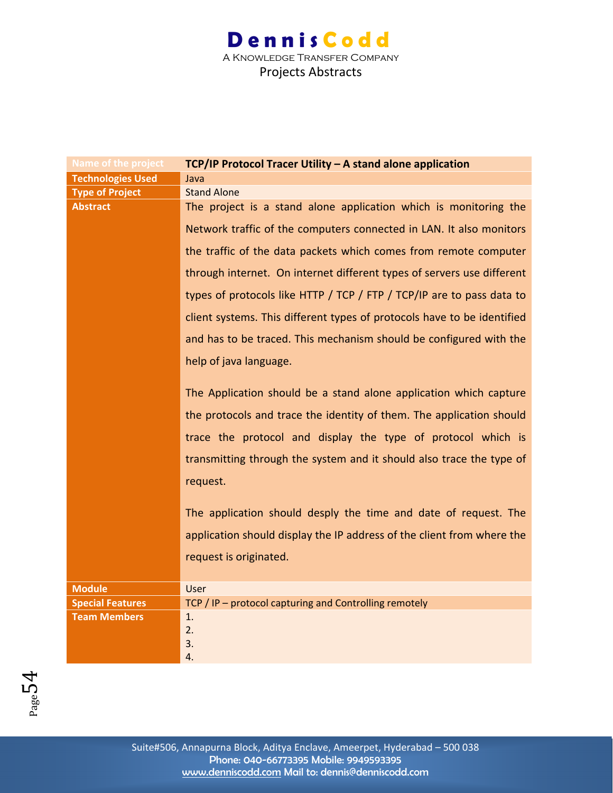| Name of the project      | TCP/IP Protocol Tracer Utility - A stand alone application              |
|--------------------------|-------------------------------------------------------------------------|
| <b>Technologies Used</b> | Java                                                                    |
| <b>Type of Project</b>   | <b>Stand Alone</b>                                                      |
| <b>Abstract</b>          | The project is a stand alone application which is monitoring the        |
|                          | Network traffic of the computers connected in LAN. It also monitors     |
|                          | the traffic of the data packets which comes from remote computer        |
|                          | through internet. On internet different types of servers use different  |
|                          | types of protocols like HTTP / TCP / FTP / TCP/IP are to pass data to   |
|                          | client systems. This different types of protocols have to be identified |
|                          | and has to be traced. This mechanism should be configured with the      |
|                          | help of java language.                                                  |
|                          | The Application should be a stand alone application which capture       |
|                          | the protocols and trace the identity of them. The application should    |
|                          | trace the protocol and display the type of protocol which is            |
|                          | transmitting through the system and it should also trace the type of    |
|                          | request.                                                                |
|                          | The application should desply the time and date of request. The         |
|                          | application should display the IP address of the client from where the  |
|                          | request is originated.                                                  |
|                          |                                                                         |
| <b>Module</b>            | <b>User</b>                                                             |
| <b>Special Features</b>  | TCP / IP - protocol capturing and Controlling remotely                  |
| <b>Team Members</b>      | 1.                                                                      |
|                          | 2.                                                                      |
|                          | 3.                                                                      |
|                          | 4.                                                                      |

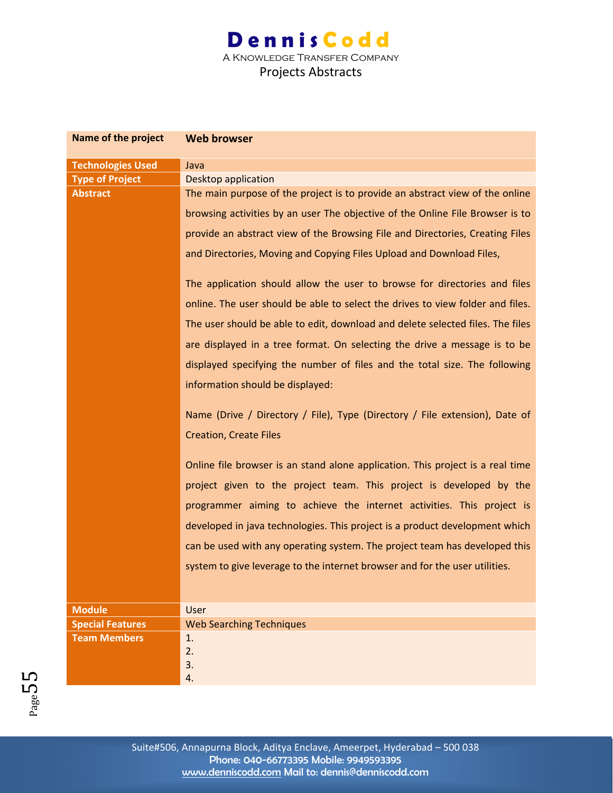| Name of the project      | <b>Web browser</b>                                                             |
|--------------------------|--------------------------------------------------------------------------------|
| <b>Technologies Used</b> | Java                                                                           |
| <b>Type of Project</b>   | <b>Desktop application</b>                                                     |
| <b>Abstract</b>          | The main purpose of the project is to provide an abstract view of the online   |
|                          | browsing activities by an user The objective of the Online File Browser is to  |
|                          | provide an abstract view of the Browsing File and Directories, Creating Files  |
|                          | and Directories, Moving and Copying Files Upload and Download Files,           |
|                          | The application should allow the user to browse for directories and files      |
|                          | online. The user should be able to select the drives to view folder and files. |
|                          | The user should be able to edit, download and delete selected files. The files |
|                          | are displayed in a tree format. On selecting the drive a message is to be      |
|                          | displayed specifying the number of files and the total size. The following     |
|                          | information should be displayed:                                               |
|                          |                                                                                |
|                          | Name (Drive / Directory / File), Type (Directory / File extension), Date of    |
|                          | <b>Creation, Create Files</b>                                                  |
|                          | Online file browser is an stand alone application. This project is a real time |
|                          | project given to the project team. This project is developed by the            |
|                          | programmer aiming to achieve the internet activities. This project is          |
|                          | developed in java technologies. This project is a product development which    |
|                          | can be used with any operating system. The project team has developed this     |
|                          |                                                                                |
|                          | system to give leverage to the internet browser and for the user utilities.    |
|                          |                                                                                |
| <b>Module</b>            | User                                                                           |
| <b>Special Features</b>  | <b>Web Searching Techniques</b>                                                |
| <b>Team Members</b>      | 1.                                                                             |
|                          | 2.                                                                             |
|                          | 3.<br>4.                                                                       |
|                          |                                                                                |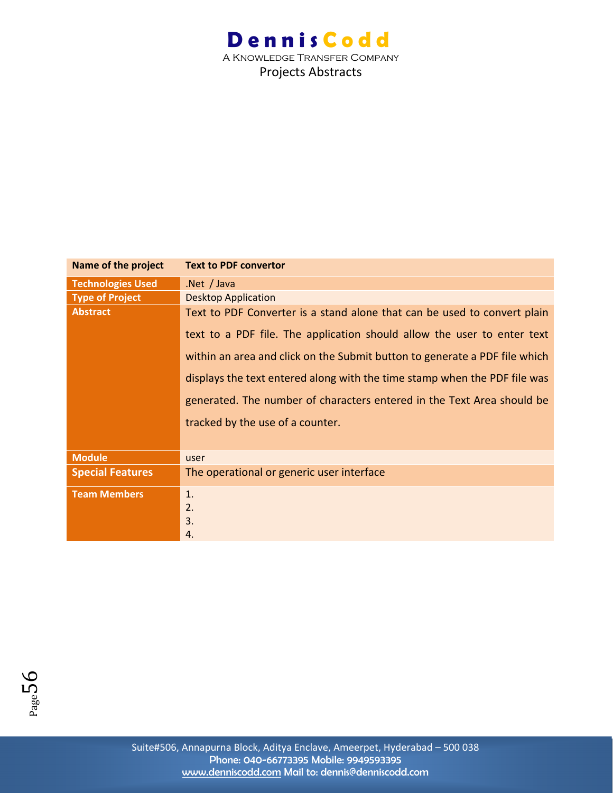| Name of the project      | <b>Text to PDF convertor</b>                                               |
|--------------------------|----------------------------------------------------------------------------|
| <b>Technologies Used</b> | .Net $/$ Java                                                              |
| <b>Type of Project</b>   | <b>Desktop Application</b>                                                 |
| <b>Abstract</b>          | Text to PDF Converter is a stand alone that can be used to convert plain   |
|                          | text to a PDF file. The application should allow the user to enter text    |
|                          | within an area and click on the Submit button to generate a PDF file which |
|                          | displays the text entered along with the time stamp when the PDF file was  |
|                          | generated. The number of characters entered in the Text Area should be     |
|                          | tracked by the use of a counter.                                           |
|                          |                                                                            |
| <b>Module</b>            | user                                                                       |
| <b>Special Features</b>  | The operational or generic user interface                                  |
| <b>Team Members</b>      | 1.                                                                         |
|                          | 2.                                                                         |
|                          | 3.                                                                         |
|                          | 4.                                                                         |

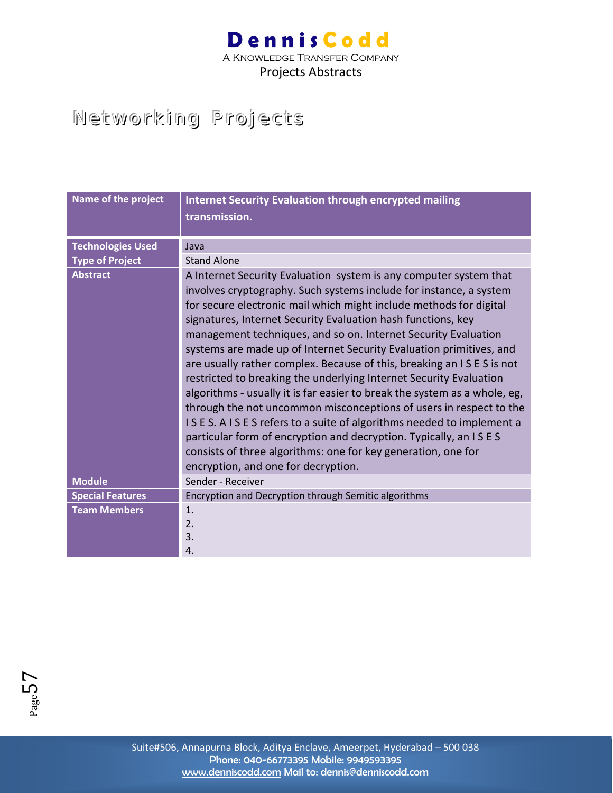A Knowledge Transfer Company Projects Abstracts

### Networking Projects

| Name of the project      | <b>Internet Security Evaluation through encrypted mailing</b><br>transmission.                                                                                                                                                                                                                                                                                                                                                                                                                                                                                                                                                                                                                                                                                                                                                                                                                                                                                           |
|--------------------------|--------------------------------------------------------------------------------------------------------------------------------------------------------------------------------------------------------------------------------------------------------------------------------------------------------------------------------------------------------------------------------------------------------------------------------------------------------------------------------------------------------------------------------------------------------------------------------------------------------------------------------------------------------------------------------------------------------------------------------------------------------------------------------------------------------------------------------------------------------------------------------------------------------------------------------------------------------------------------|
| <b>Technologies Used</b> | Java                                                                                                                                                                                                                                                                                                                                                                                                                                                                                                                                                                                                                                                                                                                                                                                                                                                                                                                                                                     |
| <b>Type of Project</b>   | Stand Alone                                                                                                                                                                                                                                                                                                                                                                                                                                                                                                                                                                                                                                                                                                                                                                                                                                                                                                                                                              |
| <b>Abstract</b>          | A Internet Security Evaluation system is any computer system that<br>involves cryptography. Such systems include for instance, a system<br>for secure electronic mail which might include methods for digital<br>signatures, Internet Security Evaluation hash functions, key<br>management techniques, and so on. Internet Security Evaluation<br>systems are made up of Internet Security Evaluation primitives, and<br>are usually rather complex. Because of this, breaking an ISES is not<br>restricted to breaking the underlying Internet Security Evaluation<br>algorithms - usually it is far easier to break the system as a whole, eg,<br>through the not uncommon misconceptions of users in respect to the<br>ISES. AISES refers to a suite of algorithms needed to implement a<br>particular form of encryption and decryption. Typically, an ISES<br>consists of three algorithms: one for key generation, one for<br>encryption, and one for decryption. |
| <b>Module</b>            | Sender - Receiver                                                                                                                                                                                                                                                                                                                                                                                                                                                                                                                                                                                                                                                                                                                                                                                                                                                                                                                                                        |
| <b>Special Features</b>  | Encryption and Decryption through Semitic algorithms                                                                                                                                                                                                                                                                                                                                                                                                                                                                                                                                                                                                                                                                                                                                                                                                                                                                                                                     |
| <b>Team Members</b>      | 1.<br>2.<br>3.<br>4.                                                                                                                                                                                                                                                                                                                                                                                                                                                                                                                                                                                                                                                                                                                                                                                                                                                                                                                                                     |

 $F_{\rm age}$ 57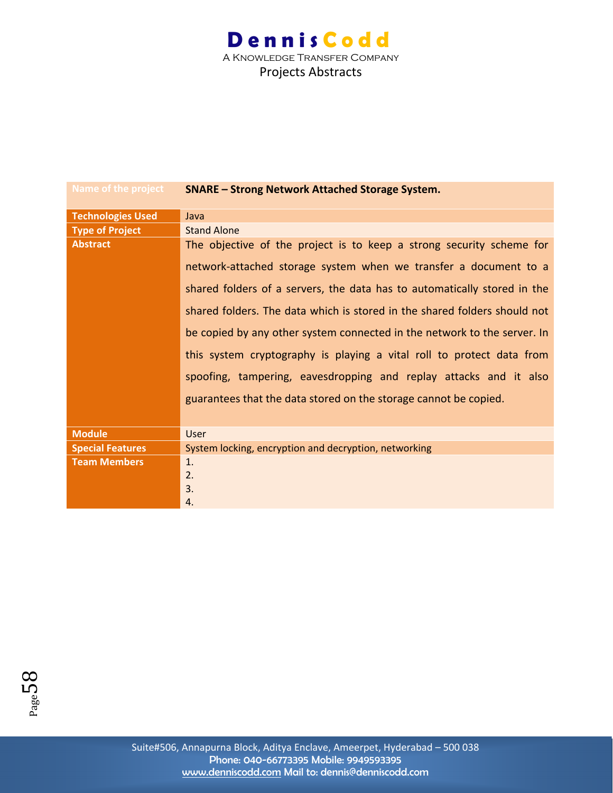| <b>Name of the project</b> | <b>SNARE - Strong Network Attached Storage System.</b>                    |
|----------------------------|---------------------------------------------------------------------------|
| <b>Technologies Used</b>   | Java                                                                      |
| <b>Type of Project</b>     | <b>Stand Alone</b>                                                        |
| <b>Abstract</b>            | The objective of the project is to keep a strong security scheme for      |
|                            | network-attached storage system when we transfer a document to a          |
|                            | shared folders of a servers, the data has to automatically stored in the  |
|                            | shared folders. The data which is stored in the shared folders should not |
|                            | be copied by any other system connected in the network to the server. In  |
|                            | this system cryptography is playing a vital roll to protect data from     |
|                            | spoofing, tampering, eavesdropping and replay attacks and it also         |
|                            | guarantees that the data stored on the storage cannot be copied.          |
|                            |                                                                           |
| <b>Module</b>              | User                                                                      |
| <b>Special Features</b>    | System locking, encryption and decryption, networking                     |
| <b>Team Members</b>        | 1.                                                                        |
|                            | 2.                                                                        |
|                            | 3.                                                                        |
|                            | 4.                                                                        |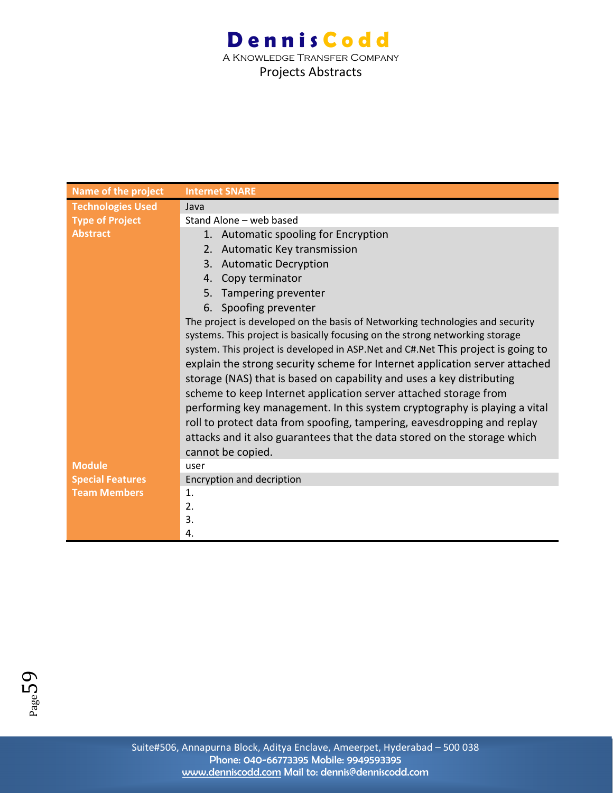| <b>Name of the project</b> | <b>Internet SNARE</b>                                                              |
|----------------------------|------------------------------------------------------------------------------------|
| <b>Technologies Used</b>   | Java                                                                               |
| <b>Type of Project</b>     | Stand Alone - web based                                                            |
| <b>Abstract</b>            | 1. Automatic spooling for Encryption                                               |
|                            | Automatic Key transmission<br>2.                                                   |
|                            | <b>Automatic Decryption</b><br>3.                                                  |
|                            | Copy terminator<br>4.                                                              |
|                            | Tampering preventer<br>5.                                                          |
|                            | 6. Spoofing preventer                                                              |
|                            | The project is developed on the basis of Networking technologies and security      |
|                            | systems. This project is basically focusing on the strong networking storage       |
|                            | system. This project is developed in ASP. Net and C#. Net This project is going to |
|                            | explain the strong security scheme for Internet application server attached        |
|                            | storage (NAS) that is based on capability and uses a key distributing              |
|                            | scheme to keep Internet application server attached storage from                   |
|                            | performing key management. In this system cryptography is playing a vital          |
|                            | roll to protect data from spoofing, tampering, eavesdropping and replay            |
|                            | attacks and it also guarantees that the data stored on the storage which           |
|                            | cannot be copied.                                                                  |
| <b>Module</b>              | user                                                                               |
| <b>Special Features</b>    | Encryption and decription                                                          |
| <b>Team Members</b>        | 1.                                                                                 |
|                            | 2.                                                                                 |
|                            | 3.                                                                                 |
|                            | 4.                                                                                 |

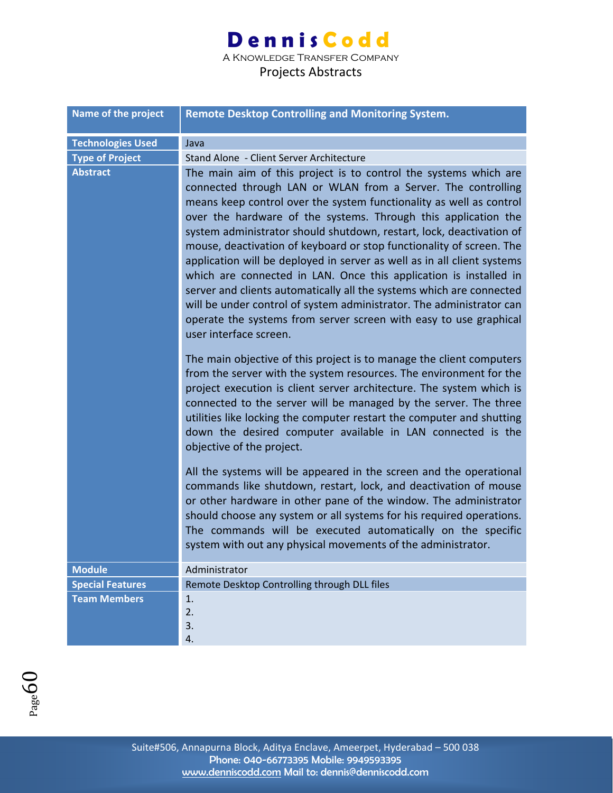A Knowledge Transfer Company

| <b>Name of the project</b> | <b>Remote Desktop Controlling and Monitoring System.</b>                                                                                                                                                                                                                                                                                                                                                                                                                                                                                                                                                                                                                                                                                                                                                                 |
|----------------------------|--------------------------------------------------------------------------------------------------------------------------------------------------------------------------------------------------------------------------------------------------------------------------------------------------------------------------------------------------------------------------------------------------------------------------------------------------------------------------------------------------------------------------------------------------------------------------------------------------------------------------------------------------------------------------------------------------------------------------------------------------------------------------------------------------------------------------|
| <b>Technologies Used</b>   | Java                                                                                                                                                                                                                                                                                                                                                                                                                                                                                                                                                                                                                                                                                                                                                                                                                     |
| <b>Type of Project</b>     | Stand Alone - Client Server Architecture                                                                                                                                                                                                                                                                                                                                                                                                                                                                                                                                                                                                                                                                                                                                                                                 |
| <b>Abstract</b>            | The main aim of this project is to control the systems which are<br>connected through LAN or WLAN from a Server. The controlling<br>means keep control over the system functionality as well as control<br>over the hardware of the systems. Through this application the<br>system administrator should shutdown, restart, lock, deactivation of<br>mouse, deactivation of keyboard or stop functionality of screen. The<br>application will be deployed in server as well as in all client systems<br>which are connected in LAN. Once this application is installed in<br>server and clients automatically all the systems which are connected<br>will be under control of system administrator. The administrator can<br>operate the systems from server screen with easy to use graphical<br>user interface screen. |
|                            | The main objective of this project is to manage the client computers<br>from the server with the system resources. The environment for the<br>project execution is client server architecture. The system which is<br>connected to the server will be managed by the server. The three<br>utilities like locking the computer restart the computer and shutting<br>down the desired computer available in LAN connected is the<br>objective of the project.                                                                                                                                                                                                                                                                                                                                                              |
|                            | All the systems will be appeared in the screen and the operational<br>commands like shutdown, restart, lock, and deactivation of mouse<br>or other hardware in other pane of the window. The administrator<br>should choose any system or all systems for his required operations.<br>The commands will be executed automatically on the specific<br>system with out any physical movements of the administrator.                                                                                                                                                                                                                                                                                                                                                                                                        |
| <b>Module</b>              | Administrator                                                                                                                                                                                                                                                                                                                                                                                                                                                                                                                                                                                                                                                                                                                                                                                                            |
| <b>Special Features</b>    | Remote Desktop Controlling through DLL files                                                                                                                                                                                                                                                                                                                                                                                                                                                                                                                                                                                                                                                                                                                                                                             |
| <b>Team Members</b>        | 1.<br>2.<br>3.<br>4.                                                                                                                                                                                                                                                                                                                                                                                                                                                                                                                                                                                                                                                                                                                                                                                                     |

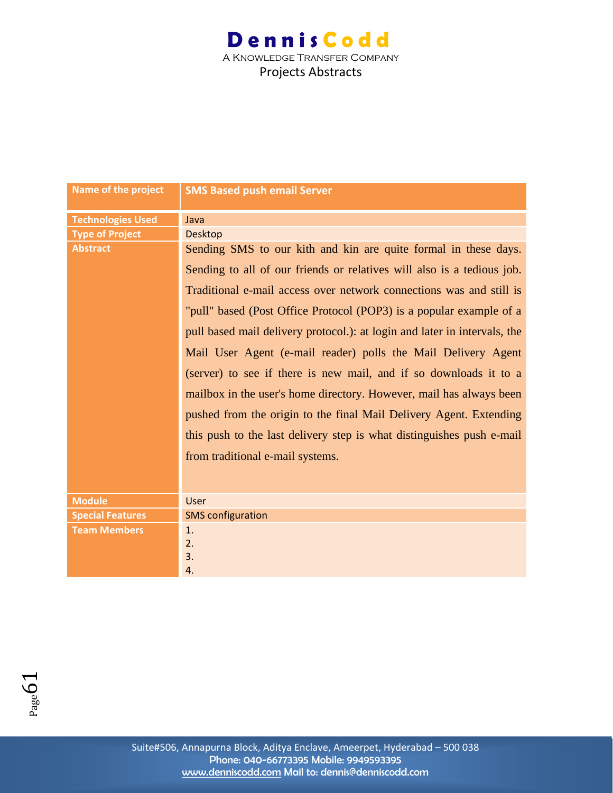| <b>Name of the project</b> | <b>SMS Based push email Server</b>                                        |
|----------------------------|---------------------------------------------------------------------------|
| <b>Technologies Used</b>   | Java                                                                      |
| <b>Type of Project</b>     | <b>Desktop</b>                                                            |
| <b>Abstract</b>            | Sending SMS to our kith and kin are quite formal in these days.           |
|                            | Sending to all of our friends or relatives will also is a tedious job.    |
|                            | Traditional e-mail access over network connections was and still is       |
|                            | "pull" based (Post Office Protocol (POP3) is a popular example of a       |
|                            | pull based mail delivery protocol.): at login and later in intervals, the |
|                            | Mail User Agent (e-mail reader) polls the Mail Delivery Agent             |
|                            | (server) to see if there is new mail, and if so downloads it to a         |
|                            | mailbox in the user's home directory. However, mail has always been       |
|                            | pushed from the origin to the final Mail Delivery Agent. Extending        |
|                            | this push to the last delivery step is what distinguishes push e-mail     |
|                            | from traditional e-mail systems.                                          |
|                            |                                                                           |
| <b>Module</b>              | User                                                                      |
| <b>Special Features</b>    | <b>SMS</b> configuration                                                  |
| <b>Team Members</b>        | 1.                                                                        |
|                            | 2.                                                                        |
|                            | 3.                                                                        |
|                            | 4.                                                                        |

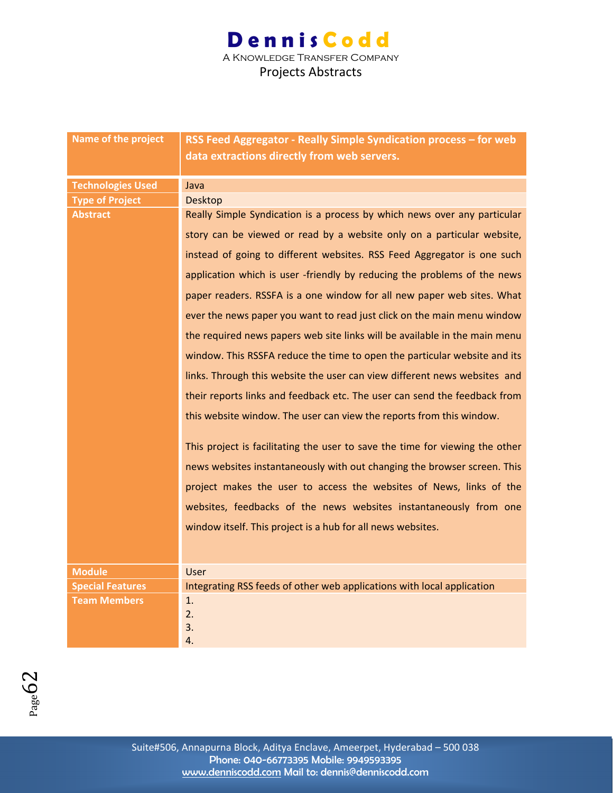| Name of the project      | RSS Feed Aggregator - Really Simple Syndication process - for web<br>data extractions directly from web servers. |
|--------------------------|------------------------------------------------------------------------------------------------------------------|
| <b>Technologies Used</b> | Java                                                                                                             |
| <b>Type of Project</b>   | <b>Desktop</b>                                                                                                   |
| <b>Abstract</b>          | Really Simple Syndication is a process by which news over any particular                                         |
|                          | story can be viewed or read by a website only on a particular website,                                           |
|                          | instead of going to different websites. RSS Feed Aggregator is one such                                          |
|                          | application which is user -friendly by reducing the problems of the news                                         |
|                          | paper readers. RSSFA is a one window for all new paper web sites. What                                           |
|                          | ever the news paper you want to read just click on the main menu window                                          |
|                          | the required news papers web site links will be available in the main menu                                       |
|                          | window. This RSSFA reduce the time to open the particular website and its                                        |
|                          | links. Through this website the user can view different news websites and                                        |
|                          | their reports links and feedback etc. The user can send the feedback from                                        |
|                          | this website window. The user can view the reports from this window.                                             |
|                          | This project is facilitating the user to save the time for viewing the other                                     |
|                          | news websites instantaneously with out changing the browser screen. This                                         |
|                          | project makes the user to access the websites of News, links of the                                              |
|                          | websites, feedbacks of the news websites instantaneously from one                                                |
|                          | window itself. This project is a hub for all news websites.                                                      |
|                          |                                                                                                                  |
| <b>Module</b>            | <b>User</b>                                                                                                      |
| <b>Special Features</b>  | Integrating RSS feeds of other web applications with local application                                           |
| <b>Team Members</b>      | 1.                                                                                                               |
|                          | 2.                                                                                                               |
|                          | 3.                                                                                                               |
|                          | 4.                                                                                                               |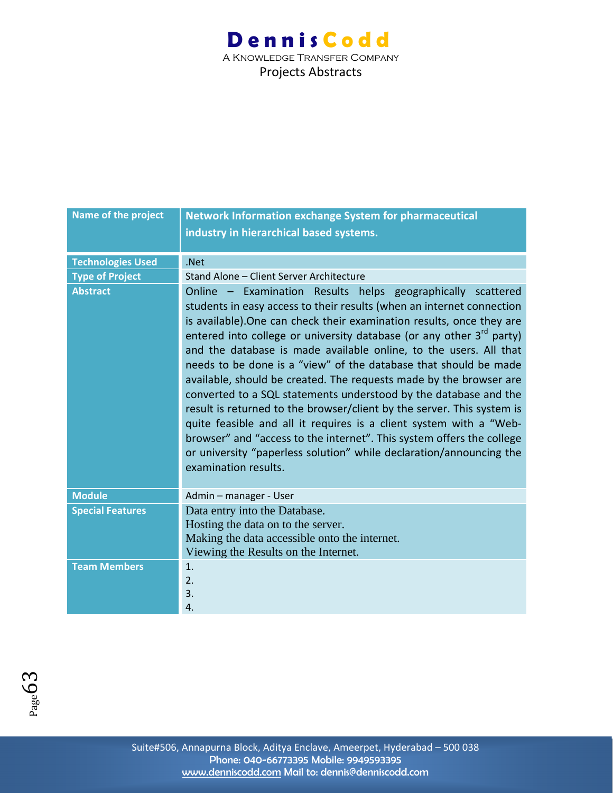| Name of the project      | <b>Network Information exchange System for pharmaceutical</b>                                                                                                                                                                                                                                                                                                                                                                                                                                                                                                                                                                                                                                                                                                                                                                                                                                         |
|--------------------------|-------------------------------------------------------------------------------------------------------------------------------------------------------------------------------------------------------------------------------------------------------------------------------------------------------------------------------------------------------------------------------------------------------------------------------------------------------------------------------------------------------------------------------------------------------------------------------------------------------------------------------------------------------------------------------------------------------------------------------------------------------------------------------------------------------------------------------------------------------------------------------------------------------|
|                          | industry in hierarchical based systems.                                                                                                                                                                                                                                                                                                                                                                                                                                                                                                                                                                                                                                                                                                                                                                                                                                                               |
|                          |                                                                                                                                                                                                                                                                                                                                                                                                                                                                                                                                                                                                                                                                                                                                                                                                                                                                                                       |
| <b>Technologies Used</b> | .Net                                                                                                                                                                                                                                                                                                                                                                                                                                                                                                                                                                                                                                                                                                                                                                                                                                                                                                  |
| <b>Type of Project</b>   | Stand Alone - Client Server Architecture                                                                                                                                                                                                                                                                                                                                                                                                                                                                                                                                                                                                                                                                                                                                                                                                                                                              |
| <b>Abstract</b>          | Online - Examination Results helps geographically scattered<br>students in easy access to their results (when an internet connection<br>is available). One can check their examination results, once they are<br>entered into college or university database (or any other $3^{rd}$ party)<br>and the database is made available online, to the users. All that<br>needs to be done is a "view" of the database that should be made<br>available, should be created. The requests made by the browser are<br>converted to a SQL statements understood by the database and the<br>result is returned to the browser/client by the server. This system is<br>quite feasible and all it requires is a client system with a "Web-<br>browser" and "access to the internet". This system offers the college<br>or university "paperless solution" while declaration/announcing the<br>examination results. |
| <b>Module</b>            | Admin - manager - User                                                                                                                                                                                                                                                                                                                                                                                                                                                                                                                                                                                                                                                                                                                                                                                                                                                                                |
| <b>Special Features</b>  | Data entry into the Database.                                                                                                                                                                                                                                                                                                                                                                                                                                                                                                                                                                                                                                                                                                                                                                                                                                                                         |
|                          | Hosting the data on to the server.                                                                                                                                                                                                                                                                                                                                                                                                                                                                                                                                                                                                                                                                                                                                                                                                                                                                    |
|                          | Making the data accessible onto the internet.                                                                                                                                                                                                                                                                                                                                                                                                                                                                                                                                                                                                                                                                                                                                                                                                                                                         |
|                          | Viewing the Results on the Internet.                                                                                                                                                                                                                                                                                                                                                                                                                                                                                                                                                                                                                                                                                                                                                                                                                                                                  |
| <b>Team Members</b>      | 1.                                                                                                                                                                                                                                                                                                                                                                                                                                                                                                                                                                                                                                                                                                                                                                                                                                                                                                    |
|                          | 2.                                                                                                                                                                                                                                                                                                                                                                                                                                                                                                                                                                                                                                                                                                                                                                                                                                                                                                    |
|                          | 3.                                                                                                                                                                                                                                                                                                                                                                                                                                                                                                                                                                                                                                                                                                                                                                                                                                                                                                    |
|                          | $\overline{4}$ .                                                                                                                                                                                                                                                                                                                                                                                                                                                                                                                                                                                                                                                                                                                                                                                                                                                                                      |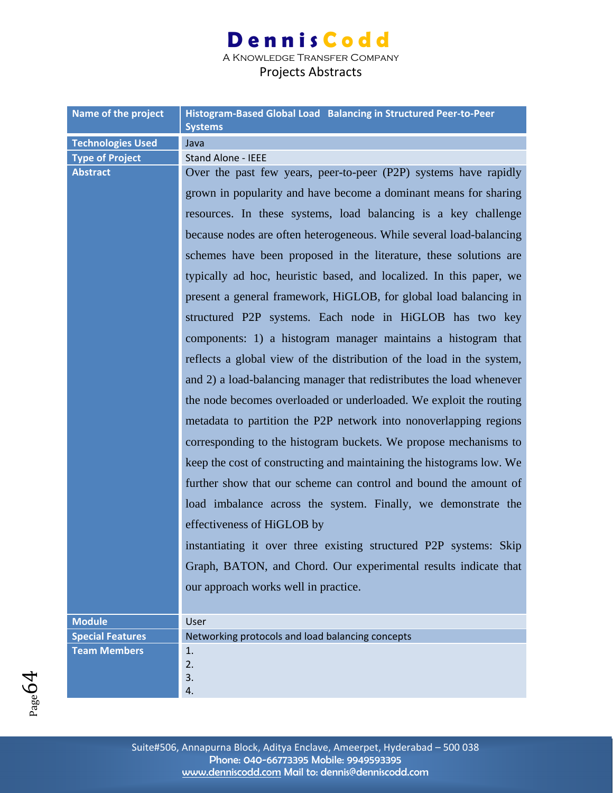A Knowledge Transfer Company

| Name of the project                       | Histogram-Based Global Load Balancing in Structured Peer-to-Peer                              |
|-------------------------------------------|-----------------------------------------------------------------------------------------------|
|                                           | <b>Systems</b>                                                                                |
| <b>Technologies Used</b>                  | Java                                                                                          |
| <b>Type of Project</b><br><b>Abstract</b> | <b>Stand Alone - IEEE</b><br>Over the past few years, peer-to-peer (P2P) systems have rapidly |
|                                           |                                                                                               |
|                                           | grown in popularity and have become a dominant means for sharing                              |
|                                           | resources. In these systems, load balancing is a key challenge                                |
|                                           | because nodes are often heterogeneous. While several load-balancing                           |
|                                           | schemes have been proposed in the literature, these solutions are                             |
|                                           | typically ad hoc, heuristic based, and localized. In this paper, we                           |
|                                           | present a general framework, HiGLOB, for global load balancing in                             |
|                                           | structured P2P systems. Each node in HiGLOB has two key                                       |
|                                           | components: 1) a histogram manager maintains a histogram that                                 |
|                                           | reflects a global view of the distribution of the load in the system,                         |
|                                           | and 2) a load-balancing manager that redistributes the load whenever                          |
|                                           | the node becomes overloaded or underloaded. We exploit the routing                            |
|                                           | metadata to partition the P2P network into nonoverlapping regions                             |
|                                           | corresponding to the histogram buckets. We propose mechanisms to                              |
|                                           | keep the cost of constructing and maintaining the histograms low. We                          |
|                                           | further show that our scheme can control and bound the amount of                              |
|                                           | load imbalance across the system. Finally, we demonstrate the                                 |
|                                           | effectiveness of HiGLOB by                                                                    |
|                                           | instantiating it over three existing structured P2P systems: Skip                             |
|                                           | Graph, BATON, and Chord. Our experimental results indicate that                               |
|                                           | our approach works well in practice.                                                          |
|                                           |                                                                                               |
| <b>Module</b>                             | User                                                                                          |
| <b>Special Features</b>                   | Networking protocols and load balancing concepts                                              |
| <b>Team Members</b>                       | 1.<br>2.                                                                                      |
|                                           | 3.                                                                                            |
|                                           | 4.                                                                                            |

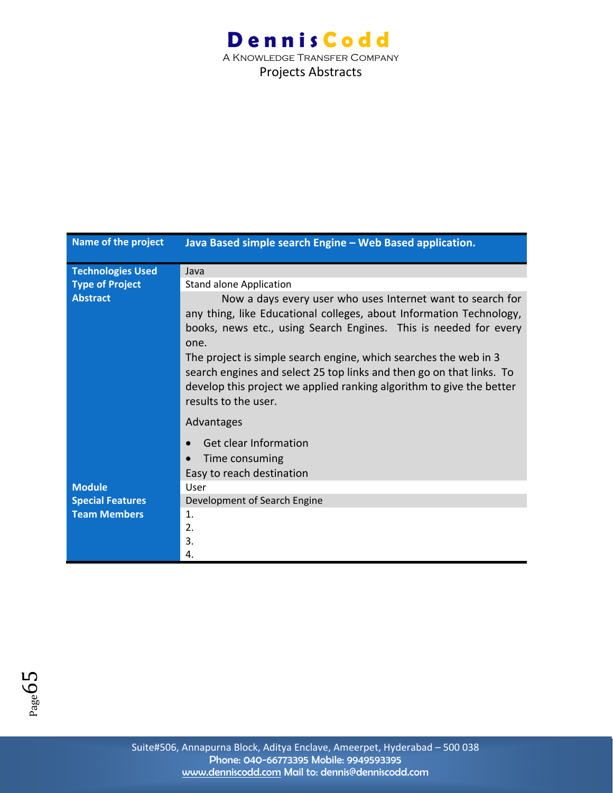| Name of the project      | Java Based simple search Engine - Web Based application.                                                                                                                                                                                                                                                                                                                                                                                                  |
|--------------------------|-----------------------------------------------------------------------------------------------------------------------------------------------------------------------------------------------------------------------------------------------------------------------------------------------------------------------------------------------------------------------------------------------------------------------------------------------------------|
| <b>Technologies Used</b> | Java                                                                                                                                                                                                                                                                                                                                                                                                                                                      |
| <b>Type of Project</b>   | <b>Stand alone Application</b>                                                                                                                                                                                                                                                                                                                                                                                                                            |
| Abstract                 | Now a days every user who uses Internet want to search for<br>any thing, like Educational colleges, about Information Technology,<br>books, news etc., using Search Engines. This is needed for every<br>one.<br>The project is simple search engine, which searches the web in 3<br>search engines and select 25 top links and then go on that links. To<br>develop this project we applied ranking algorithm to give the better<br>results to the user. |
|                          | Advantages                                                                                                                                                                                                                                                                                                                                                                                                                                                |
|                          | Get clear Information                                                                                                                                                                                                                                                                                                                                                                                                                                     |
|                          | Time consuming                                                                                                                                                                                                                                                                                                                                                                                                                                            |
|                          | Easy to reach destination                                                                                                                                                                                                                                                                                                                                                                                                                                 |
| <b>Module</b>            | User                                                                                                                                                                                                                                                                                                                                                                                                                                                      |
| <b>Special Features</b>  | Development of Search Engine                                                                                                                                                                                                                                                                                                                                                                                                                              |
| <b>Team Members</b>      | $\mathbf{1}$ .                                                                                                                                                                                                                                                                                                                                                                                                                                            |
|                          | 2.                                                                                                                                                                                                                                                                                                                                                                                                                                                        |
|                          | 3.                                                                                                                                                                                                                                                                                                                                                                                                                                                        |
|                          | 4.                                                                                                                                                                                                                                                                                                                                                                                                                                                        |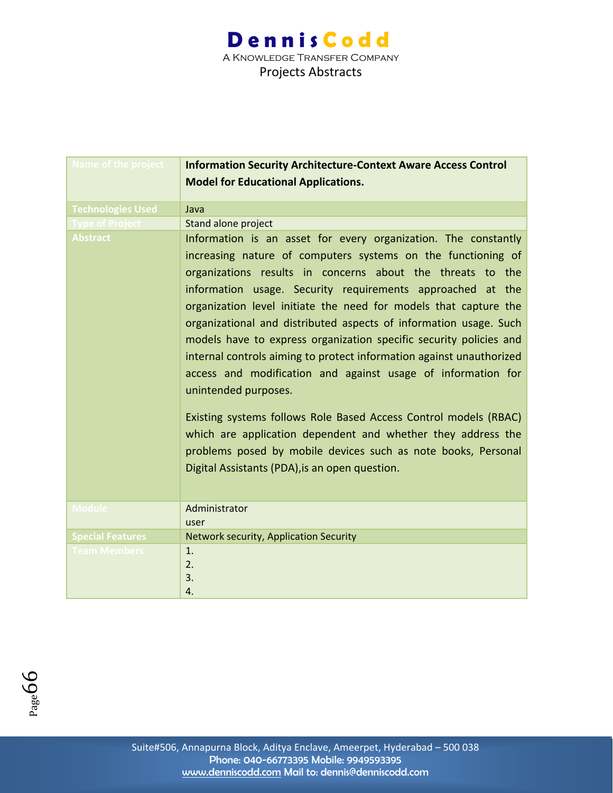| Name of the project      | <b>Information Security Architecture-Context Aware Access Control</b><br><b>Model for Educational Applications.</b>                                                                                                                                                                                                                                                                                                                                                                                                                                                                                                                                                                                                                                                                                                                                                                              |
|--------------------------|--------------------------------------------------------------------------------------------------------------------------------------------------------------------------------------------------------------------------------------------------------------------------------------------------------------------------------------------------------------------------------------------------------------------------------------------------------------------------------------------------------------------------------------------------------------------------------------------------------------------------------------------------------------------------------------------------------------------------------------------------------------------------------------------------------------------------------------------------------------------------------------------------|
| <b>Technologies Used</b> | Java                                                                                                                                                                                                                                                                                                                                                                                                                                                                                                                                                                                                                                                                                                                                                                                                                                                                                             |
| <b>Type of Project</b>   | Stand alone project                                                                                                                                                                                                                                                                                                                                                                                                                                                                                                                                                                                                                                                                                                                                                                                                                                                                              |
| <b>Abstract</b>          | Information is an asset for every organization. The constantly<br>increasing nature of computers systems on the functioning of<br>organizations results in concerns about the threats to the<br>information usage. Security requirements approached at the<br>organization level initiate the need for models that capture the<br>organizational and distributed aspects of information usage. Such<br>models have to express organization specific security policies and<br>internal controls aiming to protect information against unauthorized<br>access and modification and against usage of information for<br>unintended purposes.<br>Existing systems follows Role Based Access Control models (RBAC)<br>which are application dependent and whether they address the<br>problems posed by mobile devices such as note books, Personal<br>Digital Assistants (PDA), is an open question. |
| <b>Module</b>            | Administrator<br>user                                                                                                                                                                                                                                                                                                                                                                                                                                                                                                                                                                                                                                                                                                                                                                                                                                                                            |
| <b>Special Features</b>  | Network security, Application Security                                                                                                                                                                                                                                                                                                                                                                                                                                                                                                                                                                                                                                                                                                                                                                                                                                                           |
| <b>Team Members</b>      | 1 <sub>1</sub><br>2.<br>3.<br>4.                                                                                                                                                                                                                                                                                                                                                                                                                                                                                                                                                                                                                                                                                                                                                                                                                                                                 |

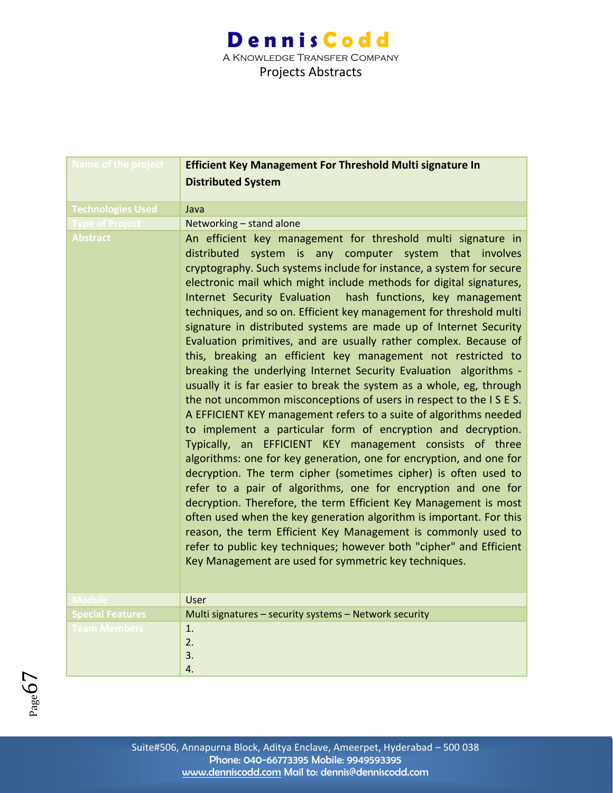| Name of the project      | <b>Efficient Key Management For Threshold Multi signature In</b>                                                                                                                                                                                                                                                                                                                                                                                                                                                                                                                                                                                                                                                                                                                                                                                                                                                                                                                                                                                                                                                                                                                                                                                                                                                                                                                                                                                                                                                                                                                                   |
|--------------------------|----------------------------------------------------------------------------------------------------------------------------------------------------------------------------------------------------------------------------------------------------------------------------------------------------------------------------------------------------------------------------------------------------------------------------------------------------------------------------------------------------------------------------------------------------------------------------------------------------------------------------------------------------------------------------------------------------------------------------------------------------------------------------------------------------------------------------------------------------------------------------------------------------------------------------------------------------------------------------------------------------------------------------------------------------------------------------------------------------------------------------------------------------------------------------------------------------------------------------------------------------------------------------------------------------------------------------------------------------------------------------------------------------------------------------------------------------------------------------------------------------------------------------------------------------------------------------------------------------|
|                          | <b>Distributed System</b>                                                                                                                                                                                                                                                                                                                                                                                                                                                                                                                                                                                                                                                                                                                                                                                                                                                                                                                                                                                                                                                                                                                                                                                                                                                                                                                                                                                                                                                                                                                                                                          |
|                          |                                                                                                                                                                                                                                                                                                                                                                                                                                                                                                                                                                                                                                                                                                                                                                                                                                                                                                                                                                                                                                                                                                                                                                                                                                                                                                                                                                                                                                                                                                                                                                                                    |
| <b>Technologies Used</b> | Java                                                                                                                                                                                                                                                                                                                                                                                                                                                                                                                                                                                                                                                                                                                                                                                                                                                                                                                                                                                                                                                                                                                                                                                                                                                                                                                                                                                                                                                                                                                                                                                               |
| <b>Type of Project</b>   | Networking - stand alone                                                                                                                                                                                                                                                                                                                                                                                                                                                                                                                                                                                                                                                                                                                                                                                                                                                                                                                                                                                                                                                                                                                                                                                                                                                                                                                                                                                                                                                                                                                                                                           |
| <b>Abstract</b>          | An efficient key management for threshold multi signature in<br>distributed system is any computer system that involves<br>cryptography. Such systems include for instance, a system for secure<br>electronic mail which might include methods for digital signatures,<br>hash functions, key management<br>Internet Security Evaluation<br>techniques, and so on. Efficient key management for threshold multi<br>signature in distributed systems are made up of Internet Security<br>Evaluation primitives, and are usually rather complex. Because of<br>this, breaking an efficient key management not restricted to<br>breaking the underlying Internet Security Evaluation algorithms -<br>usually it is far easier to break the system as a whole, eg, through<br>the not uncommon misconceptions of users in respect to the ISES.<br>A EFFICIENT KEY management refers to a suite of algorithms needed<br>to implement a particular form of encryption and decryption.<br>Typically, an EFFICIENT KEY management consists of three<br>algorithms: one for key generation, one for encryption, and one for<br>decryption. The term cipher (sometimes cipher) is often used to<br>refer to a pair of algorithms, one for encryption and one for<br>decryption. Therefore, the term Efficient Key Management is most<br>often used when the key generation algorithm is important. For this<br>reason, the term Efficient Key Management is commonly used to<br>refer to public key techniques; however both "cipher" and Efficient<br>Key Management are used for symmetric key techniques. |
| <b>Module</b>            | User                                                                                                                                                                                                                                                                                                                                                                                                                                                                                                                                                                                                                                                                                                                                                                                                                                                                                                                                                                                                                                                                                                                                                                                                                                                                                                                                                                                                                                                                                                                                                                                               |
| <b>Special Features</b>  | Multi signatures - security systems - Network security                                                                                                                                                                                                                                                                                                                                                                                                                                                                                                                                                                                                                                                                                                                                                                                                                                                                                                                                                                                                                                                                                                                                                                                                                                                                                                                                                                                                                                                                                                                                             |
| <b>Team Members</b>      | 1.                                                                                                                                                                                                                                                                                                                                                                                                                                                                                                                                                                                                                                                                                                                                                                                                                                                                                                                                                                                                                                                                                                                                                                                                                                                                                                                                                                                                                                                                                                                                                                                                 |
|                          | 2.                                                                                                                                                                                                                                                                                                                                                                                                                                                                                                                                                                                                                                                                                                                                                                                                                                                                                                                                                                                                                                                                                                                                                                                                                                                                                                                                                                                                                                                                                                                                                                                                 |
|                          | 3.                                                                                                                                                                                                                                                                                                                                                                                                                                                                                                                                                                                                                                                                                                                                                                                                                                                                                                                                                                                                                                                                                                                                                                                                                                                                                                                                                                                                                                                                                                                                                                                                 |
|                          | 4.                                                                                                                                                                                                                                                                                                                                                                                                                                                                                                                                                                                                                                                                                                                                                                                                                                                                                                                                                                                                                                                                                                                                                                                                                                                                                                                                                                                                                                                                                                                                                                                                 |

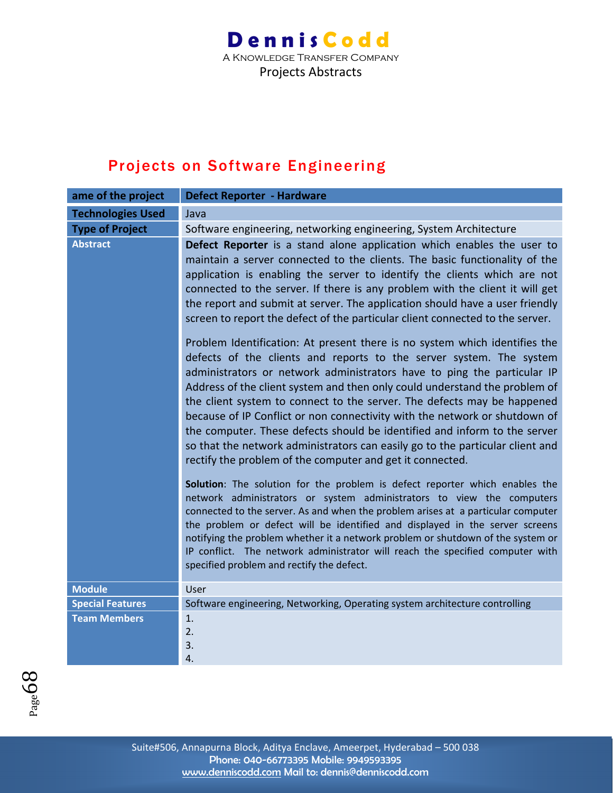A Knowledge Transfer Company Projects Abstracts

### Projects on Software Engineering

| ame of the project       | <b>Defect Reporter - Hardware</b>                                                                                                                                                                                                                                                                                                                                                                                                                                                                                                                                                                                                                                                                                                                                                                                                                                                                                                                                                                                                                                                                                                                                                                                                                                                                                                                                                                                                                                                                                                                                                                                                                                                                                                |
|--------------------------|----------------------------------------------------------------------------------------------------------------------------------------------------------------------------------------------------------------------------------------------------------------------------------------------------------------------------------------------------------------------------------------------------------------------------------------------------------------------------------------------------------------------------------------------------------------------------------------------------------------------------------------------------------------------------------------------------------------------------------------------------------------------------------------------------------------------------------------------------------------------------------------------------------------------------------------------------------------------------------------------------------------------------------------------------------------------------------------------------------------------------------------------------------------------------------------------------------------------------------------------------------------------------------------------------------------------------------------------------------------------------------------------------------------------------------------------------------------------------------------------------------------------------------------------------------------------------------------------------------------------------------------------------------------------------------------------------------------------------------|
| <b>Technologies Used</b> | Java                                                                                                                                                                                                                                                                                                                                                                                                                                                                                                                                                                                                                                                                                                                                                                                                                                                                                                                                                                                                                                                                                                                                                                                                                                                                                                                                                                                                                                                                                                                                                                                                                                                                                                                             |
| <b>Type of Project</b>   | Software engineering, networking engineering, System Architecture                                                                                                                                                                                                                                                                                                                                                                                                                                                                                                                                                                                                                                                                                                                                                                                                                                                                                                                                                                                                                                                                                                                                                                                                                                                                                                                                                                                                                                                                                                                                                                                                                                                                |
| <b>Abstract</b>          | Defect Reporter is a stand alone application which enables the user to<br>maintain a server connected to the clients. The basic functionality of the<br>application is enabling the server to identify the clients which are not<br>connected to the server. If there is any problem with the client it will get<br>the report and submit at server. The application should have a user friendly<br>screen to report the defect of the particular client connected to the server.<br>Problem Identification: At present there is no system which identifies the<br>defects of the clients and reports to the server system. The system<br>administrators or network administrators have to ping the particular IP<br>Address of the client system and then only could understand the problem of<br>the client system to connect to the server. The defects may be happened<br>because of IP Conflict or non connectivity with the network or shutdown of<br>the computer. These defects should be identified and inform to the server<br>so that the network administrators can easily go to the particular client and<br>rectify the problem of the computer and get it connected.<br>Solution: The solution for the problem is defect reporter which enables the<br>network administrators or system administrators to view the computers<br>connected to the server. As and when the problem arises at a particular computer<br>the problem or defect will be identified and displayed in the server screens<br>notifying the problem whether it a network problem or shutdown of the system or<br>IP conflict. The network administrator will reach the specified computer with<br>specified problem and rectify the defect. |
| <b>Module</b>            | User                                                                                                                                                                                                                                                                                                                                                                                                                                                                                                                                                                                                                                                                                                                                                                                                                                                                                                                                                                                                                                                                                                                                                                                                                                                                                                                                                                                                                                                                                                                                                                                                                                                                                                                             |
| <b>Special Features</b>  | Software engineering, Networking, Operating system architecture controlling                                                                                                                                                                                                                                                                                                                                                                                                                                                                                                                                                                                                                                                                                                                                                                                                                                                                                                                                                                                                                                                                                                                                                                                                                                                                                                                                                                                                                                                                                                                                                                                                                                                      |
| <b>Team Members</b>      | 1.<br>2.<br>3.<br>4.                                                                                                                                                                                                                                                                                                                                                                                                                                                                                                                                                                                                                                                                                                                                                                                                                                                                                                                                                                                                                                                                                                                                                                                                                                                                                                                                                                                                                                                                                                                                                                                                                                                                                                             |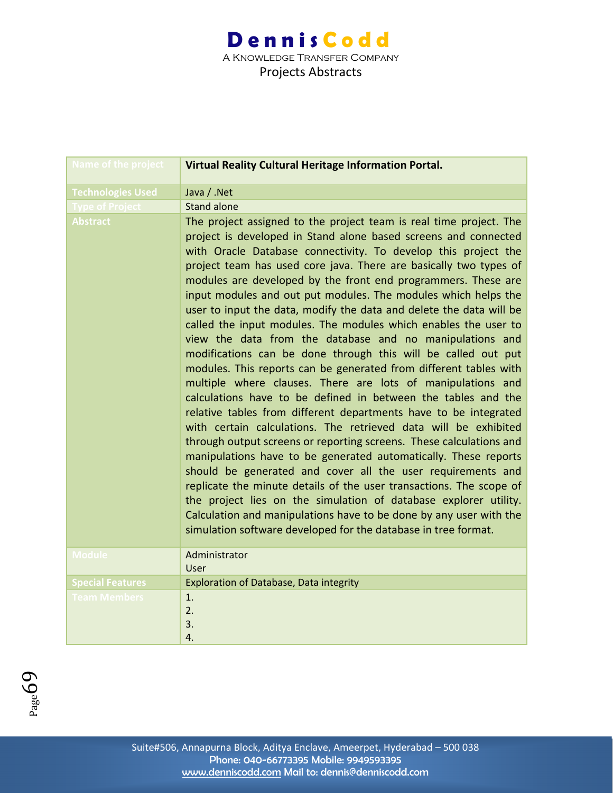| <b>Name of the project</b> | Virtual Reality Cultural Heritage Information Portal.                                                                                                                                                                                                                                                                                                                                                                                                                                                                                                                                                                                                                                                                                                                                                                                                                                                                                                                                                                                                                                                                                                                                                                                                                                                                                                                                                                                                                                                                          |
|----------------------------|--------------------------------------------------------------------------------------------------------------------------------------------------------------------------------------------------------------------------------------------------------------------------------------------------------------------------------------------------------------------------------------------------------------------------------------------------------------------------------------------------------------------------------------------------------------------------------------------------------------------------------------------------------------------------------------------------------------------------------------------------------------------------------------------------------------------------------------------------------------------------------------------------------------------------------------------------------------------------------------------------------------------------------------------------------------------------------------------------------------------------------------------------------------------------------------------------------------------------------------------------------------------------------------------------------------------------------------------------------------------------------------------------------------------------------------------------------------------------------------------------------------------------------|
| <b>Technologies Used</b>   | Java / .Net                                                                                                                                                                                                                                                                                                                                                                                                                                                                                                                                                                                                                                                                                                                                                                                                                                                                                                                                                                                                                                                                                                                                                                                                                                                                                                                                                                                                                                                                                                                    |
| <b>Type of Project</b>     | <b>Stand alone</b>                                                                                                                                                                                                                                                                                                                                                                                                                                                                                                                                                                                                                                                                                                                                                                                                                                                                                                                                                                                                                                                                                                                                                                                                                                                                                                                                                                                                                                                                                                             |
| <b>Abstract</b>            | The project assigned to the project team is real time project. The<br>project is developed in Stand alone based screens and connected<br>with Oracle Database connectivity. To develop this project the<br>project team has used core java. There are basically two types of<br>modules are developed by the front end programmers. These are<br>input modules and out put modules. The modules which helps the<br>user to input the data, modify the data and delete the data will be<br>called the input modules. The modules which enables the user to<br>view the data from the database and no manipulations and<br>modifications can be done through this will be called out put<br>modules. This reports can be generated from different tables with<br>multiple where clauses. There are lots of manipulations and<br>calculations have to be defined in between the tables and the<br>relative tables from different departments have to be integrated<br>with certain calculations. The retrieved data will be exhibited<br>through output screens or reporting screens. These calculations and<br>manipulations have to be generated automatically. These reports<br>should be generated and cover all the user requirements and<br>replicate the minute details of the user transactions. The scope of<br>the project lies on the simulation of database explorer utility.<br>Calculation and manipulations have to be done by any user with the<br>simulation software developed for the database in tree format. |
| <b>Module</b>              | Administrator<br>User                                                                                                                                                                                                                                                                                                                                                                                                                                                                                                                                                                                                                                                                                                                                                                                                                                                                                                                                                                                                                                                                                                                                                                                                                                                                                                                                                                                                                                                                                                          |
| <b>Special Features</b>    | Exploration of Database, Data integrity                                                                                                                                                                                                                                                                                                                                                                                                                                                                                                                                                                                                                                                                                                                                                                                                                                                                                                                                                                                                                                                                                                                                                                                                                                                                                                                                                                                                                                                                                        |
| <b>Team Members</b>        | 1.<br>2.<br>3.<br>4.                                                                                                                                                                                                                                                                                                                                                                                                                                                                                                                                                                                                                                                                                                                                                                                                                                                                                                                                                                                                                                                                                                                                                                                                                                                                                                                                                                                                                                                                                                           |

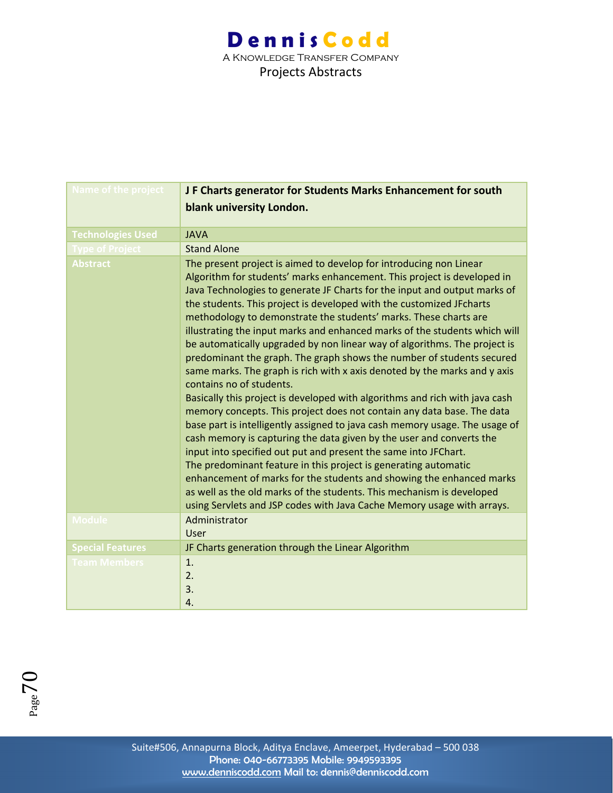| <b>Name of the project</b> | JF Charts generator for Students Marks Enhancement for south                                                                                                                                                                                                                                                                                                                                                                                                                                                                                                                                                                                                                                                                                                                                                                                                                                                                                                                                                                                                                                                                                                                                                                                                                                                                                                                                         |
|----------------------------|------------------------------------------------------------------------------------------------------------------------------------------------------------------------------------------------------------------------------------------------------------------------------------------------------------------------------------------------------------------------------------------------------------------------------------------------------------------------------------------------------------------------------------------------------------------------------------------------------------------------------------------------------------------------------------------------------------------------------------------------------------------------------------------------------------------------------------------------------------------------------------------------------------------------------------------------------------------------------------------------------------------------------------------------------------------------------------------------------------------------------------------------------------------------------------------------------------------------------------------------------------------------------------------------------------------------------------------------------------------------------------------------------|
|                            | blank university London.                                                                                                                                                                                                                                                                                                                                                                                                                                                                                                                                                                                                                                                                                                                                                                                                                                                                                                                                                                                                                                                                                                                                                                                                                                                                                                                                                                             |
|                            |                                                                                                                                                                                                                                                                                                                                                                                                                                                                                                                                                                                                                                                                                                                                                                                                                                                                                                                                                                                                                                                                                                                                                                                                                                                                                                                                                                                                      |
| <b>Technologies Used</b>   | <b>JAVA</b>                                                                                                                                                                                                                                                                                                                                                                                                                                                                                                                                                                                                                                                                                                                                                                                                                                                                                                                                                                                                                                                                                                                                                                                                                                                                                                                                                                                          |
| <b>Type of Project</b>     | <b>Stand Alone</b>                                                                                                                                                                                                                                                                                                                                                                                                                                                                                                                                                                                                                                                                                                                                                                                                                                                                                                                                                                                                                                                                                                                                                                                                                                                                                                                                                                                   |
| <b>Abstract</b>            | The present project is aimed to develop for introducing non Linear<br>Algorithm for students' marks enhancement. This project is developed in<br>Java Technologies to generate JF Charts for the input and output marks of<br>the students. This project is developed with the customized JFcharts<br>methodology to demonstrate the students' marks. These charts are<br>illustrating the input marks and enhanced marks of the students which will<br>be automatically upgraded by non linear way of algorithms. The project is<br>predominant the graph. The graph shows the number of students secured<br>same marks. The graph is rich with x axis denoted by the marks and y axis<br>contains no of students.<br>Basically this project is developed with algorithms and rich with java cash<br>memory concepts. This project does not contain any data base. The data<br>base part is intelligently assigned to java cash memory usage. The usage of<br>cash memory is capturing the data given by the user and converts the<br>input into specified out put and present the same into JFChart.<br>The predominant feature in this project is generating automatic<br>enhancement of marks for the students and showing the enhanced marks<br>as well as the old marks of the students. This mechanism is developed<br>using Servlets and JSP codes with Java Cache Memory usage with arrays. |
| <b>Module</b>              | Administrator<br><b>User</b>                                                                                                                                                                                                                                                                                                                                                                                                                                                                                                                                                                                                                                                                                                                                                                                                                                                                                                                                                                                                                                                                                                                                                                                                                                                                                                                                                                         |
| <b>Special Features</b>    | JF Charts generation through the Linear Algorithm                                                                                                                                                                                                                                                                                                                                                                                                                                                                                                                                                                                                                                                                                                                                                                                                                                                                                                                                                                                                                                                                                                                                                                                                                                                                                                                                                    |
| <b>Team Members</b>        | $\mathbf{1}$ .                                                                                                                                                                                                                                                                                                                                                                                                                                                                                                                                                                                                                                                                                                                                                                                                                                                                                                                                                                                                                                                                                                                                                                                                                                                                                                                                                                                       |
|                            | 2.                                                                                                                                                                                                                                                                                                                                                                                                                                                                                                                                                                                                                                                                                                                                                                                                                                                                                                                                                                                                                                                                                                                                                                                                                                                                                                                                                                                                   |
|                            | 3.                                                                                                                                                                                                                                                                                                                                                                                                                                                                                                                                                                                                                                                                                                                                                                                                                                                                                                                                                                                                                                                                                                                                                                                                                                                                                                                                                                                                   |
|                            | 4.                                                                                                                                                                                                                                                                                                                                                                                                                                                                                                                                                                                                                                                                                                                                                                                                                                                                                                                                                                                                                                                                                                                                                                                                                                                                                                                                                                                                   |

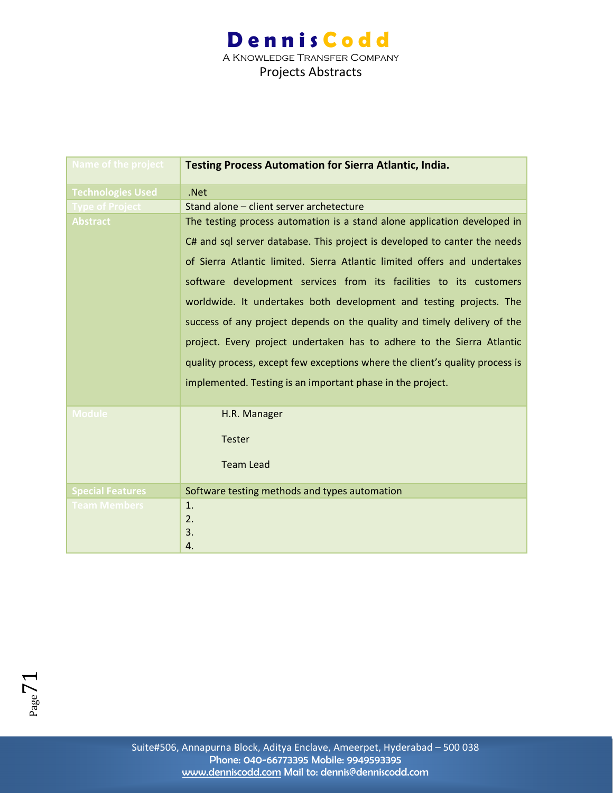| <b>Name of the project</b> | <b>Testing Process Automation for Sierra Atlantic, India.</b>                |
|----------------------------|------------------------------------------------------------------------------|
| <b>Technologies Used</b>   | .Net                                                                         |
| <b>Type of Project</b>     | Stand alone - client server archetecture                                     |
| <b>Abstract</b>            | The testing process automation is a stand alone application developed in     |
|                            | C# and sql server database. This project is developed to canter the needs    |
|                            | of Sierra Atlantic limited. Sierra Atlantic limited offers and undertakes    |
|                            | software development services from its facilities to its customers           |
|                            | worldwide. It undertakes both development and testing projects. The          |
|                            | success of any project depends on the quality and timely delivery of the     |
|                            | project. Every project undertaken has to adhere to the Sierra Atlantic       |
|                            | quality process, except few exceptions where the client's quality process is |
|                            | implemented. Testing is an important phase in the project.                   |
| <b>Module</b>              | H.R. Manager                                                                 |
|                            | <b>Tester</b>                                                                |
|                            | <b>Team Lead</b>                                                             |
| <b>Special Features</b>    | Software testing methods and types automation                                |
| <b>Team Members</b>        | 1.                                                                           |
|                            | 2.                                                                           |
|                            | 3.                                                                           |
|                            | 4.                                                                           |

 $P<sub>age</sub>71$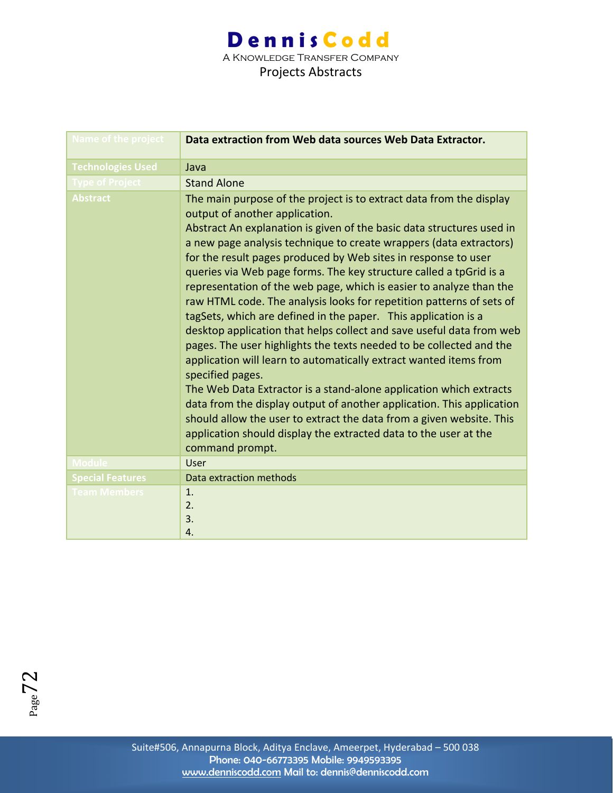| Name of the project      | Data extraction from Web data sources Web Data Extractor.                                                                                                                                                                                                                                                                                                                                                                                                                                                                                                                                                                                                                                                                                                                                                                                                                                                                                                                                                                                                                                                                                                           |
|--------------------------|---------------------------------------------------------------------------------------------------------------------------------------------------------------------------------------------------------------------------------------------------------------------------------------------------------------------------------------------------------------------------------------------------------------------------------------------------------------------------------------------------------------------------------------------------------------------------------------------------------------------------------------------------------------------------------------------------------------------------------------------------------------------------------------------------------------------------------------------------------------------------------------------------------------------------------------------------------------------------------------------------------------------------------------------------------------------------------------------------------------------------------------------------------------------|
| <b>Technologies Used</b> | Java                                                                                                                                                                                                                                                                                                                                                                                                                                                                                                                                                                                                                                                                                                                                                                                                                                                                                                                                                                                                                                                                                                                                                                |
| <b>Type of Project</b>   | <b>Stand Alone</b>                                                                                                                                                                                                                                                                                                                                                                                                                                                                                                                                                                                                                                                                                                                                                                                                                                                                                                                                                                                                                                                                                                                                                  |
| <b>Abstract</b>          | The main purpose of the project is to extract data from the display<br>output of another application.<br>Abstract An explanation is given of the basic data structures used in<br>a new page analysis technique to create wrappers (data extractors)<br>for the result pages produced by Web sites in response to user<br>queries via Web page forms. The key structure called a tpGrid is a<br>representation of the web page, which is easier to analyze than the<br>raw HTML code. The analysis looks for repetition patterns of sets of<br>tagSets, which are defined in the paper. This application is a<br>desktop application that helps collect and save useful data from web<br>pages. The user highlights the texts needed to be collected and the<br>application will learn to automatically extract wanted items from<br>specified pages.<br>The Web Data Extractor is a stand-alone application which extracts<br>data from the display output of another application. This application<br>should allow the user to extract the data from a given website. This<br>application should display the extracted data to the user at the<br>command prompt. |
| <b>Module</b>            | User                                                                                                                                                                                                                                                                                                                                                                                                                                                                                                                                                                                                                                                                                                                                                                                                                                                                                                                                                                                                                                                                                                                                                                |
| <b>Special Features</b>  | Data extraction methods                                                                                                                                                                                                                                                                                                                                                                                                                                                                                                                                                                                                                                                                                                                                                                                                                                                                                                                                                                                                                                                                                                                                             |
| <b>Team Members</b>      | 1.<br>2.<br>3.<br>4.                                                                                                                                                                                                                                                                                                                                                                                                                                                                                                                                                                                                                                                                                                                                                                                                                                                                                                                                                                                                                                                                                                                                                |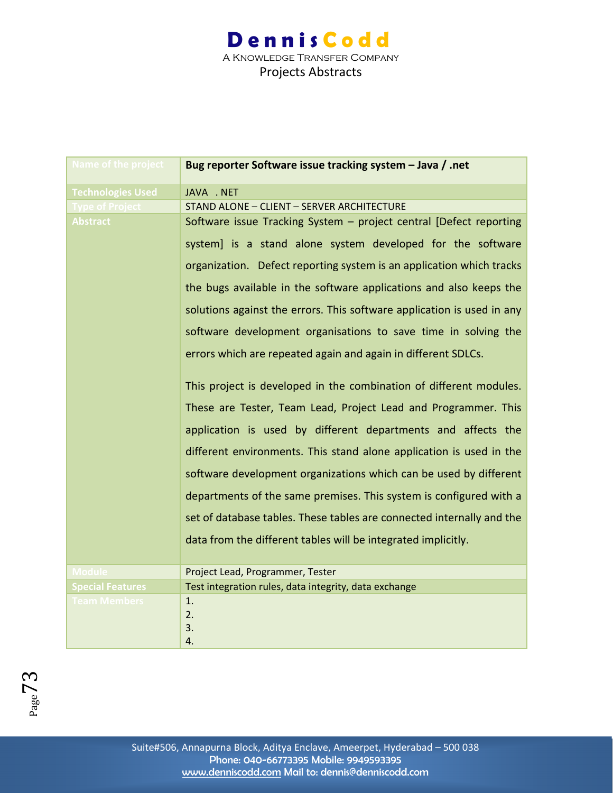| Name of the project      | Bug reporter Software issue tracking system - Java / .net              |
|--------------------------|------------------------------------------------------------------------|
| <b>Technologies Used</b> | JAVA . NET                                                             |
| ype of Project           | STAND ALONE - CLIENT - SERVER ARCHITECTURE                             |
| <b>Abstract</b>          | Software issue Tracking System - project central [Defect reporting     |
|                          | system] is a stand alone system developed for the software             |
|                          | organization. Defect reporting system is an application which tracks   |
|                          | the bugs available in the software applications and also keeps the     |
|                          | solutions against the errors. This software application is used in any |
|                          | software development organisations to save time in solving the         |
|                          | errors which are repeated again and again in different SDLCs.          |
|                          | This project is developed in the combination of different modules.     |
|                          | These are Tester, Team Lead, Project Lead and Programmer. This         |
|                          | application is used by different departments and affects the           |
|                          | different environments. This stand alone application is used in the    |
|                          | software development organizations which can be used by different      |
|                          | departments of the same premises. This system is configured with a     |
|                          | set of database tables. These tables are connected internally and the  |
|                          | data from the different tables will be integrated implicitly.          |
| <b>Module</b>            | Project Lead, Programmer, Tester                                       |
| <b>Special Features</b>  | Test integration rules, data integrity, data exchange                  |
| <b>Team Members</b>      | 1.                                                                     |
|                          | 2.                                                                     |
|                          | 3.                                                                     |
|                          | 4.                                                                     |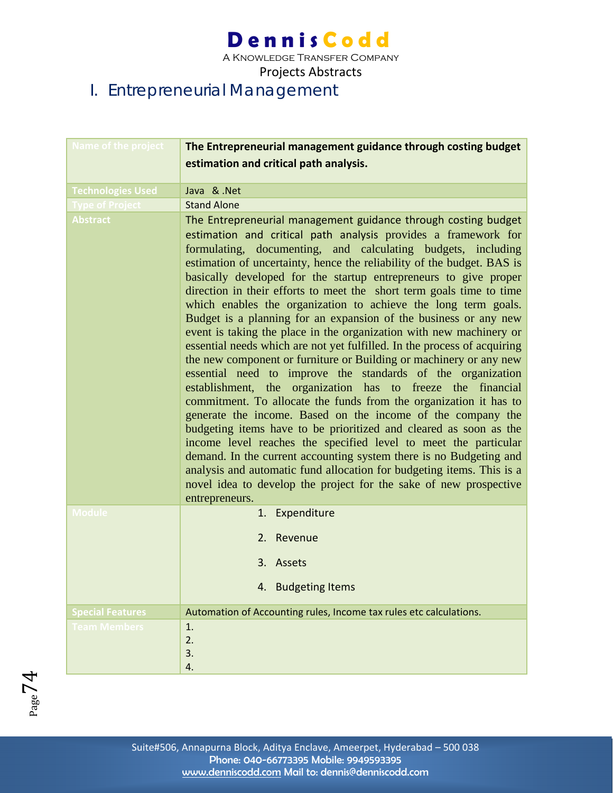A Knowledge Transfer Company

Projects Abstracts

### I. Entrepreneurial Management

| <b>Name of the project</b> | The Entrepreneurial management guidance through costing budget                                                                                                                                                                                                                                                                                                                                                                                                                                                                                                                                                                                                                                                                                                                                                                                                                                                                                                                                                                                                                                                                                                                                                                                                                                                                                                                                                                        |
|----------------------------|---------------------------------------------------------------------------------------------------------------------------------------------------------------------------------------------------------------------------------------------------------------------------------------------------------------------------------------------------------------------------------------------------------------------------------------------------------------------------------------------------------------------------------------------------------------------------------------------------------------------------------------------------------------------------------------------------------------------------------------------------------------------------------------------------------------------------------------------------------------------------------------------------------------------------------------------------------------------------------------------------------------------------------------------------------------------------------------------------------------------------------------------------------------------------------------------------------------------------------------------------------------------------------------------------------------------------------------------------------------------------------------------------------------------------------------|
|                            | estimation and critical path analysis.                                                                                                                                                                                                                                                                                                                                                                                                                                                                                                                                                                                                                                                                                                                                                                                                                                                                                                                                                                                                                                                                                                                                                                                                                                                                                                                                                                                                |
| <b>Technologies Used</b>   | Java & .Net                                                                                                                                                                                                                                                                                                                                                                                                                                                                                                                                                                                                                                                                                                                                                                                                                                                                                                                                                                                                                                                                                                                                                                                                                                                                                                                                                                                                                           |
| <b>Type of Project</b>     | <b>Stand Alone</b>                                                                                                                                                                                                                                                                                                                                                                                                                                                                                                                                                                                                                                                                                                                                                                                                                                                                                                                                                                                                                                                                                                                                                                                                                                                                                                                                                                                                                    |
| <b>Abstract</b>            | The Entrepreneurial management guidance through costing budget<br>estimation and critical path analysis provides a framework for<br>formulating, documenting, and calculating budgets, including<br>estimation of uncertainty, hence the reliability of the budget. BAS is<br>basically developed for the startup entrepreneurs to give proper<br>direction in their efforts to meet the short term goals time to time<br>which enables the organization to achieve the long term goals.<br>Budget is a planning for an expansion of the business or any new<br>event is taking the place in the organization with new machinery or<br>essential needs which are not yet fulfilled. In the process of acquiring<br>the new component or furniture or Building or machinery or any new<br>essential need to improve the standards of the organization<br>establishment, the organization has to freeze the financial<br>commitment. To allocate the funds from the organization it has to<br>generate the income. Based on the income of the company the<br>budgeting items have to be prioritized and cleared as soon as the<br>income level reaches the specified level to meet the particular<br>demand. In the current accounting system there is no Budgeting and<br>analysis and automatic fund allocation for budgeting items. This is a<br>novel idea to develop the project for the sake of new prospective<br>entrepreneurs. |
| <b>Module</b>              | 1. Expenditure                                                                                                                                                                                                                                                                                                                                                                                                                                                                                                                                                                                                                                                                                                                                                                                                                                                                                                                                                                                                                                                                                                                                                                                                                                                                                                                                                                                                                        |
|                            | 2. Revenue                                                                                                                                                                                                                                                                                                                                                                                                                                                                                                                                                                                                                                                                                                                                                                                                                                                                                                                                                                                                                                                                                                                                                                                                                                                                                                                                                                                                                            |
|                            | 3. Assets                                                                                                                                                                                                                                                                                                                                                                                                                                                                                                                                                                                                                                                                                                                                                                                                                                                                                                                                                                                                                                                                                                                                                                                                                                                                                                                                                                                                                             |
|                            | 4. Budgeting Items                                                                                                                                                                                                                                                                                                                                                                                                                                                                                                                                                                                                                                                                                                                                                                                                                                                                                                                                                                                                                                                                                                                                                                                                                                                                                                                                                                                                                    |
| <b>Special Features</b>    | Automation of Accounting rules, Income tax rules etc calculations.                                                                                                                                                                                                                                                                                                                                                                                                                                                                                                                                                                                                                                                                                                                                                                                                                                                                                                                                                                                                                                                                                                                                                                                                                                                                                                                                                                    |
| <b>Team Members</b>        | 1.                                                                                                                                                                                                                                                                                                                                                                                                                                                                                                                                                                                                                                                                                                                                                                                                                                                                                                                                                                                                                                                                                                                                                                                                                                                                                                                                                                                                                                    |
|                            | 2.                                                                                                                                                                                                                                                                                                                                                                                                                                                                                                                                                                                                                                                                                                                                                                                                                                                                                                                                                                                                                                                                                                                                                                                                                                                                                                                                                                                                                                    |
|                            | 3.<br>4.                                                                                                                                                                                                                                                                                                                                                                                                                                                                                                                                                                                                                                                                                                                                                                                                                                                                                                                                                                                                                                                                                                                                                                                                                                                                                                                                                                                                                              |
|                            |                                                                                                                                                                                                                                                                                                                                                                                                                                                                                                                                                                                                                                                                                                                                                                                                                                                                                                                                                                                                                                                                                                                                                                                                                                                                                                                                                                                                                                       |

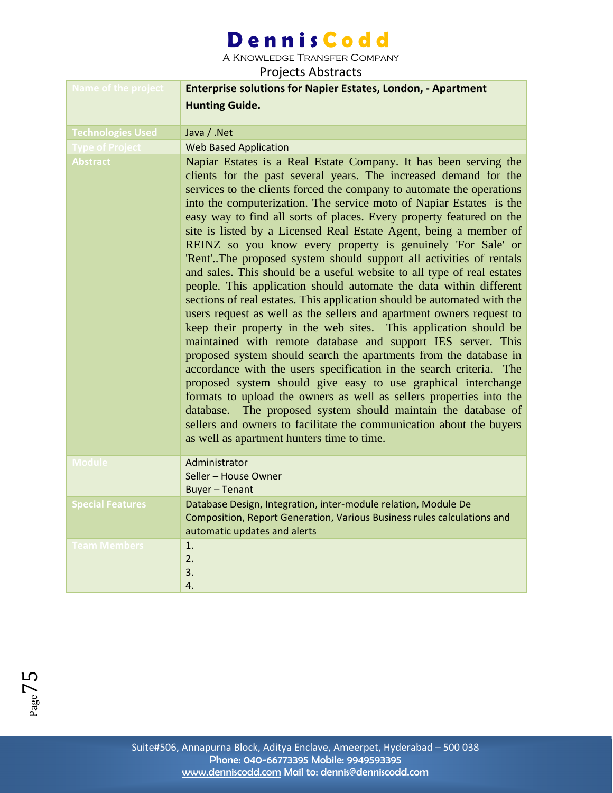A Knowledge Transfer Company

| Name of the project      | <b>Enterprise solutions for Napier Estates, London, - Apartment</b><br><b>Hunting Guide.</b>                                                                                                                                                                                                                                                                                                                                                                                                                                                                                                                                                                                                                                                                                                                                                                                                                                                                                                                                                                                                                                                                                                                                                                                                                                                                                                                                                                                               |
|--------------------------|--------------------------------------------------------------------------------------------------------------------------------------------------------------------------------------------------------------------------------------------------------------------------------------------------------------------------------------------------------------------------------------------------------------------------------------------------------------------------------------------------------------------------------------------------------------------------------------------------------------------------------------------------------------------------------------------------------------------------------------------------------------------------------------------------------------------------------------------------------------------------------------------------------------------------------------------------------------------------------------------------------------------------------------------------------------------------------------------------------------------------------------------------------------------------------------------------------------------------------------------------------------------------------------------------------------------------------------------------------------------------------------------------------------------------------------------------------------------------------------------|
| <b>Technologies Used</b> | Java / .Net                                                                                                                                                                                                                                                                                                                                                                                                                                                                                                                                                                                                                                                                                                                                                                                                                                                                                                                                                                                                                                                                                                                                                                                                                                                                                                                                                                                                                                                                                |
| <b>Type of Project</b>   | <b>Web Based Application</b>                                                                                                                                                                                                                                                                                                                                                                                                                                                                                                                                                                                                                                                                                                                                                                                                                                                                                                                                                                                                                                                                                                                                                                                                                                                                                                                                                                                                                                                               |
| <b>Abstract</b>          | Napiar Estates is a Real Estate Company. It has been serving the<br>clients for the past several years. The increased demand for the<br>services to the clients forced the company to automate the operations<br>into the computerization. The service moto of Napiar Estates is the<br>easy way to find all sorts of places. Every property featured on the<br>site is listed by a Licensed Real Estate Agent, being a member of<br>REINZ so you know every property is genuinely 'For Sale' or<br>'Rent'The proposed system should support all activities of rentals<br>and sales. This should be a useful website to all type of real estates<br>people. This application should automate the data within different<br>sections of real estates. This application should be automated with the<br>users request as well as the sellers and apartment owners request to<br>keep their property in the web sites. This application should be<br>maintained with remote database and support IES server. This<br>proposed system should search the apartments from the database in<br>accordance with the users specification in the search criteria. The<br>proposed system should give easy to use graphical interchange<br>formats to upload the owners as well as sellers properties into the<br>The proposed system should maintain the database of<br>database.<br>sellers and owners to facilitate the communication about the buyers<br>as well as apartment hunters time to time. |
| <b>Module</b>            | Administrator<br>Seller - House Owner<br><b>Buyer - Tenant</b>                                                                                                                                                                                                                                                                                                                                                                                                                                                                                                                                                                                                                                                                                                                                                                                                                                                                                                                                                                                                                                                                                                                                                                                                                                                                                                                                                                                                                             |
| <b>Special Features</b>  | Database Design, Integration, inter-module relation, Module De<br>Composition, Report Generation, Various Business rules calculations and<br>automatic updates and alerts                                                                                                                                                                                                                                                                                                                                                                                                                                                                                                                                                                                                                                                                                                                                                                                                                                                                                                                                                                                                                                                                                                                                                                                                                                                                                                                  |
| <b>Team Members</b>      | 1.<br>2.<br>3.<br>4.                                                                                                                                                                                                                                                                                                                                                                                                                                                                                                                                                                                                                                                                                                                                                                                                                                                                                                                                                                                                                                                                                                                                                                                                                                                                                                                                                                                                                                                                       |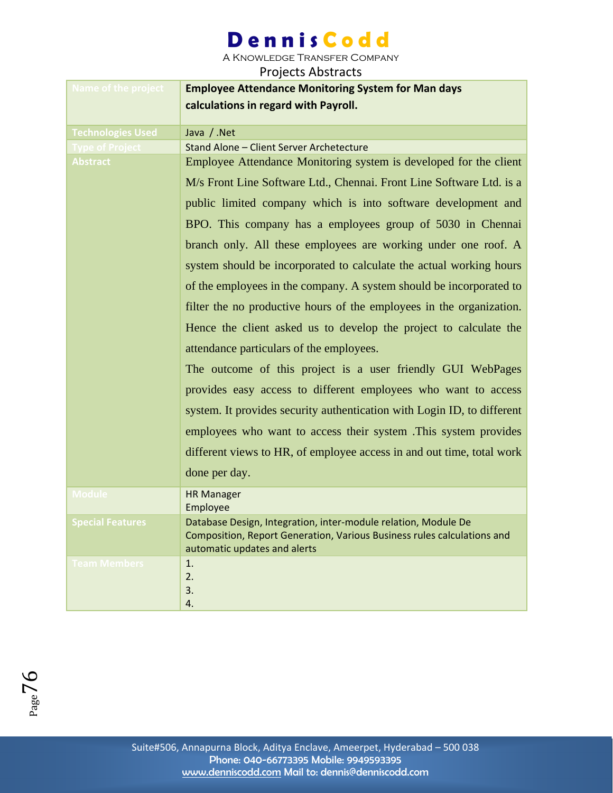A Knowledge Transfer Company

| Name of the project      | <b>Employee Attendance Monitoring System for Man days</b><br>calculations in regard with Payroll.       |
|--------------------------|---------------------------------------------------------------------------------------------------------|
| <b>Technologies Used</b> | Java / .Net                                                                                             |
| ype of Pro <u>jec</u>    | Stand Alone - Client Server Archetecture                                                                |
| <b>Abstract</b>          | Employee Attendance Monitoring system is developed for the client                                       |
|                          | M/s Front Line Software Ltd., Chennai. Front Line Software Ltd. is a                                    |
|                          | public limited company which is into software development and                                           |
|                          | BPO. This company has a employees group of 5030 in Chennai                                              |
|                          | branch only. All these employees are working under one roof. A                                          |
|                          | system should be incorporated to calculate the actual working hours                                     |
|                          | of the employees in the company. A system should be incorporated to                                     |
|                          | filter the no productive hours of the employees in the organization.                                    |
|                          | Hence the client asked us to develop the project to calculate the                                       |
|                          | attendance particulars of the employees.                                                                |
|                          | The outcome of this project is a user friendly GUI WebPages                                             |
|                          | provides easy access to different employees who want to access                                          |
|                          | system. It provides security authentication with Login ID, to different                                 |
|                          | employees who want to access their system. This system provides                                         |
|                          | different views to HR, of employee access in and out time, total work                                   |
|                          | done per day.                                                                                           |
| <b>Module</b>            | <b>HR Manager</b><br>Employee                                                                           |
| <b>Special Features</b>  | Database Design, Integration, inter-module relation, Module De                                          |
|                          | Composition, Report Generation, Various Business rules calculations and<br>automatic updates and alerts |
| <b>Team Members</b>      | 1.                                                                                                      |
|                          | 2.                                                                                                      |
|                          | 3.                                                                                                      |
|                          | 4.                                                                                                      |

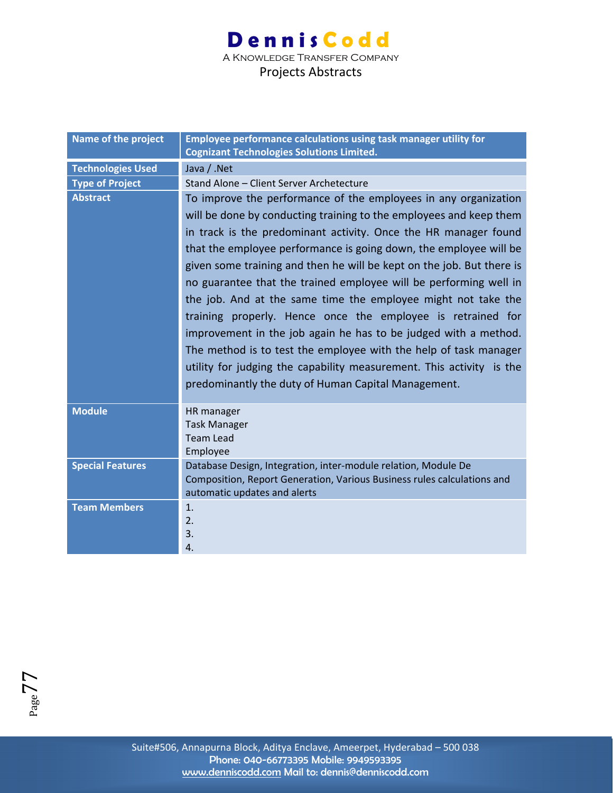| Name of the project      | Employee performance calculations using task manager utility for<br><b>Cognizant Technologies Solutions Limited.</b> |
|--------------------------|----------------------------------------------------------------------------------------------------------------------|
| <b>Technologies Used</b> | Java / .Net                                                                                                          |
| <b>Type of Project</b>   | Stand Alone - Client Server Archetecture                                                                             |
| <b>Abstract</b>          | To improve the performance of the employees in any organization                                                      |
|                          | will be done by conducting training to the employees and keep them                                                   |
|                          | in track is the predominant activity. Once the HR manager found                                                      |
|                          | that the employee performance is going down, the employee will be                                                    |
|                          | given some training and then he will be kept on the job. But there is                                                |
|                          | no guarantee that the trained employee will be performing well in                                                    |
|                          | the job. And at the same time the employee might not take the                                                        |
|                          | training properly. Hence once the employee is retrained for                                                          |
|                          | improvement in the job again he has to be judged with a method.                                                      |
|                          | The method is to test the employee with the help of task manager                                                     |
|                          | utility for judging the capability measurement. This activity is the                                                 |
|                          | predominantly the duty of Human Capital Management.                                                                  |
|                          |                                                                                                                      |
| <b>Module</b>            | HR manager                                                                                                           |
|                          | <b>Task Manager</b>                                                                                                  |
|                          | <b>Team Lead</b>                                                                                                     |
|                          | Employee                                                                                                             |
| <b>Special Features</b>  | Database Design, Integration, inter-module relation, Module De                                                       |
|                          | Composition, Report Generation, Various Business rules calculations and                                              |
| <b>Team Members</b>      | automatic updates and alerts<br>1.                                                                                   |
|                          | 2.                                                                                                                   |
|                          | 3.                                                                                                                   |
|                          | 4.                                                                                                                   |

Page77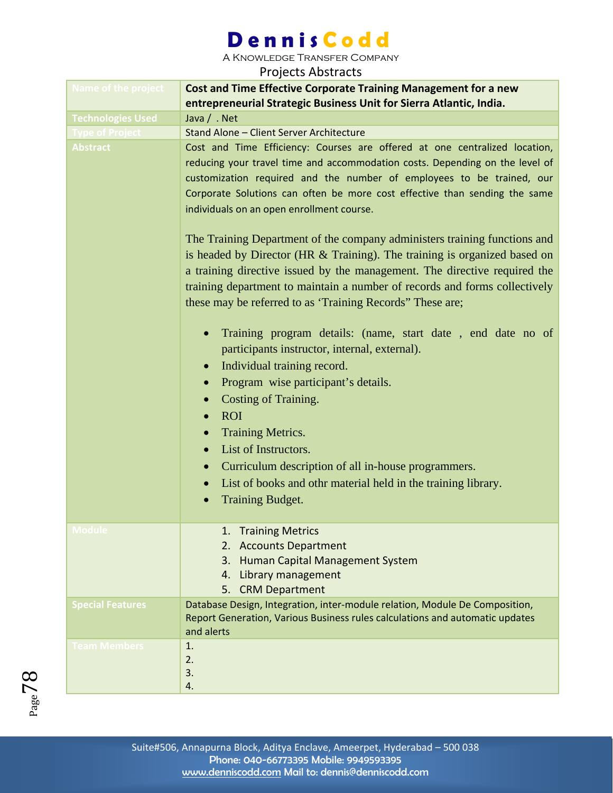A Knowledge Transfer Company

| <b>Name of the project</b> | <b>Cost and Time Effective Corporate Training Management for a new</b><br>entrepreneurial Strategic Business Unit for Sierra Atlantic, India.                                                                                                                                                                                                                                                                                                                                                                                                                                                                                                                                                                                                                                                                                                                                                                                                                                                                                                                                                                                                                                                                                                                 |
|----------------------------|---------------------------------------------------------------------------------------------------------------------------------------------------------------------------------------------------------------------------------------------------------------------------------------------------------------------------------------------------------------------------------------------------------------------------------------------------------------------------------------------------------------------------------------------------------------------------------------------------------------------------------------------------------------------------------------------------------------------------------------------------------------------------------------------------------------------------------------------------------------------------------------------------------------------------------------------------------------------------------------------------------------------------------------------------------------------------------------------------------------------------------------------------------------------------------------------------------------------------------------------------------------|
| <b>Technologies Used</b>   | Java / . Net                                                                                                                                                                                                                                                                                                                                                                                                                                                                                                                                                                                                                                                                                                                                                                                                                                                                                                                                                                                                                                                                                                                                                                                                                                                  |
| <b>Type of Project</b>     | Stand Alone - Client Server Architecture                                                                                                                                                                                                                                                                                                                                                                                                                                                                                                                                                                                                                                                                                                                                                                                                                                                                                                                                                                                                                                                                                                                                                                                                                      |
| <b>Abstract</b>            | Cost and Time Efficiency: Courses are offered at one centralized location,<br>reducing your travel time and accommodation costs. Depending on the level of<br>customization required and the number of employees to be trained, our<br>Corporate Solutions can often be more cost effective than sending the same<br>individuals on an open enrollment course.<br>The Training Department of the company administers training functions and<br>is headed by Director (HR $&$ Training). The training is organized based on<br>a training directive issued by the management. The directive required the<br>training department to maintain a number of records and forms collectively<br>these may be referred to as 'Training Records' These are;<br>Training program details: (name, start date, end date no of<br>participants instructor, internal, external).<br>Individual training record.<br>$\bullet$<br>Program wise participant's details.<br>$\bullet$<br><b>Costing of Training.</b><br><b>ROI</b><br><b>Training Metrics.</b><br>$\bullet$<br>List of Instructors.<br>$\bullet$<br>Curriculum description of all in-house programmers.<br>$\bullet$<br>List of books and othr material held in the training library.<br><b>Training Budget.</b> |
| viodule                    | <b>Training Metrics</b><br><b>Accounts Department</b><br>2.<br>Human Capital Management System<br>3.<br>Library management<br>4.<br><b>CRM Department</b><br>5.                                                                                                                                                                                                                                                                                                                                                                                                                                                                                                                                                                                                                                                                                                                                                                                                                                                                                                                                                                                                                                                                                               |
| <b>Special Features</b>    | Database Design, Integration, inter-module relation, Module De Composition,<br>Report Generation, Various Business rules calculations and automatic updates<br>and alerts                                                                                                                                                                                                                                                                                                                                                                                                                                                                                                                                                                                                                                                                                                                                                                                                                                                                                                                                                                                                                                                                                     |
| <b>Team Members</b>        | 1.<br>2.<br>3.<br>4.                                                                                                                                                                                                                                                                                                                                                                                                                                                                                                                                                                                                                                                                                                                                                                                                                                                                                                                                                                                                                                                                                                                                                                                                                                          |

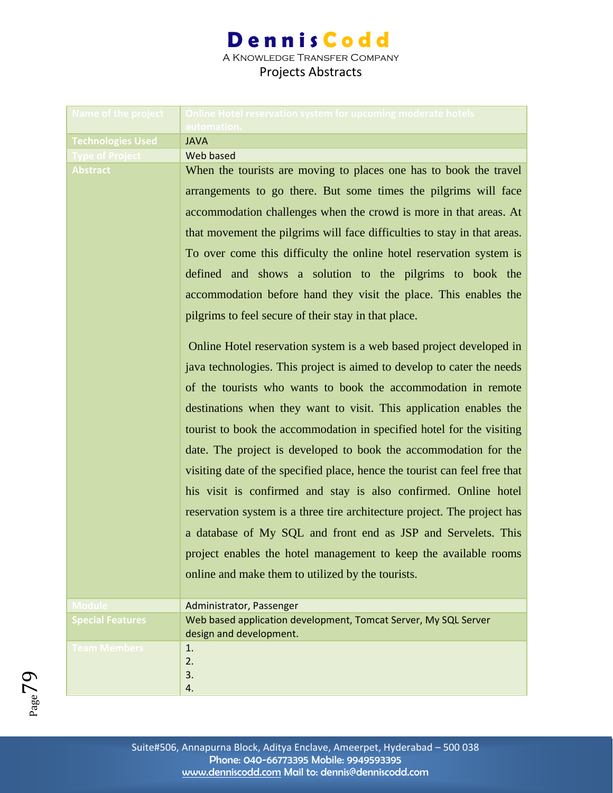| Name of the project      | Online Hotel reservation system for upcoming moderate hotels                               |
|--------------------------|--------------------------------------------------------------------------------------------|
| <b>Technologies Used</b> | automation.<br><b>JAVA</b>                                                                 |
| <b>Type of Project</b>   | Web based                                                                                  |
| <b>Abstract</b>          | When the tourists are moving to places one has to book the travel                          |
|                          |                                                                                            |
|                          | arrangements to go there. But some times the pilgrims will face                            |
|                          | accommodation challenges when the crowd is more in that areas. At                          |
|                          | that movement the pilgrims will face difficulties to stay in that areas.                   |
|                          | To over come this difficulty the online hotel reservation system is                        |
|                          | defined and shows a solution to the pilgrims to book the                                   |
|                          | accommodation before hand they visit the place. This enables the                           |
|                          | pilgrims to feel secure of their stay in that place.                                       |
|                          | Online Hotel reservation system is a web based project developed in                        |
|                          | java technologies. This project is aimed to develop to cater the needs                     |
|                          | of the tourists who wants to book the accommodation in remote                              |
|                          | destinations when they want to visit. This application enables the                         |
|                          | tourist to book the accommodation in specified hotel for the visiting                      |
|                          | date. The project is developed to book the accommodation for the                           |
|                          | visiting date of the specified place, hence the tourist can feel free that                 |
|                          | his visit is confirmed and stay is also confirmed. Online hotel                            |
|                          | reservation system is a three tire architecture project. The project has                   |
|                          | a database of My SQL and front end as JSP and Servelets. This                              |
|                          | project enables the hotel management to keep the available rooms                           |
|                          | online and make them to utilized by the tourists.                                          |
|                          |                                                                                            |
| <b>Module</b>            | Administrator, Passenger                                                                   |
| <b>Special Features</b>  | Web based application development, Tomcat Server, My SQL Server<br>design and development. |
| <b>Team Members</b>      | 1.                                                                                         |
|                          | 2.                                                                                         |
|                          | 3.                                                                                         |
|                          | 4.                                                                                         |

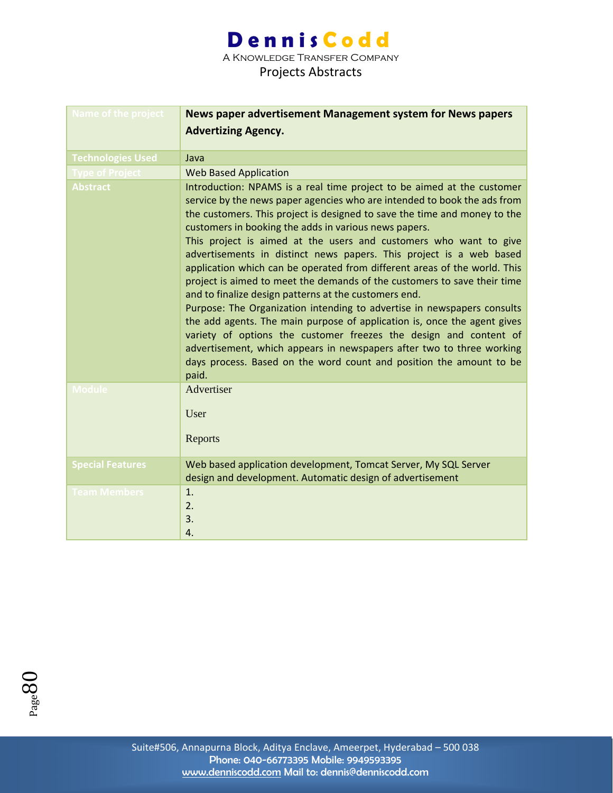A Knowledge Transfer Company

| <b>Name of the project</b> | News paper advertisement Management system for News papers                                                                                                                                                                                                                                                                                                                                                                                                                                                                                                                                                                                                                                                                                                                                                                                                                                                                                                                                                                         |
|----------------------------|------------------------------------------------------------------------------------------------------------------------------------------------------------------------------------------------------------------------------------------------------------------------------------------------------------------------------------------------------------------------------------------------------------------------------------------------------------------------------------------------------------------------------------------------------------------------------------------------------------------------------------------------------------------------------------------------------------------------------------------------------------------------------------------------------------------------------------------------------------------------------------------------------------------------------------------------------------------------------------------------------------------------------------|
|                            | <b>Advertizing Agency.</b>                                                                                                                                                                                                                                                                                                                                                                                                                                                                                                                                                                                                                                                                                                                                                                                                                                                                                                                                                                                                         |
|                            |                                                                                                                                                                                                                                                                                                                                                                                                                                                                                                                                                                                                                                                                                                                                                                                                                                                                                                                                                                                                                                    |
| <b>Technologies Used</b>   | Java                                                                                                                                                                                                                                                                                                                                                                                                                                                                                                                                                                                                                                                                                                                                                                                                                                                                                                                                                                                                                               |
| <b>Type of Project</b>     | <b>Web Based Application</b>                                                                                                                                                                                                                                                                                                                                                                                                                                                                                                                                                                                                                                                                                                                                                                                                                                                                                                                                                                                                       |
| <b>Abstract</b>            | Introduction: NPAMS is a real time project to be aimed at the customer<br>service by the news paper agencies who are intended to book the ads from<br>the customers. This project is designed to save the time and money to the<br>customers in booking the adds in various news papers.<br>This project is aimed at the users and customers who want to give<br>advertisements in distinct news papers. This project is a web based<br>application which can be operated from different areas of the world. This<br>project is aimed to meet the demands of the customers to save their time<br>and to finalize design patterns at the customers end.<br>Purpose: The Organization intending to advertise in newspapers consults<br>the add agents. The main purpose of application is, once the agent gives<br>variety of options the customer freezes the design and content of<br>advertisement, which appears in newspapers after two to three working<br>days process. Based on the word count and position the amount to be |
| <b>Module</b>              | paid.<br>Advertiser                                                                                                                                                                                                                                                                                                                                                                                                                                                                                                                                                                                                                                                                                                                                                                                                                                                                                                                                                                                                                |
|                            | User<br>Reports                                                                                                                                                                                                                                                                                                                                                                                                                                                                                                                                                                                                                                                                                                                                                                                                                                                                                                                                                                                                                    |
| <b>Special Features</b>    | Web based application development, Tomcat Server, My SQL Server<br>design and development. Automatic design of advertisement                                                                                                                                                                                                                                                                                                                                                                                                                                                                                                                                                                                                                                                                                                                                                                                                                                                                                                       |
| <b>Team Members</b>        | 1.<br>2.<br>3.<br>4.                                                                                                                                                                                                                                                                                                                                                                                                                                                                                                                                                                                                                                                                                                                                                                                                                                                                                                                                                                                                               |

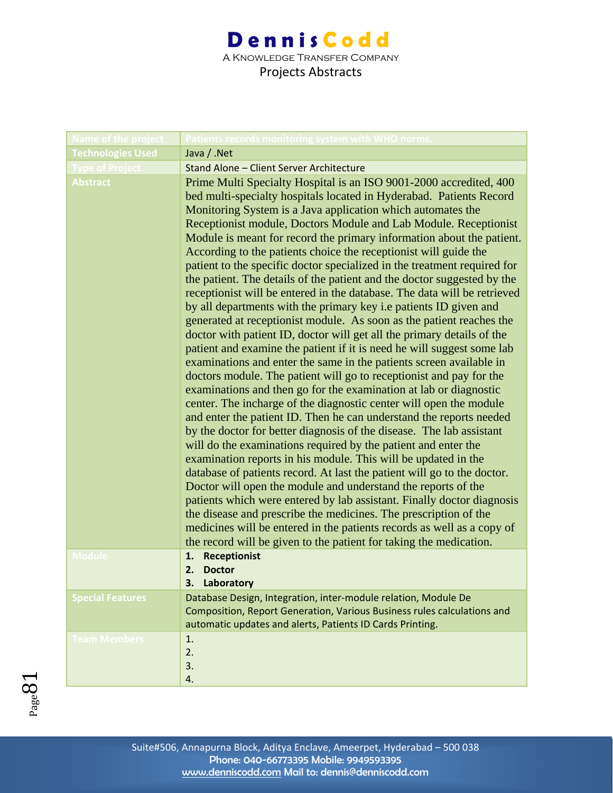### **Dennis Codd** A Knowledge Transfer Company

| Name of the project      | atients records monitoring system with WHO norms?                                                                                                                                                                                                                                                                                                                                                                                                                                                                                                                                                                                                                                                                                                                                                                                                                                                                                                                                                                                                                                                                                                                                                                                                                                                                                                                                                                                                                                                                                                                                                                                                                                                                                                                                                                                                                                                                                                                                   |
|--------------------------|-------------------------------------------------------------------------------------------------------------------------------------------------------------------------------------------------------------------------------------------------------------------------------------------------------------------------------------------------------------------------------------------------------------------------------------------------------------------------------------------------------------------------------------------------------------------------------------------------------------------------------------------------------------------------------------------------------------------------------------------------------------------------------------------------------------------------------------------------------------------------------------------------------------------------------------------------------------------------------------------------------------------------------------------------------------------------------------------------------------------------------------------------------------------------------------------------------------------------------------------------------------------------------------------------------------------------------------------------------------------------------------------------------------------------------------------------------------------------------------------------------------------------------------------------------------------------------------------------------------------------------------------------------------------------------------------------------------------------------------------------------------------------------------------------------------------------------------------------------------------------------------------------------------------------------------------------------------------------------------|
| <b>Technologies Used</b> | Java / .Net                                                                                                                                                                                                                                                                                                                                                                                                                                                                                                                                                                                                                                                                                                                                                                                                                                                                                                                                                                                                                                                                                                                                                                                                                                                                                                                                                                                                                                                                                                                                                                                                                                                                                                                                                                                                                                                                                                                                                                         |
| <b>Type of Project</b>   | Stand Alone - Client Server Architecture                                                                                                                                                                                                                                                                                                                                                                                                                                                                                                                                                                                                                                                                                                                                                                                                                                                                                                                                                                                                                                                                                                                                                                                                                                                                                                                                                                                                                                                                                                                                                                                                                                                                                                                                                                                                                                                                                                                                            |
| <b>Abstract</b>          | Prime Multi Specialty Hospital is an ISO 9001-2000 accredited, 400<br>bed multi-specialty hospitals located in Hyderabad. Patients Record<br>Monitoring System is a Java application which automates the<br>Receptionist module, Doctors Module and Lab Module. Receptionist<br>Module is meant for record the primary information about the patient.<br>According to the patients choice the receptionist will guide the<br>patient to the specific doctor specialized in the treatment required for<br>the patient. The details of the patient and the doctor suggested by the<br>receptionist will be entered in the database. The data will be retrieved<br>by all departments with the primary key i.e patients ID given and<br>generated at receptionist module. As soon as the patient reaches the<br>doctor with patient ID, doctor will get all the primary details of the<br>patient and examine the patient if it is need he will suggest some lab<br>examinations and enter the same in the patients screen available in<br>doctors module. The patient will go to receptionist and pay for the<br>examinations and then go for the examination at lab or diagnostic<br>center. The incharge of the diagnostic center will open the module<br>and enter the patient ID. Then he can understand the reports needed<br>by the doctor for better diagnosis of the disease. The lab assistant<br>will do the examinations required by the patient and enter the<br>examination reports in his module. This will be updated in the<br>database of patients record. At last the patient will go to the doctor.<br>Doctor will open the module and understand the reports of the<br>patients which were entered by lab assistant. Finally doctor diagnosis<br>the disease and prescribe the medicines. The prescription of the<br>medicines will be entered in the patients records as well as a copy of<br>the record will be given to the patient for taking the medication. |
| <b>Module</b>            | <b>Receptionist</b><br>1.<br><b>Doctor</b><br>2.<br>3. Laboratory                                                                                                                                                                                                                                                                                                                                                                                                                                                                                                                                                                                                                                                                                                                                                                                                                                                                                                                                                                                                                                                                                                                                                                                                                                                                                                                                                                                                                                                                                                                                                                                                                                                                                                                                                                                                                                                                                                                   |
| <b>Special Features</b>  | Database Design, Integration, inter-module relation, Module De<br>Composition, Report Generation, Various Business rules calculations and<br>automatic updates and alerts, Patients ID Cards Printing.                                                                                                                                                                                                                                                                                                                                                                                                                                                                                                                                                                                                                                                                                                                                                                                                                                                                                                                                                                                                                                                                                                                                                                                                                                                                                                                                                                                                                                                                                                                                                                                                                                                                                                                                                                              |
| Team Members             | 1.<br>2.<br>3.<br>4.                                                                                                                                                                                                                                                                                                                                                                                                                                                                                                                                                                                                                                                                                                                                                                                                                                                                                                                                                                                                                                                                                                                                                                                                                                                                                                                                                                                                                                                                                                                                                                                                                                                                                                                                                                                                                                                                                                                                                                |

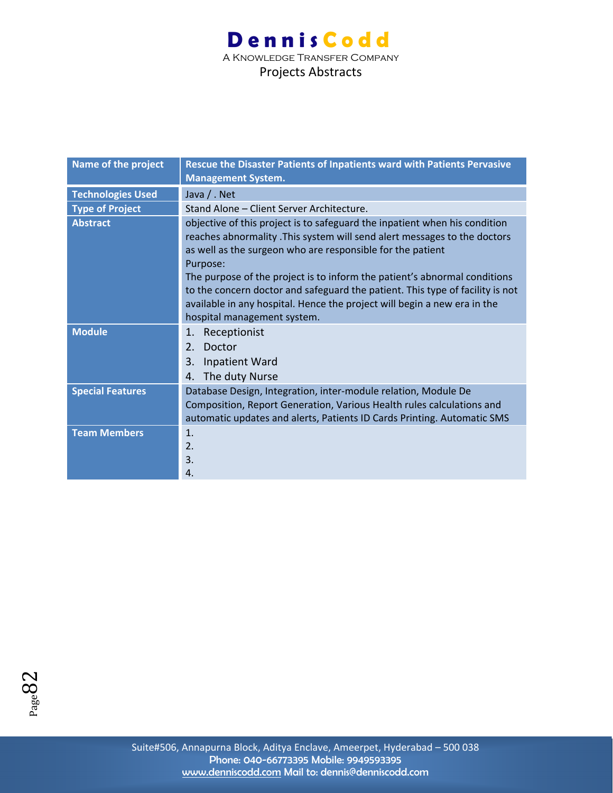### **Dennis Codd** A Knowledge Transfer Company

| Name of the project      | Rescue the Disaster Patients of Inpatients ward with Patients Pervasive<br><b>Management System.</b>                                                                                                                                                                                                                                                                                                                                                                                                      |
|--------------------------|-----------------------------------------------------------------------------------------------------------------------------------------------------------------------------------------------------------------------------------------------------------------------------------------------------------------------------------------------------------------------------------------------------------------------------------------------------------------------------------------------------------|
| <b>Technologies Used</b> | Java / . Net                                                                                                                                                                                                                                                                                                                                                                                                                                                                                              |
| <b>Type of Project</b>   | Stand Alone - Client Server Architecture.                                                                                                                                                                                                                                                                                                                                                                                                                                                                 |
| <b>Abstract</b>          | objective of this project is to safeguard the inpatient when his condition<br>reaches abnormality. This system will send alert messages to the doctors<br>as well as the surgeon who are responsible for the patient<br>Purpose:<br>The purpose of the project is to inform the patient's abnormal conditions<br>to the concern doctor and safeguard the patient. This type of facility is not<br>available in any hospital. Hence the project will begin a new era in the<br>hospital management system. |
| <b>Module</b>            | Receptionist<br>1.<br>Doctor<br>2.<br>3.<br>Inpatient Ward<br>The duty Nurse<br>4.                                                                                                                                                                                                                                                                                                                                                                                                                        |
| <b>Special Features</b>  | Database Design, Integration, inter-module relation, Module De<br>Composition, Report Generation, Various Health rules calculations and<br>automatic updates and alerts, Patients ID Cards Printing. Automatic SMS                                                                                                                                                                                                                                                                                        |
| <b>Team Members</b>      | 1.<br>2.<br>3.<br>4.                                                                                                                                                                                                                                                                                                                                                                                                                                                                                      |

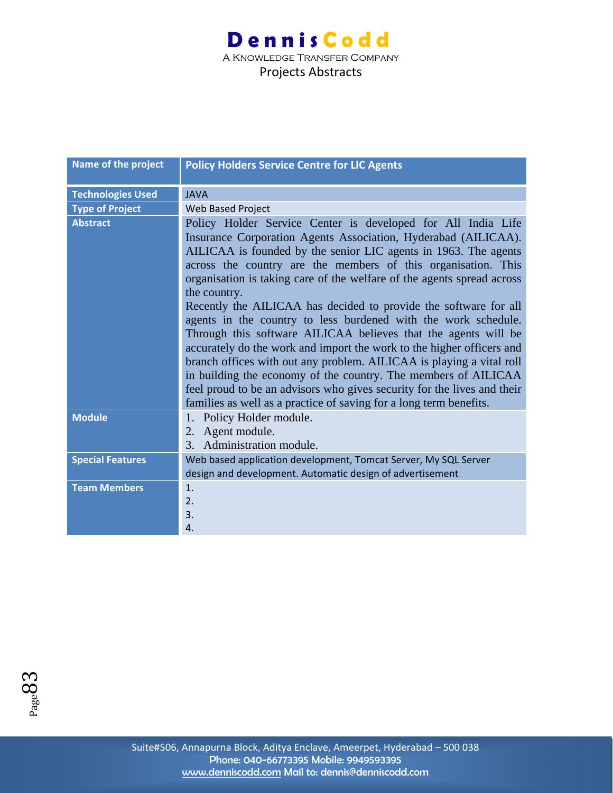| Name of the project      | <b>Policy Holders Service Centre for LIC Agents</b>                                                                                                                                                                                                                                                                                                                                                                                                                                                                                                                                                                                                                                                                                                                                                                                                                                                                                      |
|--------------------------|------------------------------------------------------------------------------------------------------------------------------------------------------------------------------------------------------------------------------------------------------------------------------------------------------------------------------------------------------------------------------------------------------------------------------------------------------------------------------------------------------------------------------------------------------------------------------------------------------------------------------------------------------------------------------------------------------------------------------------------------------------------------------------------------------------------------------------------------------------------------------------------------------------------------------------------|
| <b>Technologies Used</b> | <b>JAVA</b>                                                                                                                                                                                                                                                                                                                                                                                                                                                                                                                                                                                                                                                                                                                                                                                                                                                                                                                              |
| <b>Type of Project</b>   | Web Based Project                                                                                                                                                                                                                                                                                                                                                                                                                                                                                                                                                                                                                                                                                                                                                                                                                                                                                                                        |
| <b>Abstract</b>          | Policy Holder Service Center is developed for All India Life<br>Insurance Corporation Agents Association, Hyderabad (AILICAA).<br>AILICAA is founded by the senior LIC agents in 1963. The agents<br>across the country are the members of this organisation. This<br>organisation is taking care of the welfare of the agents spread across<br>the country.<br>Recently the AILICAA has decided to provide the software for all<br>agents in the country to less burdened with the work schedule.<br>Through this software AILICAA believes that the agents will be<br>accurately do the work and import the work to the higher officers and<br>branch offices with out any problem. AILICAA is playing a vital roll<br>in building the economy of the country. The members of AILICAA<br>feel proud to be an advisors who gives security for the lives and their<br>families as well as a practice of saving for a long term benefits. |
| <b>Module</b>            | Policy Holder module.<br>1.<br>Agent module.<br>2.                                                                                                                                                                                                                                                                                                                                                                                                                                                                                                                                                                                                                                                                                                                                                                                                                                                                                       |
|                          | Administration module.<br>3.                                                                                                                                                                                                                                                                                                                                                                                                                                                                                                                                                                                                                                                                                                                                                                                                                                                                                                             |
| <b>Special Features</b>  | Web based application development, Tomcat Server, My SQL Server<br>design and development. Automatic design of advertisement                                                                                                                                                                                                                                                                                                                                                                                                                                                                                                                                                                                                                                                                                                                                                                                                             |
| <b>Team Members</b>      | $\mathbf{1}$ .<br>2.<br>3.<br>$\overline{4}$ .                                                                                                                                                                                                                                                                                                                                                                                                                                                                                                                                                                                                                                                                                                                                                                                                                                                                                           |

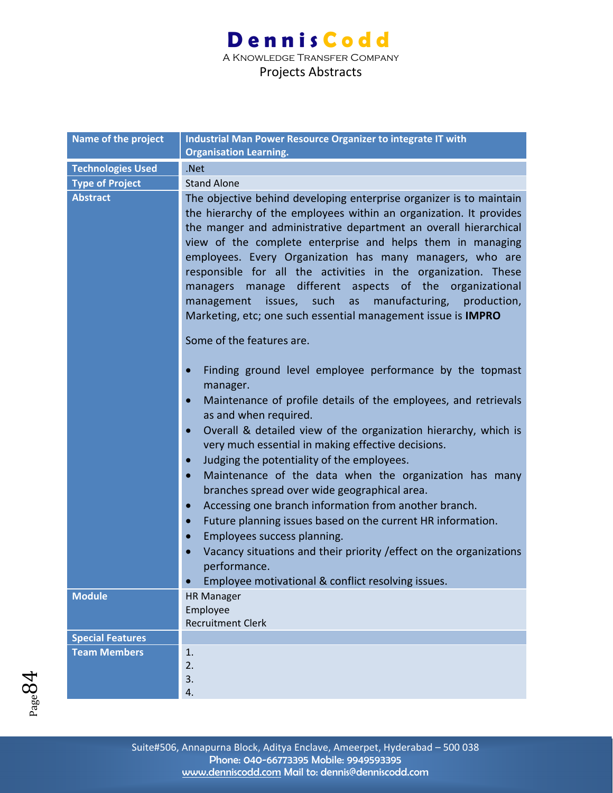A Knowledge Transfer Company

| <b>Name of the project</b> | Industrial Man Power Resource Organizer to integrate IT with<br><b>Organisation Learning.</b>                                                                                                                                                                                                                                                                                                                                                                                                                                                                                                                                                                                                                                                                                                                                                                              |
|----------------------------|----------------------------------------------------------------------------------------------------------------------------------------------------------------------------------------------------------------------------------------------------------------------------------------------------------------------------------------------------------------------------------------------------------------------------------------------------------------------------------------------------------------------------------------------------------------------------------------------------------------------------------------------------------------------------------------------------------------------------------------------------------------------------------------------------------------------------------------------------------------------------|
| <b>Technologies Used</b>   | .Net                                                                                                                                                                                                                                                                                                                                                                                                                                                                                                                                                                                                                                                                                                                                                                                                                                                                       |
|                            | <b>Stand Alone</b>                                                                                                                                                                                                                                                                                                                                                                                                                                                                                                                                                                                                                                                                                                                                                                                                                                                         |
| <b>Type of Project</b>     |                                                                                                                                                                                                                                                                                                                                                                                                                                                                                                                                                                                                                                                                                                                                                                                                                                                                            |
| <b>Abstract</b>            | The objective behind developing enterprise organizer is to maintain<br>the hierarchy of the employees within an organization. It provides<br>the manger and administrative department an overall hierarchical<br>view of the complete enterprise and helps them in managing<br>employees. Every Organization has many managers, who are<br>responsible for all the activities in the organization. These<br>manage different aspects of the organizational<br>managers<br>such<br>manufacturing,<br>issues,<br>as<br>production,<br>management<br>Marketing, etc; one such essential management issue is IMPRO                                                                                                                                                                                                                                                             |
|                            | Some of the features are.                                                                                                                                                                                                                                                                                                                                                                                                                                                                                                                                                                                                                                                                                                                                                                                                                                                  |
|                            | Finding ground level employee performance by the topmast<br>$\bullet$<br>manager.<br>Maintenance of profile details of the employees, and retrievals<br>$\bullet$<br>as and when required.<br>Overall & detailed view of the organization hierarchy, which is<br>$\bullet$<br>very much essential in making effective decisions.<br>Judging the potentiality of the employees.<br>$\bullet$<br>Maintenance of the data when the organization has many<br>$\bullet$<br>branches spread over wide geographical area.<br>Accessing one branch information from another branch.<br>$\bullet$<br>Future planning issues based on the current HR information.<br>$\bullet$<br>Employees success planning.<br>$\bullet$<br>Vacancy situations and their priority / effect on the organizations<br>$\bullet$<br>performance.<br>Employee motivational & conflict resolving issues. |
| <b>Module</b>              | <b>HR Manager</b><br>Employee<br><b>Recruitment Clerk</b>                                                                                                                                                                                                                                                                                                                                                                                                                                                                                                                                                                                                                                                                                                                                                                                                                  |
| <b>Special Features</b>    |                                                                                                                                                                                                                                                                                                                                                                                                                                                                                                                                                                                                                                                                                                                                                                                                                                                                            |
| <b>Team Members</b>        | 1.                                                                                                                                                                                                                                                                                                                                                                                                                                                                                                                                                                                                                                                                                                                                                                                                                                                                         |
|                            | 2.<br>3.<br>4.                                                                                                                                                                                                                                                                                                                                                                                                                                                                                                                                                                                                                                                                                                                                                                                                                                                             |

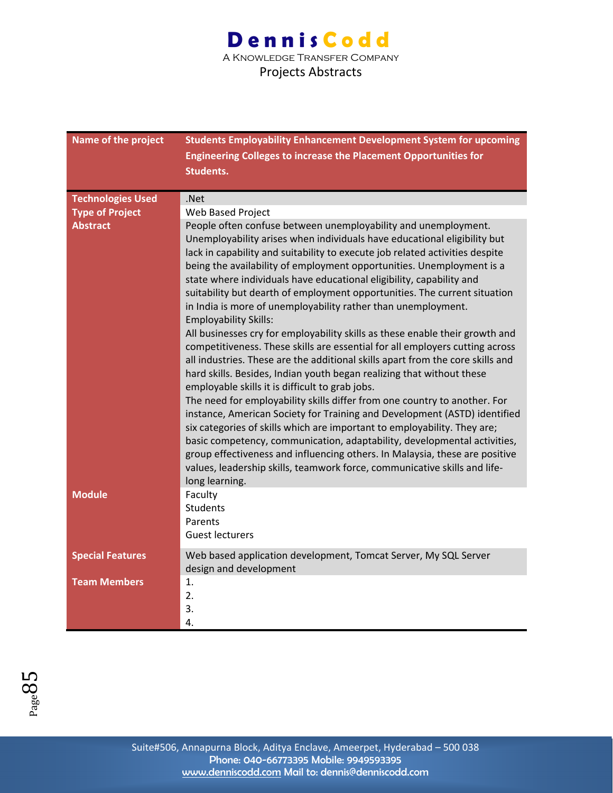### **Dennis Codd** A Knowledge Transfer Company

| Name of the project      | <b>Students Employability Enhancement Development System for upcoming</b><br><b>Engineering Colleges to increase the Placement Opportunities for</b><br><b>Students.</b>                                                                                                                                                                                                                                                                                                                                                                                                                                                                                                                                                                                                                                                                                                                                                                                                                                                                                                                                                                                                                                                                                                                                                                                                                                              |
|--------------------------|-----------------------------------------------------------------------------------------------------------------------------------------------------------------------------------------------------------------------------------------------------------------------------------------------------------------------------------------------------------------------------------------------------------------------------------------------------------------------------------------------------------------------------------------------------------------------------------------------------------------------------------------------------------------------------------------------------------------------------------------------------------------------------------------------------------------------------------------------------------------------------------------------------------------------------------------------------------------------------------------------------------------------------------------------------------------------------------------------------------------------------------------------------------------------------------------------------------------------------------------------------------------------------------------------------------------------------------------------------------------------------------------------------------------------|
| <b>Technologies Used</b> | .Net                                                                                                                                                                                                                                                                                                                                                                                                                                                                                                                                                                                                                                                                                                                                                                                                                                                                                                                                                                                                                                                                                                                                                                                                                                                                                                                                                                                                                  |
| <b>Type of Project</b>   | Web Based Project                                                                                                                                                                                                                                                                                                                                                                                                                                                                                                                                                                                                                                                                                                                                                                                                                                                                                                                                                                                                                                                                                                                                                                                                                                                                                                                                                                                                     |
| <b>Abstract</b>          | People often confuse between unemployability and unemployment.<br>Unemployability arises when individuals have educational eligibility but<br>lack in capability and suitability to execute job related activities despite<br>being the availability of employment opportunities. Unemployment is a<br>state where individuals have educational eligibility, capability and<br>suitability but dearth of employment opportunities. The current situation<br>in India is more of unemployability rather than unemployment.<br><b>Employability Skills:</b><br>All businesses cry for employability skills as these enable their growth and<br>competitiveness. These skills are essential for all employers cutting across<br>all industries. These are the additional skills apart from the core skills and<br>hard skills. Besides, Indian youth began realizing that without these<br>employable skills it is difficult to grab jobs.<br>The need for employability skills differ from one country to another. For<br>instance, American Society for Training and Development (ASTD) identified<br>six categories of skills which are important to employability. They are;<br>basic competency, communication, adaptability, developmental activities,<br>group effectiveness and influencing others. In Malaysia, these are positive<br>values, leadership skills, teamwork force, communicative skills and life- |
| <b>Module</b>            | long learning.<br>Faculty<br>Students<br>Parents<br><b>Guest lecturers</b>                                                                                                                                                                                                                                                                                                                                                                                                                                                                                                                                                                                                                                                                                                                                                                                                                                                                                                                                                                                                                                                                                                                                                                                                                                                                                                                                            |
|                          |                                                                                                                                                                                                                                                                                                                                                                                                                                                                                                                                                                                                                                                                                                                                                                                                                                                                                                                                                                                                                                                                                                                                                                                                                                                                                                                                                                                                                       |
| <b>Special Features</b>  | Web based application development, Tomcat Server, My SQL Server<br>design and development                                                                                                                                                                                                                                                                                                                                                                                                                                                                                                                                                                                                                                                                                                                                                                                                                                                                                                                                                                                                                                                                                                                                                                                                                                                                                                                             |
| <b>Team Members</b>      | 1.<br>2.<br>3.<br>4.                                                                                                                                                                                                                                                                                                                                                                                                                                                                                                                                                                                                                                                                                                                                                                                                                                                                                                                                                                                                                                                                                                                                                                                                                                                                                                                                                                                                  |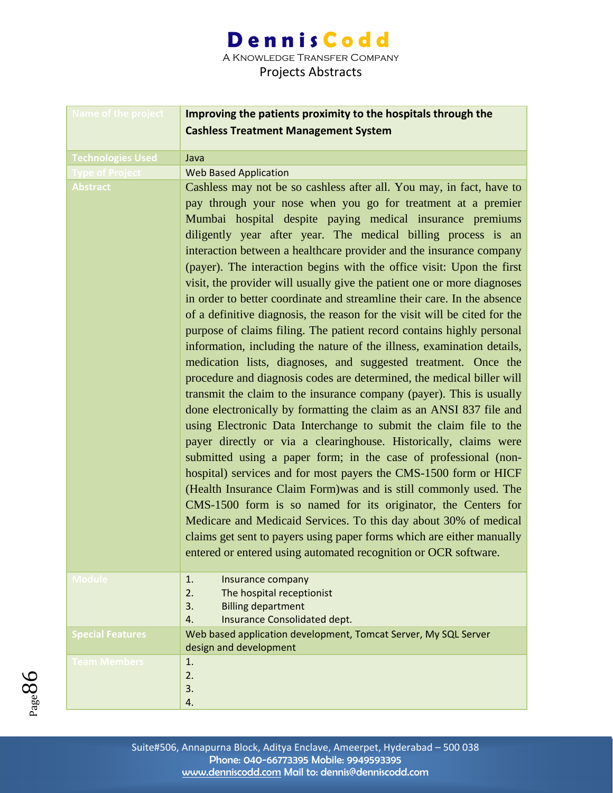A Knowledge Transfer Company

| <b>Name of the project</b> | Improving the patients proximity to the hospitals through the                                                                                                                                                                                                                                                                                                                                                                                                                                                                                                                                                                                                                                                                                                                                                                                                                                                                                                                                                                                                                                                                                                                                                                                                                                                                                                                                                                                                                                                                                                                                                                                                                                                                            |
|----------------------------|------------------------------------------------------------------------------------------------------------------------------------------------------------------------------------------------------------------------------------------------------------------------------------------------------------------------------------------------------------------------------------------------------------------------------------------------------------------------------------------------------------------------------------------------------------------------------------------------------------------------------------------------------------------------------------------------------------------------------------------------------------------------------------------------------------------------------------------------------------------------------------------------------------------------------------------------------------------------------------------------------------------------------------------------------------------------------------------------------------------------------------------------------------------------------------------------------------------------------------------------------------------------------------------------------------------------------------------------------------------------------------------------------------------------------------------------------------------------------------------------------------------------------------------------------------------------------------------------------------------------------------------------------------------------------------------------------------------------------------------|
|                            | <b>Cashless Treatment Management System</b>                                                                                                                                                                                                                                                                                                                                                                                                                                                                                                                                                                                                                                                                                                                                                                                                                                                                                                                                                                                                                                                                                                                                                                                                                                                                                                                                                                                                                                                                                                                                                                                                                                                                                              |
| <b>Technologies Used</b>   | Java                                                                                                                                                                                                                                                                                                                                                                                                                                                                                                                                                                                                                                                                                                                                                                                                                                                                                                                                                                                                                                                                                                                                                                                                                                                                                                                                                                                                                                                                                                                                                                                                                                                                                                                                     |
| <b>Type of Project</b>     | <b>Web Based Application</b>                                                                                                                                                                                                                                                                                                                                                                                                                                                                                                                                                                                                                                                                                                                                                                                                                                                                                                                                                                                                                                                                                                                                                                                                                                                                                                                                                                                                                                                                                                                                                                                                                                                                                                             |
| <b>Abstract</b>            | Cashless may not be so cashless after all. You may, in fact, have to<br>pay through your nose when you go for treatment at a premier<br>Mumbai hospital despite paying medical insurance premiums<br>diligently year after year. The medical billing process is an<br>interaction between a healthcare provider and the insurance company<br>(payer). The interaction begins with the office visit: Upon the first<br>visit, the provider will usually give the patient one or more diagnoses<br>in order to better coordinate and streamline their care. In the absence<br>of a definitive diagnosis, the reason for the visit will be cited for the<br>purpose of claims filing. The patient record contains highly personal<br>information, including the nature of the illness, examination details,<br>medication lists, diagnoses, and suggested treatment. Once the<br>procedure and diagnosis codes are determined, the medical biller will<br>transmit the claim to the insurance company (payer). This is usually<br>done electronically by formatting the claim as an ANSI 837 file and<br>using Electronic Data Interchange to submit the claim file to the<br>payer directly or via a clearinghouse. Historically, claims were<br>submitted using a paper form; in the case of professional (non-<br>hospital) services and for most payers the CMS-1500 form or HICF<br>(Health Insurance Claim Form) was and is still commonly used. The<br>CMS-1500 form is so named for its originator, the Centers for<br>Medicare and Medicaid Services. To this day about 30% of medical<br>claims get sent to payers using paper forms which are either manually<br>entered or entered using automated recognition or OCR software. |
| <b>Module</b>              | 1.<br>Insurance company<br>2.<br>The hospital receptionist<br><b>Billing department</b><br>3.<br>Insurance Consolidated dept.<br>4.                                                                                                                                                                                                                                                                                                                                                                                                                                                                                                                                                                                                                                                                                                                                                                                                                                                                                                                                                                                                                                                                                                                                                                                                                                                                                                                                                                                                                                                                                                                                                                                                      |
| <b>Special Features</b>    | Web based application development, Tomcat Server, My SQL Server<br>design and development                                                                                                                                                                                                                                                                                                                                                                                                                                                                                                                                                                                                                                                                                                                                                                                                                                                                                                                                                                                                                                                                                                                                                                                                                                                                                                                                                                                                                                                                                                                                                                                                                                                |
| <b>Team Members</b>        | 1.<br>2.<br>3.<br>4.                                                                                                                                                                                                                                                                                                                                                                                                                                                                                                                                                                                                                                                                                                                                                                                                                                                                                                                                                                                                                                                                                                                                                                                                                                                                                                                                                                                                                                                                                                                                                                                                                                                                                                                     |

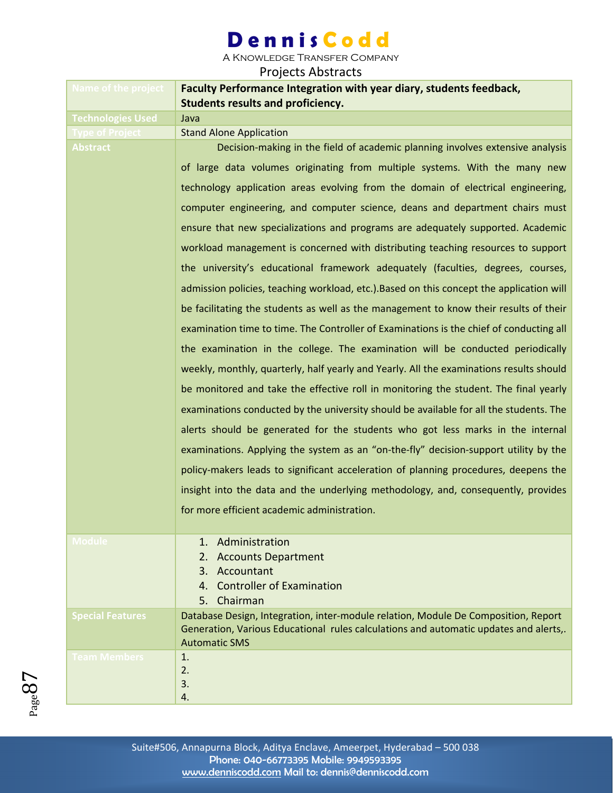A Knowledge Transfer Company

| Name of the project      | Faculty Performance Integration with year diary, students feedback,<br><b>Students results and proficiency.</b> |
|--------------------------|-----------------------------------------------------------------------------------------------------------------|
| <b>Technologies Used</b> | Java                                                                                                            |
| <b>Type of Project</b>   | <b>Stand Alone Application</b>                                                                                  |
| <b>Abstract</b>          | Decision-making in the field of academic planning involves extensive analysis                                   |
|                          | of large data volumes originating from multiple systems. With the many new                                      |
|                          | technology application areas evolving from the domain of electrical engineering,                                |
|                          | computer engineering, and computer science, deans and department chairs must                                    |
|                          | ensure that new specializations and programs are adequately supported. Academic                                 |
|                          | workload management is concerned with distributing teaching resources to support                                |
|                          | the university's educational framework adequately (faculties, degrees, courses,                                 |
|                          | admission policies, teaching workload, etc.). Based on this concept the application will                        |
|                          | be facilitating the students as well as the management to know their results of their                           |
|                          | examination time to time. The Controller of Examinations is the chief of conducting all                         |
|                          | the examination in the college. The examination will be conducted periodically                                  |
|                          | weekly, monthly, quarterly, half yearly and Yearly. All the examinations results should                         |
|                          | be monitored and take the effective roll in monitoring the student. The final yearly                            |
|                          | examinations conducted by the university should be available for all the students. The                          |
|                          | alerts should be generated for the students who got less marks in the internal                                  |
|                          | examinations. Applying the system as an "on-the-fly" decision-support utility by the                            |
|                          | policy-makers leads to significant acceleration of planning procedures, deepens the                             |
|                          | insight into the data and the underlying methodology, and, consequently, provides                               |
|                          | for more efficient academic administration.                                                                     |
|                          |                                                                                                                 |
| <b>Module</b>            | 1. Administration                                                                                               |
|                          | 2. Accounts Department<br>Accountant<br>3.                                                                      |
|                          | <b>Controller of Examination</b><br>4.                                                                          |
|                          | 5. Chairman                                                                                                     |
| <b>Special Features</b>  | Database Design, Integration, inter-module relation, Module De Composition, Report                              |
|                          | Generation, Various Educational rules calculations and automatic updates and alerts,.<br><b>Automatic SMS</b>   |
| <b>Team Members</b>      | 1.                                                                                                              |
|                          | 2.                                                                                                              |
|                          | 3.                                                                                                              |
|                          | 4.                                                                                                              |

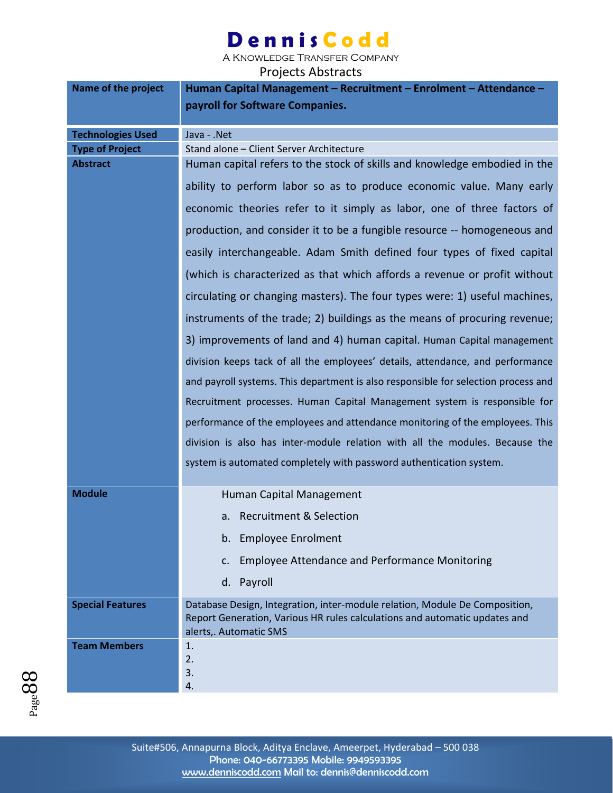A Knowledge Transfer Company

| Name of the project      | Human Capital Management – Recruitment – Enrolment – Attendance –                                    |
|--------------------------|------------------------------------------------------------------------------------------------------|
|                          | payroll for Software Companies.                                                                      |
| <b>Technologies Used</b> | Java - .Net                                                                                          |
| <b>Type of Project</b>   | Stand alone - Client Server Architecture                                                             |
| <b>Abstract</b>          | Human capital refers to the stock of skills and knowledge embodied in the                            |
|                          | ability to perform labor so as to produce economic value. Many early                                 |
|                          | economic theories refer to it simply as labor, one of three factors of                               |
|                          | production, and consider it to be a fungible resource -- homogeneous and                             |
|                          | easily interchangeable. Adam Smith defined four types of fixed capital                               |
|                          | (which is characterized as that which affords a revenue or profit without                            |
|                          | circulating or changing masters). The four types were: 1) useful machines,                           |
|                          | instruments of the trade; 2) buildings as the means of procuring revenue;                            |
|                          | 3) improvements of land and 4) human capital. Human Capital management                               |
|                          | division keeps tack of all the employees' details, attendance, and performance                       |
|                          | and payroll systems. This department is also responsible for selection process and                   |
|                          | Recruitment processes. Human Capital Management system is responsible for                            |
|                          | performance of the employees and attendance monitoring of the employees. This                        |
|                          | division is also has inter-module relation with all the modules. Because the                         |
|                          | system is automated completely with password authentication system.                                  |
| <b>Module</b>            | Human Capital Management                                                                             |
|                          | <b>Recruitment &amp; Selection</b><br>a.                                                             |
|                          | <b>Employee Enrolment</b><br>b.                                                                      |
|                          | <b>Employee Attendance and Performance Monitoring</b><br>c.                                          |
|                          | d. Payroll                                                                                           |
| <b>Special Features</b>  | Database Design, Integration, inter-module relation, Module De Composition,                          |
|                          | Report Generation, Various HR rules calculations and automatic updates and<br>alerts,. Automatic SMS |
| <b>Team Members</b>      | 1.                                                                                                   |
|                          | 2.<br>3.                                                                                             |
|                          | 4.                                                                                                   |

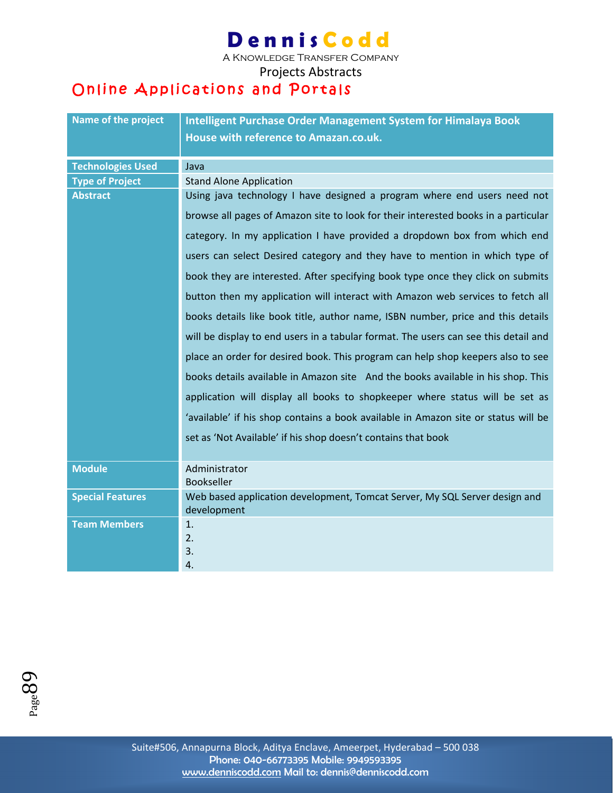A Knowledge Transfer Company

Projects Abstracts

### Online Applications and Portals

| Name of the project      | Intelligent Purchase Order Management System for Himalaya Book<br>House with reference to Amazan.co.uk. |
|--------------------------|---------------------------------------------------------------------------------------------------------|
| <b>Technologies Used</b> | Java                                                                                                    |
| <b>Type of Project</b>   | <b>Stand Alone Application</b>                                                                          |
| <b>Abstract</b>          | Using java technology I have designed a program where end users need not                                |
|                          | browse all pages of Amazon site to look for their interested books in a particular                      |
|                          | category. In my application I have provided a dropdown box from which end                               |
|                          | users can select Desired category and they have to mention in which type of                             |
|                          | book they are interested. After specifying book type once they click on submits                         |
|                          | button then my application will interact with Amazon web services to fetch all                          |
|                          | books details like book title, author name, ISBN number, price and this details                         |
|                          | will be display to end users in a tabular format. The users can see this detail and                     |
|                          | place an order for desired book. This program can help shop keepers also to see                         |
|                          | books details available in Amazon site And the books available in his shop. This                        |
|                          | application will display all books to shopkeeper where status will be set as                            |
|                          | 'available' if his shop contains a book available in Amazon site or status will be                      |
|                          | set as 'Not Available' if his shop doesn't contains that book                                           |
| <b>Module</b>            | Administrator<br><b>Bookseller</b>                                                                      |
| <b>Special Features</b>  | Web based application development, Tomcat Server, My SQL Server design and<br>development               |
| <b>Team Members</b>      | 1.                                                                                                      |
|                          | 2.                                                                                                      |
|                          | 3.                                                                                                      |
|                          | 4.                                                                                                      |

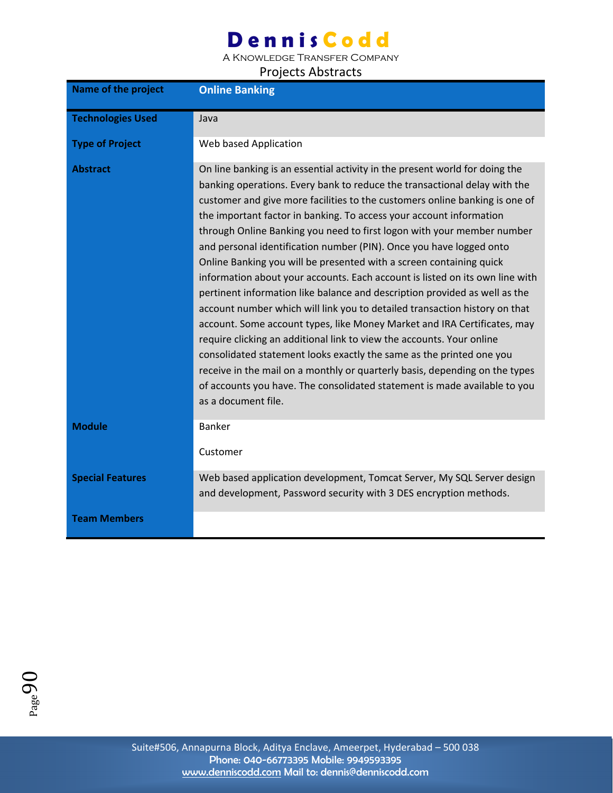A Knowledge Transfer Company

| <b>Name of the project</b> | <b>Online Banking</b>                                                                                                                                                                                                                                                                                                                                                                                                                                                                                                                                                                                                                                                                                                                                                                                                                                                                                                                                                                                                                                                                                                                                                                              |
|----------------------------|----------------------------------------------------------------------------------------------------------------------------------------------------------------------------------------------------------------------------------------------------------------------------------------------------------------------------------------------------------------------------------------------------------------------------------------------------------------------------------------------------------------------------------------------------------------------------------------------------------------------------------------------------------------------------------------------------------------------------------------------------------------------------------------------------------------------------------------------------------------------------------------------------------------------------------------------------------------------------------------------------------------------------------------------------------------------------------------------------------------------------------------------------------------------------------------------------|
| <b>Technologies Used</b>   | Java                                                                                                                                                                                                                                                                                                                                                                                                                                                                                                                                                                                                                                                                                                                                                                                                                                                                                                                                                                                                                                                                                                                                                                                               |
| <b>Type of Project</b>     | Web based Application                                                                                                                                                                                                                                                                                                                                                                                                                                                                                                                                                                                                                                                                                                                                                                                                                                                                                                                                                                                                                                                                                                                                                                              |
| <b>Abstract</b>            | On line banking is an essential activity in the present world for doing the<br>banking operations. Every bank to reduce the transactional delay with the<br>customer and give more facilities to the customers online banking is one of<br>the important factor in banking. To access your account information<br>through Online Banking you need to first logon with your member number<br>and personal identification number (PIN). Once you have logged onto<br>Online Banking you will be presented with a screen containing quick<br>information about your accounts. Each account is listed on its own line with<br>pertinent information like balance and description provided as well as the<br>account number which will link you to detailed transaction history on that<br>account. Some account types, like Money Market and IRA Certificates, may<br>require clicking an additional link to view the accounts. Your online<br>consolidated statement looks exactly the same as the printed one you<br>receive in the mail on a monthly or quarterly basis, depending on the types<br>of accounts you have. The consolidated statement is made available to you<br>as a document file. |
| <b>Module</b>              | Banker<br>Customer                                                                                                                                                                                                                                                                                                                                                                                                                                                                                                                                                                                                                                                                                                                                                                                                                                                                                                                                                                                                                                                                                                                                                                                 |
| <b>Special Features</b>    | Web based application development, Tomcat Server, My SQL Server design<br>and development, Password security with 3 DES encryption methods.                                                                                                                                                                                                                                                                                                                                                                                                                                                                                                                                                                                                                                                                                                                                                                                                                                                                                                                                                                                                                                                        |
| <b>Team Members</b>        |                                                                                                                                                                                                                                                                                                                                                                                                                                                                                                                                                                                                                                                                                                                                                                                                                                                                                                                                                                                                                                                                                                                                                                                                    |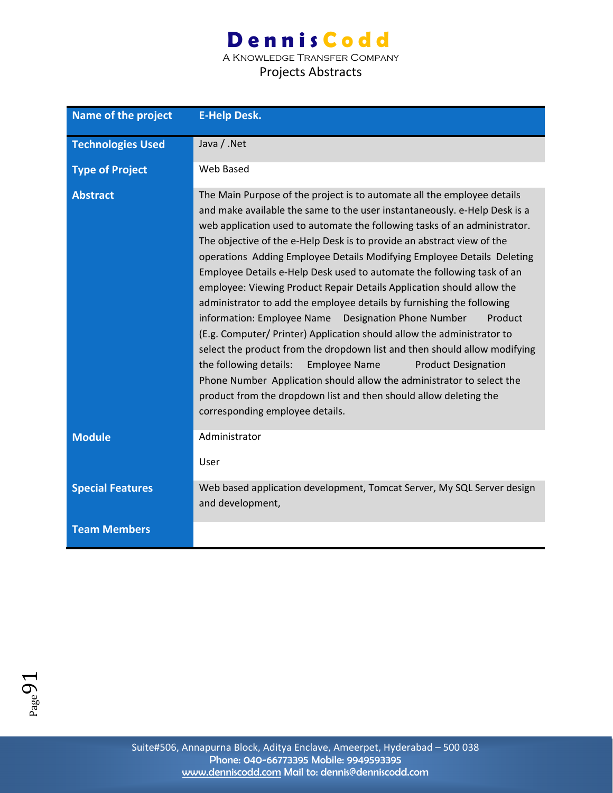A Knowledge Transfer Company

#### Projects Abstracts

| <b>Name of the project</b> | <b>E-Help Desk.</b>                                                                                                                                                                                                                                                                                                                                                                                                                                                                                                                                                                                                                                                                                                                                                                                                                                                                                                                                                                                                                                                                                          |
|----------------------------|--------------------------------------------------------------------------------------------------------------------------------------------------------------------------------------------------------------------------------------------------------------------------------------------------------------------------------------------------------------------------------------------------------------------------------------------------------------------------------------------------------------------------------------------------------------------------------------------------------------------------------------------------------------------------------------------------------------------------------------------------------------------------------------------------------------------------------------------------------------------------------------------------------------------------------------------------------------------------------------------------------------------------------------------------------------------------------------------------------------|
| <b>Technologies Used</b>   | Java / .Net                                                                                                                                                                                                                                                                                                                                                                                                                                                                                                                                                                                                                                                                                                                                                                                                                                                                                                                                                                                                                                                                                                  |
| <b>Type of Project</b>     | Web Based                                                                                                                                                                                                                                                                                                                                                                                                                                                                                                                                                                                                                                                                                                                                                                                                                                                                                                                                                                                                                                                                                                    |
| <b>Abstract</b>            | The Main Purpose of the project is to automate all the employee details<br>and make available the same to the user instantaneously. e-Help Desk is a<br>web application used to automate the following tasks of an administrator.<br>The objective of the e-Help Desk is to provide an abstract view of the<br>operations Adding Employee Details Modifying Employee Details Deleting<br>Employee Details e-Help Desk used to automate the following task of an<br>employee: Viewing Product Repair Details Application should allow the<br>administrator to add the employee details by furnishing the following<br>information: Employee Name  Designation Phone Number<br>Product<br>(E.g. Computer/ Printer) Application should allow the administrator to<br>select the product from the dropdown list and then should allow modifying<br>the following details:<br><b>Employee Name</b><br><b>Product Designation</b><br>Phone Number Application should allow the administrator to select the<br>product from the dropdown list and then should allow deleting the<br>corresponding employee details. |
| <b>Module</b>              | Administrator<br>User                                                                                                                                                                                                                                                                                                                                                                                                                                                                                                                                                                                                                                                                                                                                                                                                                                                                                                                                                                                                                                                                                        |
| <b>Special Features</b>    | Web based application development, Tomcat Server, My SQL Server design<br>and development,                                                                                                                                                                                                                                                                                                                                                                                                                                                                                                                                                                                                                                                                                                                                                                                                                                                                                                                                                                                                                   |
| <b>Team Members</b>        |                                                                                                                                                                                                                                                                                                                                                                                                                                                                                                                                                                                                                                                                                                                                                                                                                                                                                                                                                                                                                                                                                                              |

 $P_{\text{age}}91$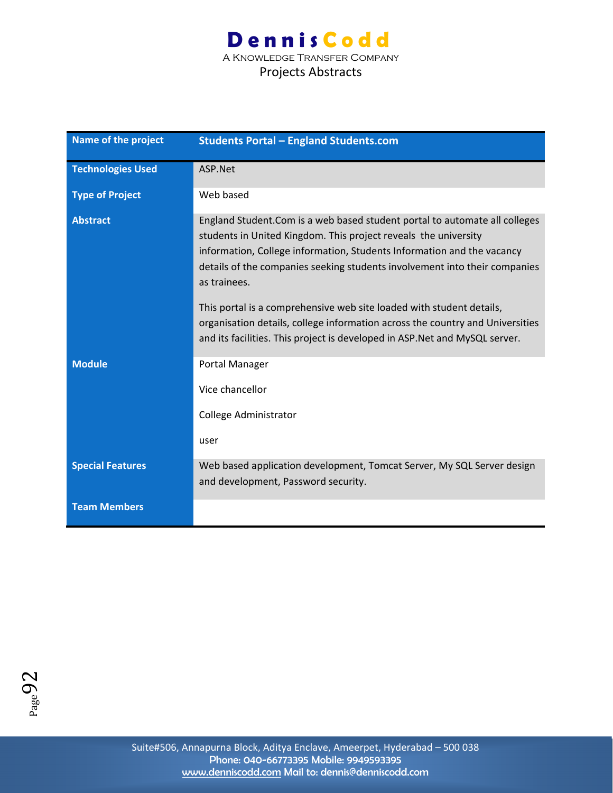### **Dennis Codd** A Knowledge Transfer Company

| Name of the project      | <b>Students Portal - England Students.com</b>                                                                                                                                                                                                                                                                                                                                                                                                                                                                                                                  |
|--------------------------|----------------------------------------------------------------------------------------------------------------------------------------------------------------------------------------------------------------------------------------------------------------------------------------------------------------------------------------------------------------------------------------------------------------------------------------------------------------------------------------------------------------------------------------------------------------|
| <b>Technologies Used</b> | ASP.Net                                                                                                                                                                                                                                                                                                                                                                                                                                                                                                                                                        |
| <b>Type of Project</b>   | Web based                                                                                                                                                                                                                                                                                                                                                                                                                                                                                                                                                      |
| <b>Abstract</b>          | England Student. Com is a web based student portal to automate all colleges<br>students in United Kingdom. This project reveals the university<br>information, College information, Students Information and the vacancy<br>details of the companies seeking students involvement into their companies<br>as trainees.<br>This portal is a comprehensive web site loaded with student details,<br>organisation details, college information across the country and Universities<br>and its facilities. This project is developed in ASP. Net and MySQL server. |
| <b>Module</b>            | Portal Manager<br>Vice chancellor<br>College Administrator<br>user                                                                                                                                                                                                                                                                                                                                                                                                                                                                                             |
| <b>Special Features</b>  | Web based application development, Tomcat Server, My SQL Server design<br>and development, Password security.                                                                                                                                                                                                                                                                                                                                                                                                                                                  |
| <b>Team Members</b>      |                                                                                                                                                                                                                                                                                                                                                                                                                                                                                                                                                                |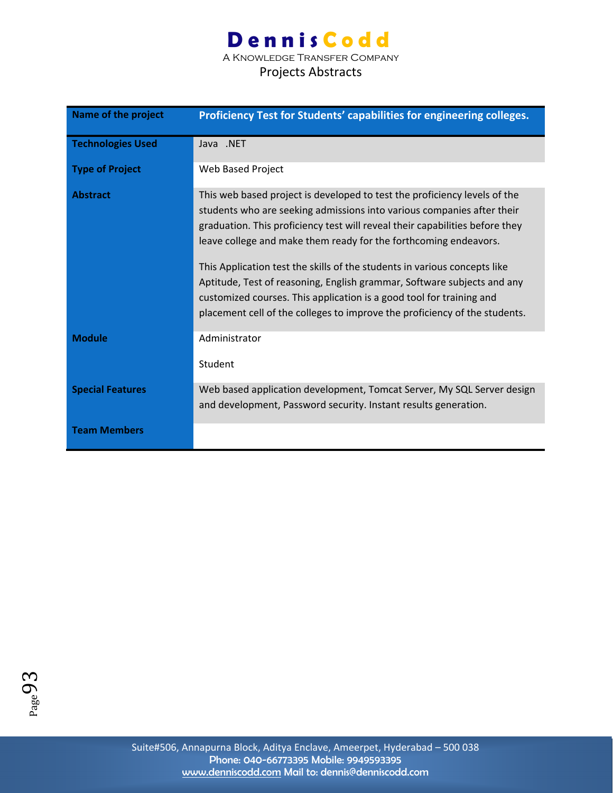A Knowledge Transfer Company

| Name of the project      | Proficiency Test for Students' capabilities for engineering colleges.                                                                                                                                                                                                                                                                                                                                                                                                                                                                                                                                                 |
|--------------------------|-----------------------------------------------------------------------------------------------------------------------------------------------------------------------------------------------------------------------------------------------------------------------------------------------------------------------------------------------------------------------------------------------------------------------------------------------------------------------------------------------------------------------------------------------------------------------------------------------------------------------|
| <b>Technologies Used</b> | Java .NET                                                                                                                                                                                                                                                                                                                                                                                                                                                                                                                                                                                                             |
| <b>Type of Project</b>   | Web Based Project                                                                                                                                                                                                                                                                                                                                                                                                                                                                                                                                                                                                     |
| <b>Abstract</b>          | This web based project is developed to test the proficiency levels of the<br>students who are seeking admissions into various companies after their<br>graduation. This proficiency test will reveal their capabilities before they<br>leave college and make them ready for the forthcoming endeavors.<br>This Application test the skills of the students in various concepts like<br>Aptitude, Test of reasoning, English grammar, Software subjects and any<br>customized courses. This application is a good tool for training and<br>placement cell of the colleges to improve the proficiency of the students. |
| <b>Module</b>            | Administrator<br>Student                                                                                                                                                                                                                                                                                                                                                                                                                                                                                                                                                                                              |
| <b>Special Features</b>  | Web based application development, Tomcat Server, My SQL Server design<br>and development, Password security. Instant results generation.                                                                                                                                                                                                                                                                                                                                                                                                                                                                             |
| <b>Team Members</b>      |                                                                                                                                                                                                                                                                                                                                                                                                                                                                                                                                                                                                                       |

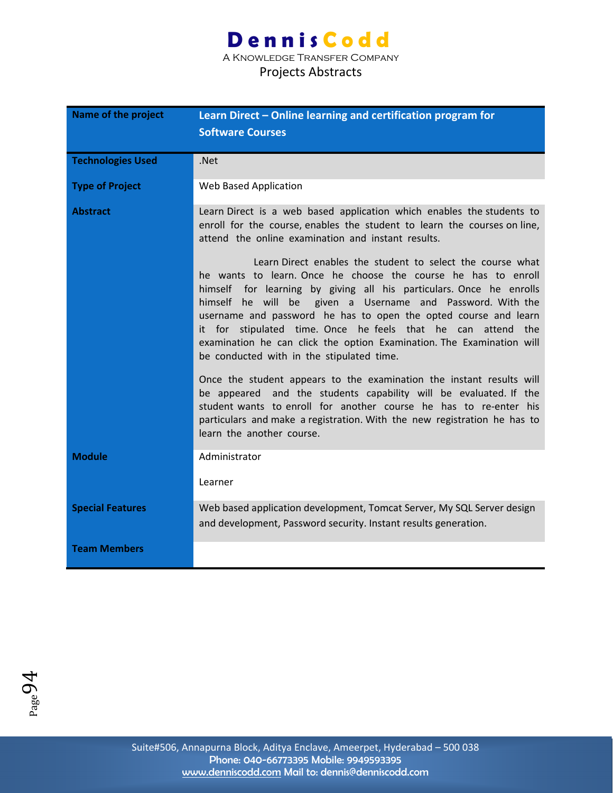A Knowledge Transfer Company

#### Projects Abstracts

| Name of the project      | Learn Direct - Online learning and certification program for<br><b>Software Courses</b>                                                                                                                                                                                                                                                                                                                                                                                                                                                                                                                                                                                                       |
|--------------------------|-----------------------------------------------------------------------------------------------------------------------------------------------------------------------------------------------------------------------------------------------------------------------------------------------------------------------------------------------------------------------------------------------------------------------------------------------------------------------------------------------------------------------------------------------------------------------------------------------------------------------------------------------------------------------------------------------|
|                          |                                                                                                                                                                                                                                                                                                                                                                                                                                                                                                                                                                                                                                                                                               |
| <b>Technologies Used</b> | .Net                                                                                                                                                                                                                                                                                                                                                                                                                                                                                                                                                                                                                                                                                          |
| <b>Type of Project</b>   | Web Based Application                                                                                                                                                                                                                                                                                                                                                                                                                                                                                                                                                                                                                                                                         |
| <b>Abstract</b>          | Learn Direct is a web based application which enables the students to<br>enroll for the course, enables the student to learn the courses on line,<br>attend the online examination and instant results.<br>Learn Direct enables the student to select the course what<br>he wants to learn. Once he choose the course he has to enroll<br>himself for learning by giving all his particulars. Once he enrolls<br>himself he will be<br>given a Username and Password. With the<br>username and password he has to open the opted course and learn<br>it for stipulated time. Once he feels that he can<br>attend the<br>examination he can click the option Examination. The Examination will |
|                          | be conducted with in the stipulated time.<br>Once the student appears to the examination the instant results will<br>and the students capability will be evaluated. If the<br>be appeared<br>student wants to enroll for another course he has to re-enter his<br>particulars and make a registration. With the new registration he has to<br>learn the another course.                                                                                                                                                                                                                                                                                                                       |
| <b>Module</b>            | Administrator                                                                                                                                                                                                                                                                                                                                                                                                                                                                                                                                                                                                                                                                                 |
|                          | Learner                                                                                                                                                                                                                                                                                                                                                                                                                                                                                                                                                                                                                                                                                       |
| <b>Special Features</b>  | Web based application development, Tomcat Server, My SQL Server design<br>and development, Password security. Instant results generation.                                                                                                                                                                                                                                                                                                                                                                                                                                                                                                                                                     |
| <b>Team Members</b>      |                                                                                                                                                                                                                                                                                                                                                                                                                                                                                                                                                                                                                                                                                               |

 $P_{\text{age}}94$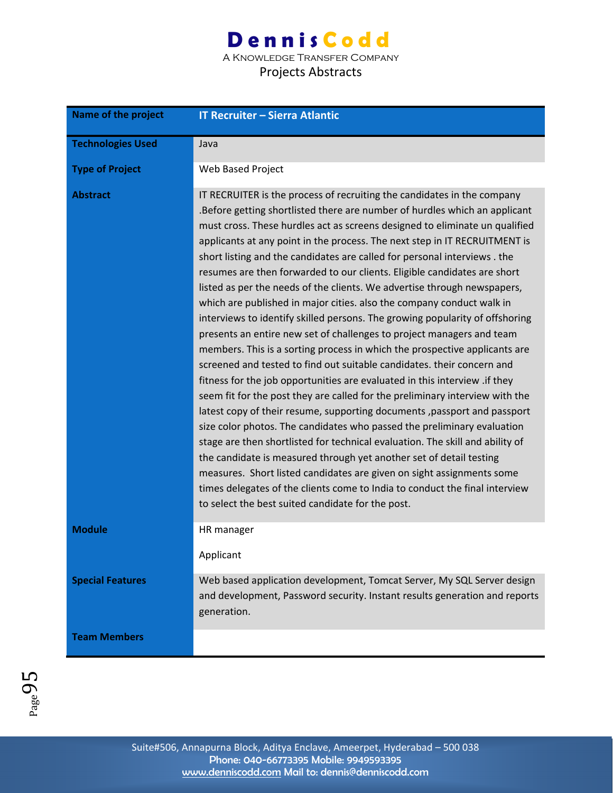A Knowledge Transfer Company

| <b>Name of the project</b> | <b>IT Recruiter - Sierra Atlantic</b>                                                                                                                                                                                                                                                                                                                                                                                                                                                                                                                                                                                                                                                                                                                                                                                                                                                                                                                                                                                                                                                                                                                                                                                                                                                                                                                                                                                                                                                                                                                                                                                                       |
|----------------------------|---------------------------------------------------------------------------------------------------------------------------------------------------------------------------------------------------------------------------------------------------------------------------------------------------------------------------------------------------------------------------------------------------------------------------------------------------------------------------------------------------------------------------------------------------------------------------------------------------------------------------------------------------------------------------------------------------------------------------------------------------------------------------------------------------------------------------------------------------------------------------------------------------------------------------------------------------------------------------------------------------------------------------------------------------------------------------------------------------------------------------------------------------------------------------------------------------------------------------------------------------------------------------------------------------------------------------------------------------------------------------------------------------------------------------------------------------------------------------------------------------------------------------------------------------------------------------------------------------------------------------------------------|
| <b>Technologies Used</b>   | Java                                                                                                                                                                                                                                                                                                                                                                                                                                                                                                                                                                                                                                                                                                                                                                                                                                                                                                                                                                                                                                                                                                                                                                                                                                                                                                                                                                                                                                                                                                                                                                                                                                        |
| <b>Type of Project</b>     | Web Based Project                                                                                                                                                                                                                                                                                                                                                                                                                                                                                                                                                                                                                                                                                                                                                                                                                                                                                                                                                                                                                                                                                                                                                                                                                                                                                                                                                                                                                                                                                                                                                                                                                           |
| <b>Abstract</b>            | IT RECRUITER is the process of recruiting the candidates in the company<br>.Before getting shortlisted there are number of hurdles which an applicant<br>must cross. These hurdles act as screens designed to eliminate un qualified<br>applicants at any point in the process. The next step in IT RECRUITMENT is<br>short listing and the candidates are called for personal interviews . the<br>resumes are then forwarded to our clients. Eligible candidates are short<br>listed as per the needs of the clients. We advertise through newspapers,<br>which are published in major cities. also the company conduct walk in<br>interviews to identify skilled persons. The growing popularity of offshoring<br>presents an entire new set of challenges to project managers and team<br>members. This is a sorting process in which the prospective applicants are<br>screened and tested to find out suitable candidates. their concern and<br>fitness for the job opportunities are evaluated in this interview .if they<br>seem fit for the post they are called for the preliminary interview with the<br>latest copy of their resume, supporting documents, passport and passport<br>size color photos. The candidates who passed the preliminary evaluation<br>stage are then shortlisted for technical evaluation. The skill and ability of<br>the candidate is measured through yet another set of detail testing<br>measures. Short listed candidates are given on sight assignments some<br>times delegates of the clients come to India to conduct the final interview<br>to select the best suited candidate for the post. |
| <b>Module</b>              | HR manager                                                                                                                                                                                                                                                                                                                                                                                                                                                                                                                                                                                                                                                                                                                                                                                                                                                                                                                                                                                                                                                                                                                                                                                                                                                                                                                                                                                                                                                                                                                                                                                                                                  |
|                            | Applicant                                                                                                                                                                                                                                                                                                                                                                                                                                                                                                                                                                                                                                                                                                                                                                                                                                                                                                                                                                                                                                                                                                                                                                                                                                                                                                                                                                                                                                                                                                                                                                                                                                   |
| <b>Special Features</b>    | Web based application development, Tomcat Server, My SQL Server design<br>and development, Password security. Instant results generation and reports<br>generation.                                                                                                                                                                                                                                                                                                                                                                                                                                                                                                                                                                                                                                                                                                                                                                                                                                                                                                                                                                                                                                                                                                                                                                                                                                                                                                                                                                                                                                                                         |
| <b>Team Members</b>        |                                                                                                                                                                                                                                                                                                                                                                                                                                                                                                                                                                                                                                                                                                                                                                                                                                                                                                                                                                                                                                                                                                                                                                                                                                                                                                                                                                                                                                                                                                                                                                                                                                             |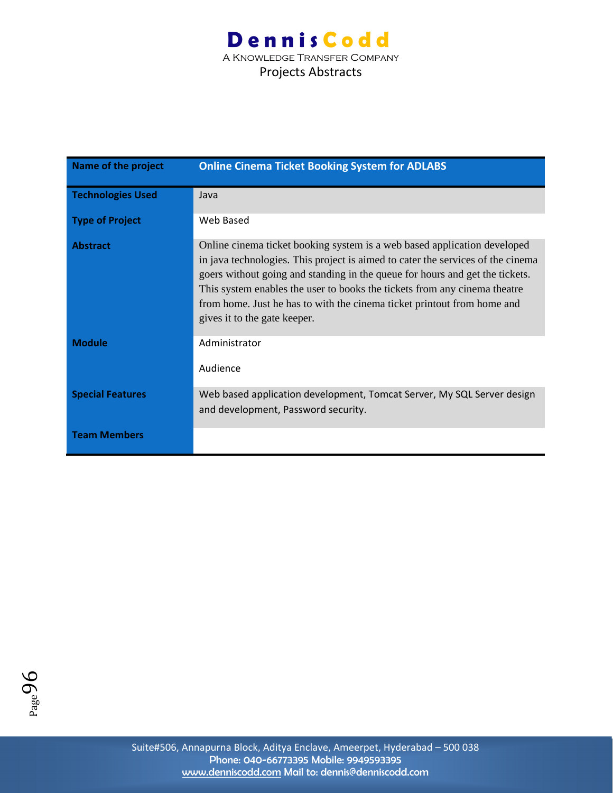### **Dennis Codd** A Knowledge Transfer Company Projects Abstracts

| Name of the project      | <b>Online Cinema Ticket Booking System for ADLABS</b>                                                                                                                                                                                                                                                                                                                                                                               |
|--------------------------|-------------------------------------------------------------------------------------------------------------------------------------------------------------------------------------------------------------------------------------------------------------------------------------------------------------------------------------------------------------------------------------------------------------------------------------|
| <b>Technologies Used</b> | Java                                                                                                                                                                                                                                                                                                                                                                                                                                |
| <b>Type of Project</b>   | Web Based                                                                                                                                                                                                                                                                                                                                                                                                                           |
| <b>Abstract</b>          | Online cinema ticket booking system is a web based application developed<br>in java technologies. This project is aimed to cater the services of the cinema<br>goers without going and standing in the queue for hours and get the tickets.<br>This system enables the user to books the tickets from any cinema theatre<br>from home. Just he has to with the cinema ticket printout from home and<br>gives it to the gate keeper. |
| <b>Module</b>            | Administrator<br>Audience                                                                                                                                                                                                                                                                                                                                                                                                           |
| <b>Special Features</b>  | Web based application development, Tomcat Server, My SQL Server design<br>and development, Password security.                                                                                                                                                                                                                                                                                                                       |
| <b>Team Members</b>      |                                                                                                                                                                                                                                                                                                                                                                                                                                     |

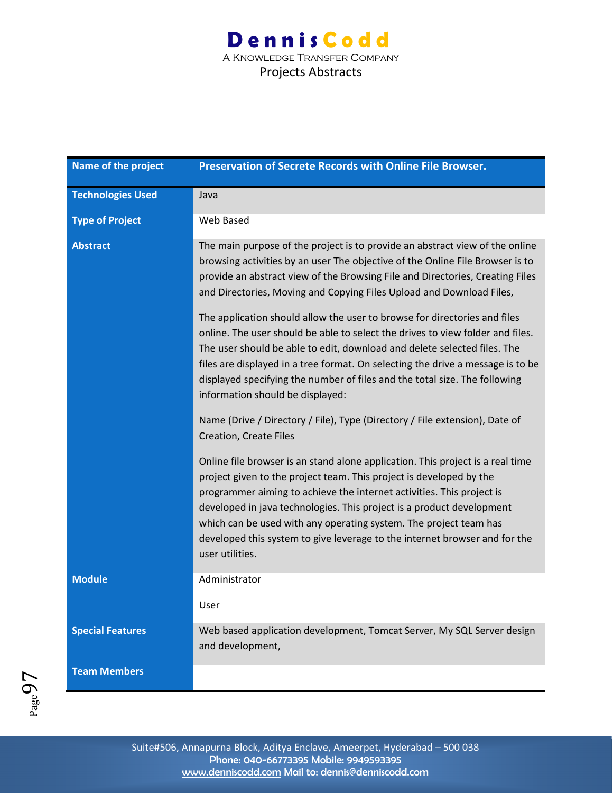### **Dennis Codd** A Knowledge Transfer Company

| Name of the project      | Preservation of Secrete Records with Online File Browser.                                                                                                                                                                                                                                                                                                                                                                                                                     |
|--------------------------|-------------------------------------------------------------------------------------------------------------------------------------------------------------------------------------------------------------------------------------------------------------------------------------------------------------------------------------------------------------------------------------------------------------------------------------------------------------------------------|
| <b>Technologies Used</b> | Java                                                                                                                                                                                                                                                                                                                                                                                                                                                                          |
| <b>Type of Project</b>   | Web Based                                                                                                                                                                                                                                                                                                                                                                                                                                                                     |
| <b>Abstract</b>          | The main purpose of the project is to provide an abstract view of the online<br>browsing activities by an user The objective of the Online File Browser is to<br>provide an abstract view of the Browsing File and Directories, Creating Files<br>and Directories, Moving and Copying Files Upload and Download Files,                                                                                                                                                        |
|                          | The application should allow the user to browse for directories and files<br>online. The user should be able to select the drives to view folder and files.<br>The user should be able to edit, download and delete selected files. The<br>files are displayed in a tree format. On selecting the drive a message is to be<br>displayed specifying the number of files and the total size. The following<br>information should be displayed:                                  |
|                          | Name (Drive / Directory / File), Type (Directory / File extension), Date of<br>Creation, Create Files                                                                                                                                                                                                                                                                                                                                                                         |
|                          | Online file browser is an stand alone application. This project is a real time<br>project given to the project team. This project is developed by the<br>programmer aiming to achieve the internet activities. This project is<br>developed in java technologies. This project is a product development<br>which can be used with any operating system. The project team has<br>developed this system to give leverage to the internet browser and for the<br>user utilities. |
| <b>Module</b>            | Administrator                                                                                                                                                                                                                                                                                                                                                                                                                                                                 |
|                          | User                                                                                                                                                                                                                                                                                                                                                                                                                                                                          |
| <b>Special Features</b>  | Web based application development, Tomcat Server, My SQL Server design<br>and development,                                                                                                                                                                                                                                                                                                                                                                                    |
| <b>Team Members</b>      |                                                                                                                                                                                                                                                                                                                                                                                                                                                                               |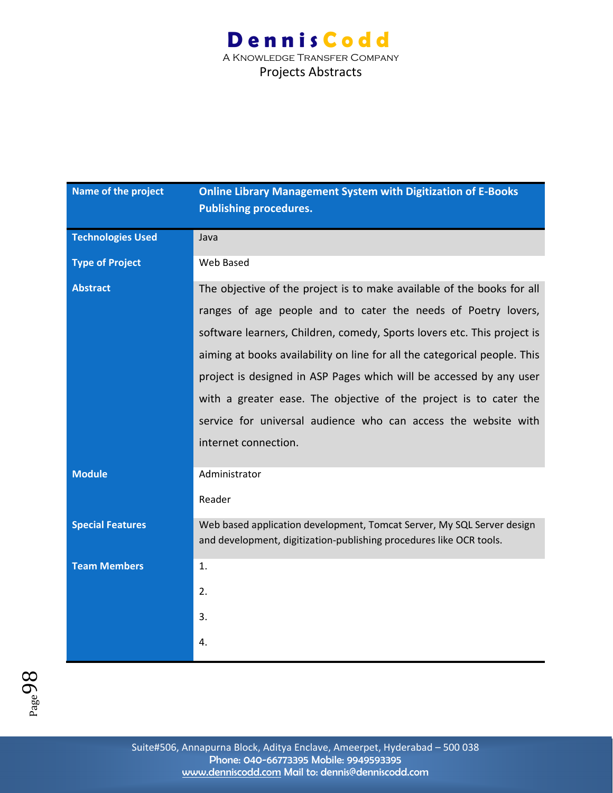### **Dennis Codd** A Knowledge Transfer Company Projects Abstracts

| Name of the project      | <b>Online Library Management System with Digitization of E-Books</b><br><b>Publishing procedures.</b>                                         |
|--------------------------|-----------------------------------------------------------------------------------------------------------------------------------------------|
| <b>Technologies Used</b> | Java                                                                                                                                          |
| <b>Type of Project</b>   | Web Based                                                                                                                                     |
| <b>Abstract</b>          | The objective of the project is to make available of the books for all                                                                        |
|                          | ranges of age people and to cater the needs of Poetry lovers,                                                                                 |
|                          | software learners, Children, comedy, Sports lovers etc. This project is                                                                       |
|                          | aiming at books availability on line for all the categorical people. This                                                                     |
|                          | project is designed in ASP Pages which will be accessed by any user                                                                           |
|                          | with a greater ease. The objective of the project is to cater the                                                                             |
|                          | service for universal audience who can access the website with                                                                                |
|                          | internet connection.                                                                                                                          |
| <b>Module</b>            | Administrator                                                                                                                                 |
|                          | Reader                                                                                                                                        |
| <b>Special Features</b>  | Web based application development, Tomcat Server, My SQL Server design<br>and development, digitization-publishing procedures like OCR tools. |
| <b>Team Members</b>      | 1.                                                                                                                                            |
|                          | 2.                                                                                                                                            |
|                          | 3.                                                                                                                                            |
|                          | 4.                                                                                                                                            |

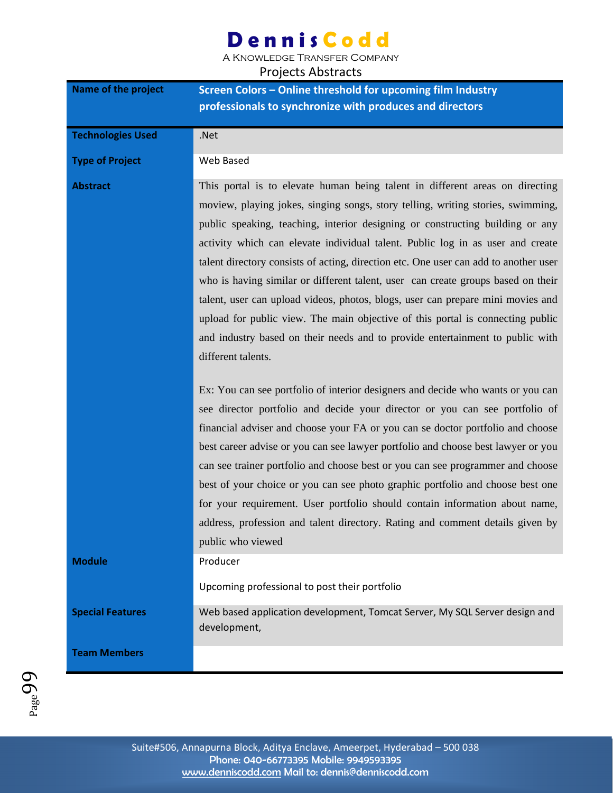A Knowledge Transfer Company

| Name of the project      | Screen Colors - Online threshold for upcoming film Industry                                                                                                                                                                                                                                                                                                                                                                                                                                                                                                                                                                                                                                                                                                                                |
|--------------------------|--------------------------------------------------------------------------------------------------------------------------------------------------------------------------------------------------------------------------------------------------------------------------------------------------------------------------------------------------------------------------------------------------------------------------------------------------------------------------------------------------------------------------------------------------------------------------------------------------------------------------------------------------------------------------------------------------------------------------------------------------------------------------------------------|
|                          | professionals to synchronize with produces and directors                                                                                                                                                                                                                                                                                                                                                                                                                                                                                                                                                                                                                                                                                                                                   |
|                          |                                                                                                                                                                                                                                                                                                                                                                                                                                                                                                                                                                                                                                                                                                                                                                                            |
| <b>Technologies Used</b> | .Net                                                                                                                                                                                                                                                                                                                                                                                                                                                                                                                                                                                                                                                                                                                                                                                       |
| <b>Type of Project</b>   | Web Based                                                                                                                                                                                                                                                                                                                                                                                                                                                                                                                                                                                                                                                                                                                                                                                  |
| <b>Abstract</b>          | This portal is to elevate human being talent in different areas on directing<br>moview, playing jokes, singing songs, story telling, writing stories, swimming,<br>public speaking, teaching, interior designing or constructing building or any<br>activity which can elevate individual talent. Public log in as user and create<br>talent directory consists of acting, direction etc. One user can add to another user<br>who is having similar or different talent, user can create groups based on their<br>talent, user can upload videos, photos, blogs, user can prepare mini movies and<br>upload for public view. The main objective of this portal is connecting public<br>and industry based on their needs and to provide entertainment to public with<br>different talents. |
|                          | Ex: You can see portfolio of interior designers and decide who wants or you can<br>see director portfolio and decide your director or you can see portfolio of<br>financial adviser and choose your FA or you can se doctor portfolio and choose<br>best career advise or you can see lawyer portfolio and choose best lawyer or you<br>can see trainer portfolio and choose best or you can see programmer and choose<br>best of your choice or you can see photo graphic portfolio and choose best one<br>for your requirement. User portfolio should contain information about name,<br>address, profession and talent directory. Rating and comment details given by<br>public who viewed                                                                                              |
| <b>Module</b>            | Producer                                                                                                                                                                                                                                                                                                                                                                                                                                                                                                                                                                                                                                                                                                                                                                                   |
|                          | Upcoming professional to post their portfolio                                                                                                                                                                                                                                                                                                                                                                                                                                                                                                                                                                                                                                                                                                                                              |
| <b>Special Features</b>  | Web based application development, Tomcat Server, My SQL Server design and<br>development,                                                                                                                                                                                                                                                                                                                                                                                                                                                                                                                                                                                                                                                                                                 |
| <b>Team Members</b>      |                                                                                                                                                                                                                                                                                                                                                                                                                                                                                                                                                                                                                                                                                                                                                                                            |

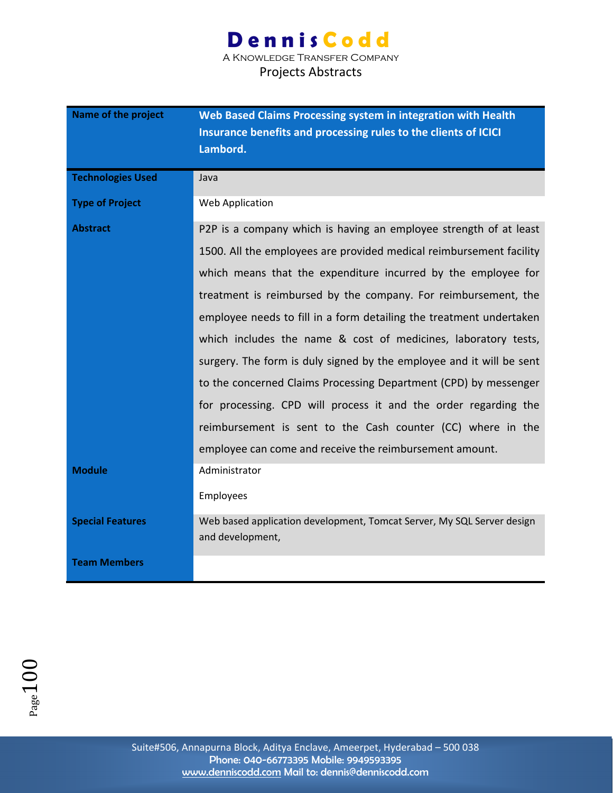A Knowledge Transfer Company Projects Abstracts

| <b>Name of the project</b> | Web Based Claims Processing system in integration with Health<br>Insurance benefits and processing rules to the clients of ICICI<br>Lambord. |
|----------------------------|----------------------------------------------------------------------------------------------------------------------------------------------|
| <b>Technologies Used</b>   | Java                                                                                                                                         |
| <b>Type of Project</b>     | Web Application                                                                                                                              |
| <b>Abstract</b>            | P2P is a company which is having an employee strength of at least                                                                            |
|                            | 1500. All the employees are provided medical reimbursement facility                                                                          |
|                            | which means that the expenditure incurred by the employee for                                                                                |
|                            | treatment is reimbursed by the company. For reimbursement, the                                                                               |
|                            | employee needs to fill in a form detailing the treatment undertaken                                                                          |
|                            | which includes the name & cost of medicines, laboratory tests,                                                                               |
|                            | surgery. The form is duly signed by the employee and it will be sent                                                                         |
|                            | to the concerned Claims Processing Department (CPD) by messenger                                                                             |
|                            | for processing. CPD will process it and the order regarding the                                                                              |
|                            | reimbursement is sent to the Cash counter (CC) where in the                                                                                  |
|                            | employee can come and receive the reimbursement amount.                                                                                      |
| <b>Module</b>              | Administrator                                                                                                                                |
|                            | Employees                                                                                                                                    |
| <b>Special Features</b>    | Web based application development, Tomcat Server, My SQL Server design<br>and development,                                                   |
| <b>Team Members</b>        |                                                                                                                                              |

 $Page100$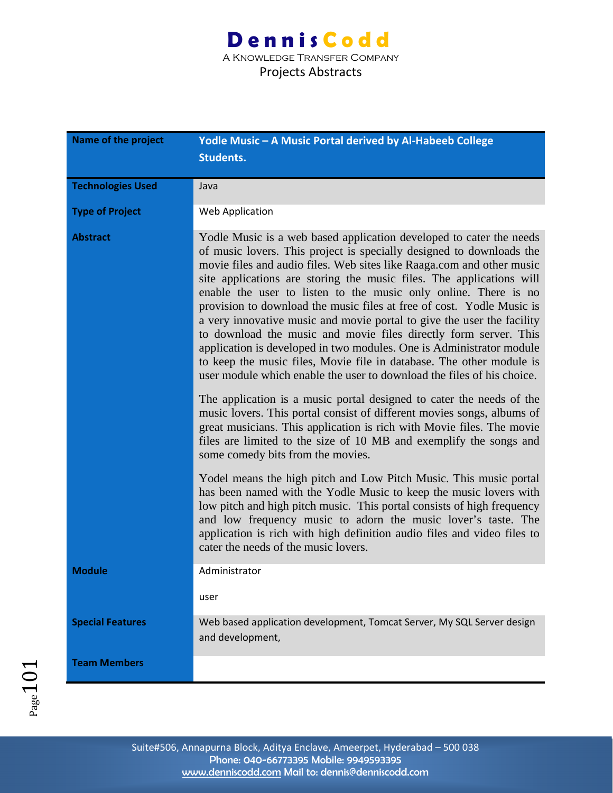A Knowledge Transfer Company

| <b>Name of the project</b> | Yodle Music - A Music Portal derived by Al-Habeeb College<br><b>Students.</b>                                                                                                                                                                                                                                                                                                                                                                                                                                                                                                                                                                                                                                                                                                                                    |
|----------------------------|------------------------------------------------------------------------------------------------------------------------------------------------------------------------------------------------------------------------------------------------------------------------------------------------------------------------------------------------------------------------------------------------------------------------------------------------------------------------------------------------------------------------------------------------------------------------------------------------------------------------------------------------------------------------------------------------------------------------------------------------------------------------------------------------------------------|
| <b>Technologies Used</b>   | Java                                                                                                                                                                                                                                                                                                                                                                                                                                                                                                                                                                                                                                                                                                                                                                                                             |
| <b>Type of Project</b>     | Web Application                                                                                                                                                                                                                                                                                                                                                                                                                                                                                                                                                                                                                                                                                                                                                                                                  |
| <b>Abstract</b>            | Yodle Music is a web based application developed to cater the needs<br>of music lovers. This project is specially designed to downloads the<br>movie files and audio files. Web sites like Raaga.com and other music<br>site applications are storing the music files. The applications will<br>enable the user to listen to the music only online. There is no<br>provision to download the music files at free of cost. Yodle Music is<br>a very innovative music and movie portal to give the user the facility<br>to download the music and movie files directly form server. This<br>application is developed in two modules. One is Administrator module<br>to keep the music files, Movie file in database. The other module is<br>user module which enable the user to download the files of his choice. |
|                            | The application is a music portal designed to cater the needs of the<br>music lovers. This portal consist of different movies songs, albums of<br>great musicians. This application is rich with Movie files. The movie<br>files are limited to the size of 10 MB and exemplify the songs and<br>some comedy bits from the movies.                                                                                                                                                                                                                                                                                                                                                                                                                                                                               |
|                            | Yodel means the high pitch and Low Pitch Music. This music portal<br>has been named with the Yodle Music to keep the music lovers with<br>low pitch and high pitch music. This portal consists of high frequency<br>and low frequency music to adorn the music lover's taste. The<br>application is rich with high definition audio files and video files to<br>cater the needs of the music lovers.                                                                                                                                                                                                                                                                                                                                                                                                             |
| <b>Module</b>              | Administrator                                                                                                                                                                                                                                                                                                                                                                                                                                                                                                                                                                                                                                                                                                                                                                                                    |
|                            | user                                                                                                                                                                                                                                                                                                                                                                                                                                                                                                                                                                                                                                                                                                                                                                                                             |
| <b>Special Features</b>    | Web based application development, Tomcat Server, My SQL Server design<br>and development,                                                                                                                                                                                                                                                                                                                                                                                                                                                                                                                                                                                                                                                                                                                       |
| <b>Team Members</b>        |                                                                                                                                                                                                                                                                                                                                                                                                                                                                                                                                                                                                                                                                                                                                                                                                                  |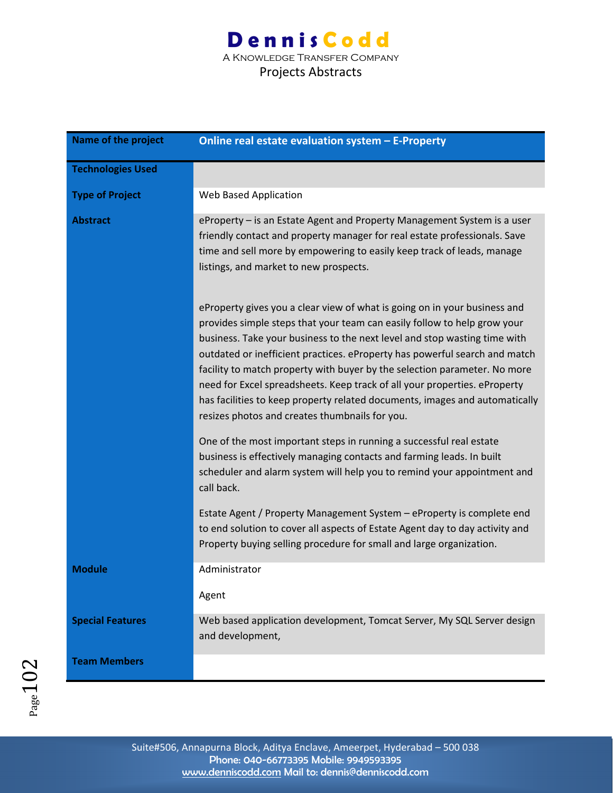| Name of the project      | Online real estate evaluation system - E-Property                                                                                                                                                                                                                                                                                                                                                                                                                                                                                                                                                           |
|--------------------------|-------------------------------------------------------------------------------------------------------------------------------------------------------------------------------------------------------------------------------------------------------------------------------------------------------------------------------------------------------------------------------------------------------------------------------------------------------------------------------------------------------------------------------------------------------------------------------------------------------------|
| <b>Technologies Used</b> |                                                                                                                                                                                                                                                                                                                                                                                                                                                                                                                                                                                                             |
| <b>Type of Project</b>   | Web Based Application                                                                                                                                                                                                                                                                                                                                                                                                                                                                                                                                                                                       |
| <b>Abstract</b>          | eProperty – is an Estate Agent and Property Management System is a user<br>friendly contact and property manager for real estate professionals. Save<br>time and sell more by empowering to easily keep track of leads, manage<br>listings, and market to new prospects.                                                                                                                                                                                                                                                                                                                                    |
|                          | eProperty gives you a clear view of what is going on in your business and<br>provides simple steps that your team can easily follow to help grow your<br>business. Take your business to the next level and stop wasting time with<br>outdated or inefficient practices. eProperty has powerful search and match<br>facility to match property with buyer by the selection parameter. No more<br>need for Excel spreadsheets. Keep track of all your properties. eProperty<br>has facilities to keep property related documents, images and automatically<br>resizes photos and creates thumbnails for you. |
|                          | One of the most important steps in running a successful real estate<br>business is effectively managing contacts and farming leads. In built<br>scheduler and alarm system will help you to remind your appointment and<br>call back.                                                                                                                                                                                                                                                                                                                                                                       |
|                          | Estate Agent / Property Management System - eProperty is complete end<br>to end solution to cover all aspects of Estate Agent day to day activity and<br>Property buying selling procedure for small and large organization.                                                                                                                                                                                                                                                                                                                                                                                |
| <b>Module</b>            | Administrator                                                                                                                                                                                                                                                                                                                                                                                                                                                                                                                                                                                               |
|                          | Agent                                                                                                                                                                                                                                                                                                                                                                                                                                                                                                                                                                                                       |
| <b>Special Features</b>  | Web based application development, Tomcat Server, My SQL Server design<br>and development,                                                                                                                                                                                                                                                                                                                                                                                                                                                                                                                  |
| <b>Team Members</b>      |                                                                                                                                                                                                                                                                                                                                                                                                                                                                                                                                                                                                             |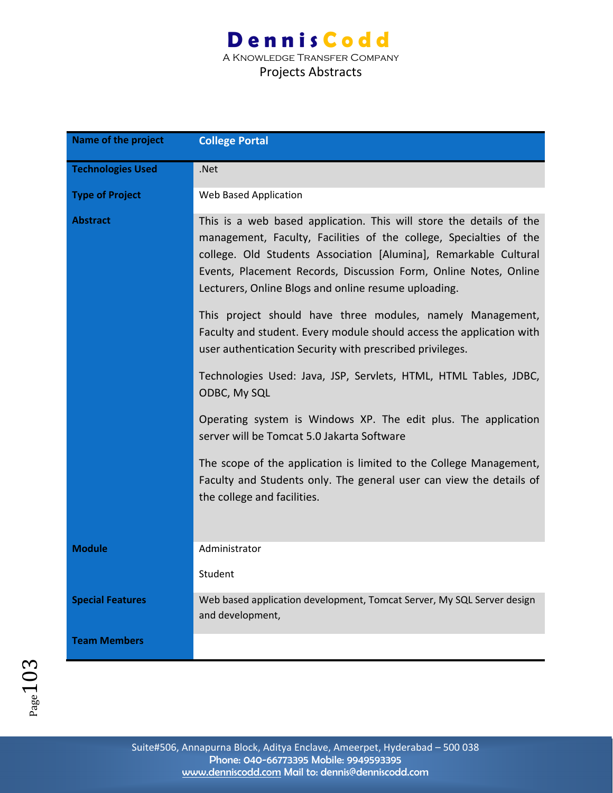| <b>Name of the project</b> | <b>College Portal</b>                                                                                                                                                                                                                                                                                                                     |
|----------------------------|-------------------------------------------------------------------------------------------------------------------------------------------------------------------------------------------------------------------------------------------------------------------------------------------------------------------------------------------|
| <b>Technologies Used</b>   | .Net                                                                                                                                                                                                                                                                                                                                      |
| <b>Type of Project</b>     | Web Based Application                                                                                                                                                                                                                                                                                                                     |
| <b>Abstract</b>            | This is a web based application. This will store the details of the<br>management, Faculty, Facilities of the college, Specialties of the<br>college. Old Students Association [Alumina], Remarkable Cultural<br>Events, Placement Records, Discussion Form, Online Notes, Online<br>Lecturers, Online Blogs and online resume uploading. |
|                            | This project should have three modules, namely Management,<br>Faculty and student. Every module should access the application with<br>user authentication Security with prescribed privileges.                                                                                                                                            |
|                            | Technologies Used: Java, JSP, Servlets, HTML, HTML Tables, JDBC,<br>ODBC, My SQL                                                                                                                                                                                                                                                          |
|                            | Operating system is Windows XP. The edit plus. The application<br>server will be Tomcat 5.0 Jakarta Software                                                                                                                                                                                                                              |
|                            | The scope of the application is limited to the College Management,<br>Faculty and Students only. The general user can view the details of<br>the college and facilities.                                                                                                                                                                  |
| <b>Module</b>              | Administrator                                                                                                                                                                                                                                                                                                                             |
|                            | Student                                                                                                                                                                                                                                                                                                                                   |
| <b>Special Features</b>    | Web based application development, Tomcat Server, My SQL Server design<br>and development,                                                                                                                                                                                                                                                |
| <b>Team Members</b>        |                                                                                                                                                                                                                                                                                                                                           |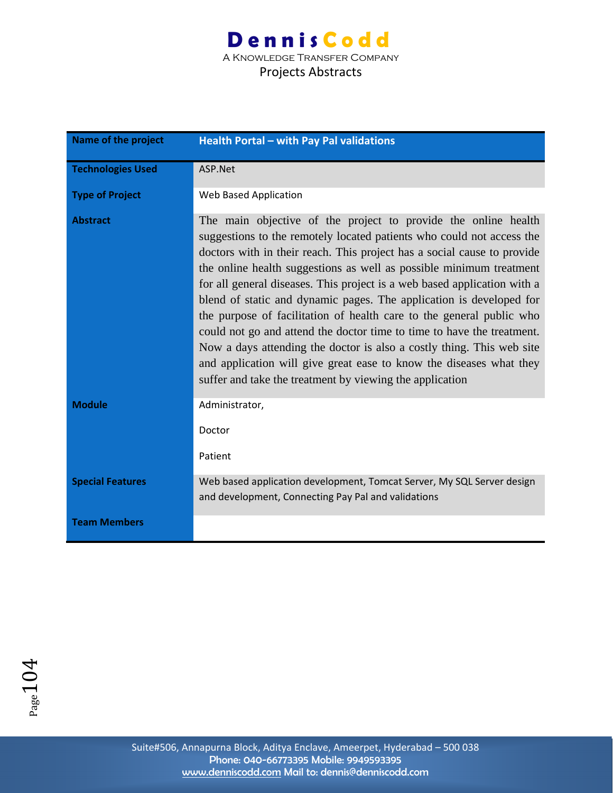A Knowledge Transfer Company

#### Projects Abstracts

| <b>Name of the project</b> | Health Portal - with Pay Pal validations                                                                                                                                                                                                                                                                                                                                                                                                                                                                                                                                                                                                                                                                                                                                                                   |
|----------------------------|------------------------------------------------------------------------------------------------------------------------------------------------------------------------------------------------------------------------------------------------------------------------------------------------------------------------------------------------------------------------------------------------------------------------------------------------------------------------------------------------------------------------------------------------------------------------------------------------------------------------------------------------------------------------------------------------------------------------------------------------------------------------------------------------------------|
| <b>Technologies Used</b>   | ASP.Net                                                                                                                                                                                                                                                                                                                                                                                                                                                                                                                                                                                                                                                                                                                                                                                                    |
| <b>Type of Project</b>     | Web Based Application                                                                                                                                                                                                                                                                                                                                                                                                                                                                                                                                                                                                                                                                                                                                                                                      |
| <b>Abstract</b>            | The main objective of the project to provide the online health<br>suggestions to the remotely located patients who could not access the<br>doctors with in their reach. This project has a social cause to provide<br>the online health suggestions as well as possible minimum treatment<br>for all general diseases. This project is a web based application with a<br>blend of static and dynamic pages. The application is developed for<br>the purpose of facilitation of health care to the general public who<br>could not go and attend the doctor time to time to have the treatment.<br>Now a days attending the doctor is also a costly thing. This web site<br>and application will give great ease to know the diseases what they<br>suffer and take the treatment by viewing the application |
| <b>Module</b>              | Administrator,<br>Doctor<br>Patient                                                                                                                                                                                                                                                                                                                                                                                                                                                                                                                                                                                                                                                                                                                                                                        |
| <b>Special Features</b>    | Web based application development, Tomcat Server, My SQL Server design<br>and development, Connecting Pay Pal and validations                                                                                                                                                                                                                                                                                                                                                                                                                                                                                                                                                                                                                                                                              |
| <b>Team Members</b>        |                                                                                                                                                                                                                                                                                                                                                                                                                                                                                                                                                                                                                                                                                                                                                                                                            |

 $Page104$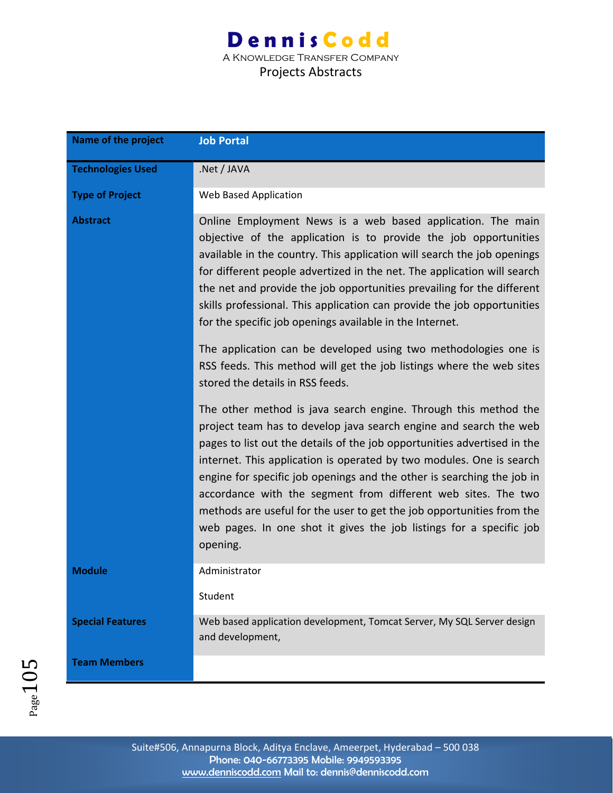| Name of the project      | <b>Job Portal</b>                                                                                                                                                                                                                                                                                                                                                                                                                                                                                                                                                                               |
|--------------------------|-------------------------------------------------------------------------------------------------------------------------------------------------------------------------------------------------------------------------------------------------------------------------------------------------------------------------------------------------------------------------------------------------------------------------------------------------------------------------------------------------------------------------------------------------------------------------------------------------|
| <b>Technologies Used</b> | .Net / JAVA                                                                                                                                                                                                                                                                                                                                                                                                                                                                                                                                                                                     |
| <b>Type of Project</b>   | Web Based Application                                                                                                                                                                                                                                                                                                                                                                                                                                                                                                                                                                           |
| <b>Abstract</b>          | Online Employment News is a web based application. The main<br>objective of the application is to provide the job opportunities<br>available in the country. This application will search the job openings<br>for different people advertized in the net. The application will search<br>the net and provide the job opportunities prevailing for the different<br>skills professional. This application can provide the job opportunities<br>for the specific job openings available in the Internet.                                                                                          |
|                          | The application can be developed using two methodologies one is<br>RSS feeds. This method will get the job listings where the web sites<br>stored the details in RSS feeds.                                                                                                                                                                                                                                                                                                                                                                                                                     |
|                          | The other method is java search engine. Through this method the<br>project team has to develop java search engine and search the web<br>pages to list out the details of the job opportunities advertised in the<br>internet. This application is operated by two modules. One is search<br>engine for specific job openings and the other is searching the job in<br>accordance with the segment from different web sites. The two<br>methods are useful for the user to get the job opportunities from the<br>web pages. In one shot it gives the job listings for a specific job<br>opening. |
| <b>Module</b>            | Administrator                                                                                                                                                                                                                                                                                                                                                                                                                                                                                                                                                                                   |
|                          | Student                                                                                                                                                                                                                                                                                                                                                                                                                                                                                                                                                                                         |
| <b>Special Features</b>  | Web based application development, Tomcat Server, My SQL Server design<br>and development,                                                                                                                                                                                                                                                                                                                                                                                                                                                                                                      |
| <b>Team Members</b>      |                                                                                                                                                                                                                                                                                                                                                                                                                                                                                                                                                                                                 |